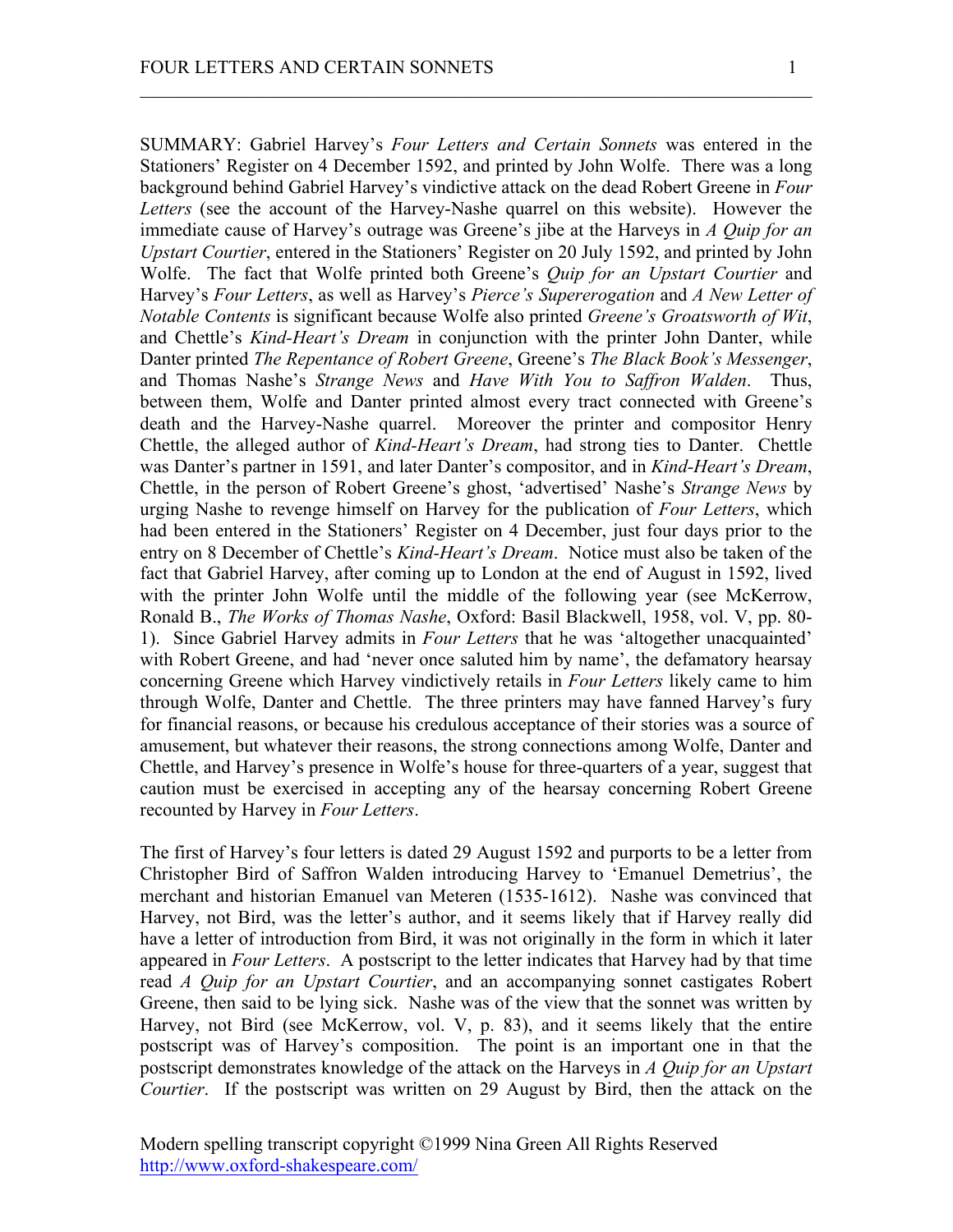SUMMARY: Gabriel Harvey's *Four Letters and Certain Sonnets* was entered in the Stationers' Register on 4 December 1592, and printed by John Wolfe. There was a long background behind Gabriel Harvey's vindictive attack on the dead Robert Greene in *Four Letters* (see the account of the Harvey-Nashe quarrel on this website). However the immediate cause of Harvey's outrage was Greene's jibe at the Harveys in *A Quip for an Upstart Courtier*, entered in the Stationers' Register on 20 July 1592, and printed by John Wolfe. The fact that Wolfe printed both Greene's *Quip for an Upstart Courtier* and Harvey's *Four Letters*, as well as Harvey's *Pierce's Supererogation* and *A New Letter of Notable Contents* is significant because Wolfe also printed *Greene's Groatsworth of Wit*, and Chettle's *Kind-Heart's Dream* in conjunction with the printer John Danter, while Danter printed *The Repentance of Robert Greene*, Greene's *The Black Book's Messenger*, and Thomas Nashe's *Strange News* and *Have With You to Saffron Walden*. Thus, between them, Wolfe and Danter printed almost every tract connected with Greene's death and the Harvey-Nashe quarrel. Moreover the printer and compositor Henry Chettle, the alleged author of *Kind-Heart's Dream*, had strong ties to Danter. Chettle was Danter's partner in 1591, and later Danter's compositor, and in *Kind-Heart's Dream*, Chettle, in the person of Robert Greene's ghost, 'advertised' Nashe's *Strange News* by urging Nashe to revenge himself on Harvey for the publication of *Four Letters*, which had been entered in the Stationers' Register on 4 December, just four days prior to the entry on 8 December of Chettle's *Kind-Heart's Dream*. Notice must also be taken of the fact that Gabriel Harvey, after coming up to London at the end of August in 1592, lived with the printer John Wolfe until the middle of the following year (see McKerrow, Ronald B., *The Works of Thomas Nashe*, Oxford: Basil Blackwell, 1958, vol. V, pp. 80- 1). Since Gabriel Harvey admits in *Four Letters* that he was 'altogether unacquainted' with Robert Greene, and had 'never once saluted him by name', the defamatory hearsay concerning Greene which Harvey vindictively retails in *Four Letters* likely came to him through Wolfe, Danter and Chettle. The three printers may have fanned Harvey's fury for financial reasons, or because his credulous acceptance of their stories was a source of amusement, but whatever their reasons, the strong connections among Wolfe, Danter and Chettle, and Harvey's presence in Wolfe's house for three-quarters of a year, suggest that caution must be exercised in accepting any of the hearsay concerning Robert Greene recounted by Harvey in *Four Letters*.

 $\mathcal{L}_\text{max}$  , and the contribution of the contribution of the contribution of the contribution of the contribution of the contribution of the contribution of the contribution of the contribution of the contribution of t

The first of Harvey's four letters is dated 29 August 1592 and purports to be a letter from Christopher Bird of Saffron Walden introducing Harvey to 'Emanuel Demetrius', the merchant and historian Emanuel van Meteren (1535-1612). Nashe was convinced that Harvey, not Bird, was the letter's author, and it seems likely that if Harvey really did have a letter of introduction from Bird, it was not originally in the form in which it later appeared in *Four Letters*. A postscript to the letter indicates that Harvey had by that time read *A Quip for an Upstart Courtier*, and an accompanying sonnet castigates Robert Greene, then said to be lying sick. Nashe was of the view that the sonnet was written by Harvey, not Bird (see McKerrow, vol. V, p. 83), and it seems likely that the entire postscript was of Harvey's composition. The point is an important one in that the postscript demonstrates knowledge of the attack on the Harveys in *A Quip for an Upstart Courtier*. If the postscript was written on 29 August by Bird, then the attack on the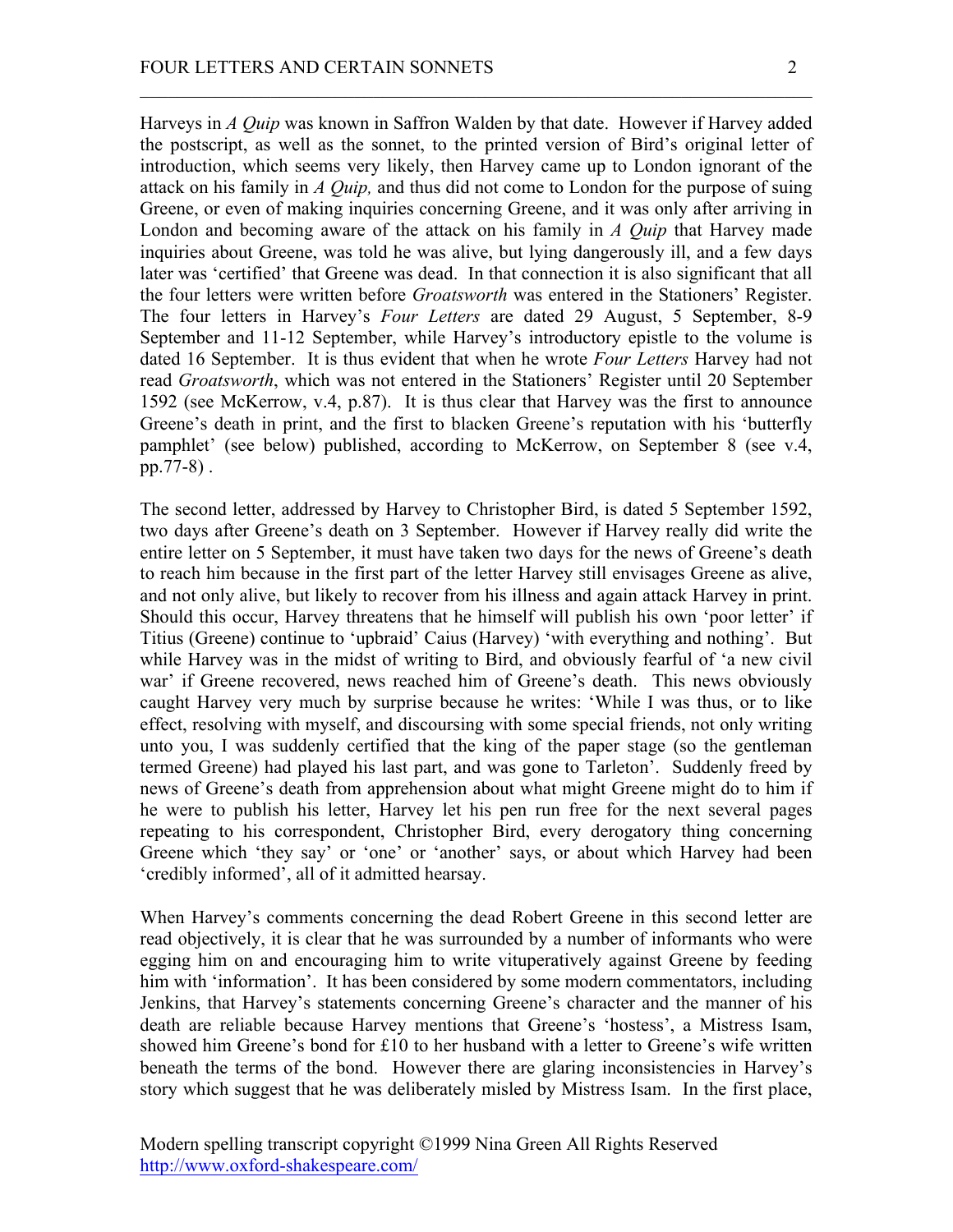Harveys in *A Quip* was known in Saffron Walden by that date. However if Harvey added the postscript, as well as the sonnet, to the printed version of Bird's original letter of introduction, which seems very likely, then Harvey came up to London ignorant of the attack on his family in *A Quip,* and thus did not come to London for the purpose of suing Greene, or even of making inquiries concerning Greene, and it was only after arriving in London and becoming aware of the attack on his family in *A Quip* that Harvey made inquiries about Greene, was told he was alive, but lying dangerously ill, and a few days later was 'certified' that Greene was dead. In that connection it is also significant that all the four letters were written before *Groatsworth* was entered in the Stationers' Register. The four letters in Harvey's *Four Letters* are dated 29 August, 5 September, 8-9 September and 11-12 September, while Harvey's introductory epistle to the volume is dated 16 September. It is thus evident that when he wrote *Four Letters* Harvey had not read *Groatsworth*, which was not entered in the Stationers' Register until 20 September 1592 (see McKerrow, v.4, p.87). It is thus clear that Harvey was the first to announce Greene's death in print, and the first to blacken Greene's reputation with his 'butterfly pamphlet' (see below) published, according to McKerrow, on September 8 (see v.4, pp.77-8) .

 $\mathcal{L}_\text{max}$  , and the contribution of the contribution of the contribution of the contribution of the contribution of the contribution of the contribution of the contribution of the contribution of the contribution of t

The second letter, addressed by Harvey to Christopher Bird, is dated 5 September 1592, two days after Greene's death on 3 September. However if Harvey really did write the entire letter on 5 September, it must have taken two days for the news of Greene's death to reach him because in the first part of the letter Harvey still envisages Greene as alive, and not only alive, but likely to recover from his illness and again attack Harvey in print. Should this occur, Harvey threatens that he himself will publish his own 'poor letter' if Titius (Greene) continue to 'upbraid' Caius (Harvey) 'with everything and nothing'. But while Harvey was in the midst of writing to Bird, and obviously fearful of 'a new civil war' if Greene recovered, news reached him of Greene's death. This news obviously caught Harvey very much by surprise because he writes: 'While I was thus, or to like effect, resolving with myself, and discoursing with some special friends, not only writing unto you, I was suddenly certified that the king of the paper stage (so the gentleman termed Greene) had played his last part, and was gone to Tarleton'. Suddenly freed by news of Greene's death from apprehension about what might Greene might do to him if he were to publish his letter, Harvey let his pen run free for the next several pages repeating to his correspondent, Christopher Bird, every derogatory thing concerning Greene which 'they say' or 'one' or 'another' says, or about which Harvey had been 'credibly informed', all of it admitted hearsay.

When Harvey's comments concerning the dead Robert Greene in this second letter are read objectively, it is clear that he was surrounded by a number of informants who were egging him on and encouraging him to write vituperatively against Greene by feeding him with 'information'. It has been considered by some modern commentators, including Jenkins, that Harvey's statements concerning Greene's character and the manner of his death are reliable because Harvey mentions that Greene's 'hostess', a Mistress Isam, showed him Greene's bond for £10 to her husband with a letter to Greene's wife written beneath the terms of the bond. However there are glaring inconsistencies in Harvey's story which suggest that he was deliberately misled by Mistress Isam. In the first place,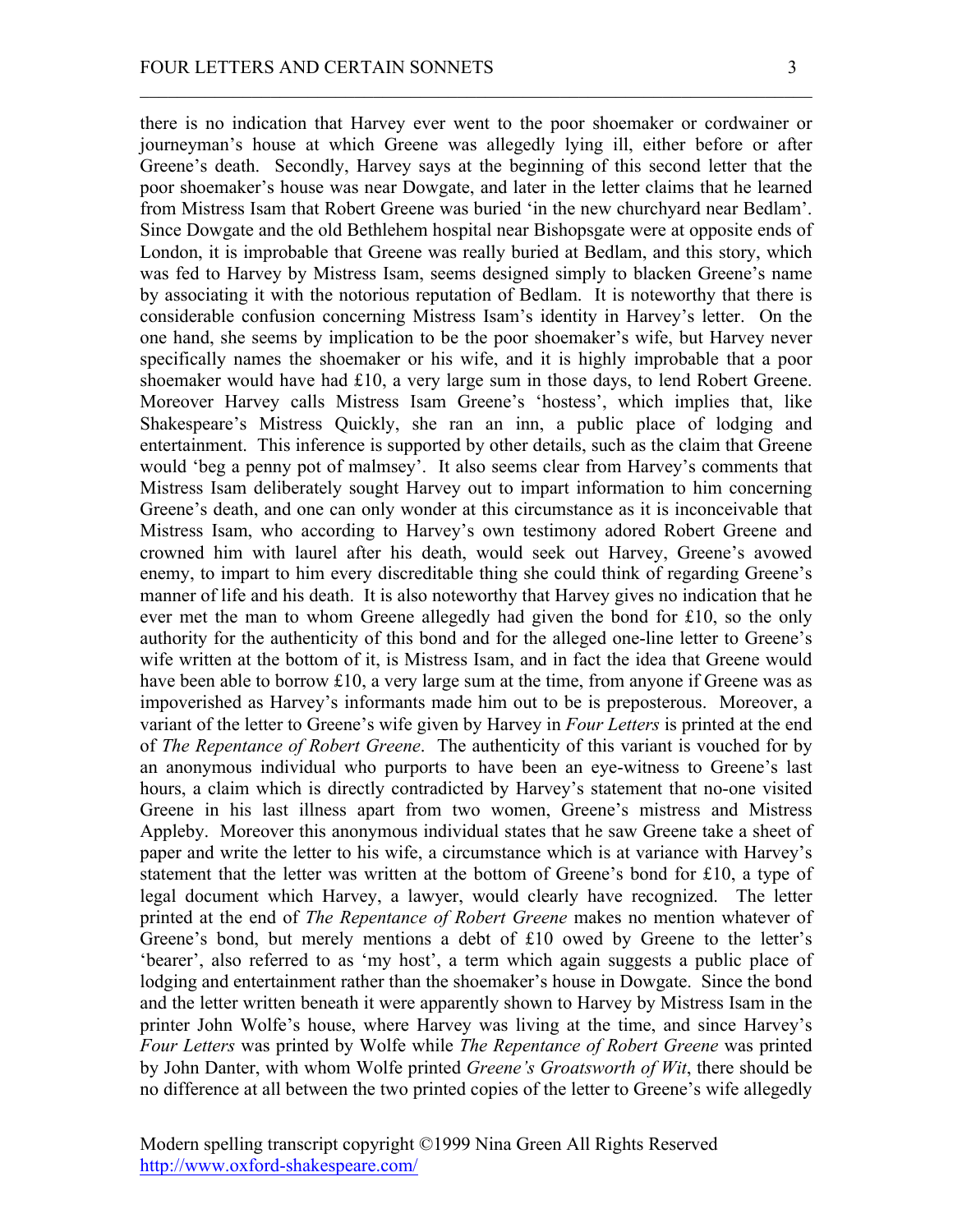there is no indication that Harvey ever went to the poor shoemaker or cordwainer or journeyman's house at which Greene was allegedly lying ill, either before or after Greene's death. Secondly, Harvey says at the beginning of this second letter that the poor shoemaker's house was near Dowgate, and later in the letter claims that he learned from Mistress Isam that Robert Greene was buried 'in the new churchyard near Bedlam'. Since Dowgate and the old Bethlehem hospital near Bishopsgate were at opposite ends of London, it is improbable that Greene was really buried at Bedlam, and this story, which was fed to Harvey by Mistress Isam, seems designed simply to blacken Greene's name by associating it with the notorious reputation of Bedlam. It is noteworthy that there is considerable confusion concerning Mistress Isam's identity in Harvey's letter. On the one hand, she seems by implication to be the poor shoemaker's wife, but Harvey never specifically names the shoemaker or his wife, and it is highly improbable that a poor shoemaker would have had  $£10$ , a very large sum in those days, to lend Robert Greene. Moreover Harvey calls Mistress Isam Greene's 'hostess', which implies that, like Shakespeare's Mistress Quickly, she ran an inn, a public place of lodging and entertainment. This inference is supported by other details, such as the claim that Greene would 'beg a penny pot of malmsey'. It also seems clear from Harvey's comments that Mistress Isam deliberately sought Harvey out to impart information to him concerning Greene's death, and one can only wonder at this circumstance as it is inconceivable that Mistress Isam, who according to Harvey's own testimony adored Robert Greene and crowned him with laurel after his death, would seek out Harvey, Greene's avowed enemy, to impart to him every discreditable thing she could think of regarding Greene's manner of life and his death. It is also noteworthy that Harvey gives no indication that he ever met the man to whom Greene allegedly had given the bond for £10, so the only authority for the authenticity of this bond and for the alleged one-line letter to Greene's wife written at the bottom of it, is Mistress Isam, and in fact the idea that Greene would have been able to borrow £10, a very large sum at the time, from anyone if Greene was as impoverished as Harvey's informants made him out to be is preposterous. Moreover, a variant of the letter to Greene's wife given by Harvey in *Four Letters* is printed at the end of *The Repentance of Robert Greene*. The authenticity of this variant is vouched for by an anonymous individual who purports to have been an eye-witness to Greene's last hours, a claim which is directly contradicted by Harvey's statement that no-one visited Greene in his last illness apart from two women, Greene's mistress and Mistress Appleby. Moreover this anonymous individual states that he saw Greene take a sheet of paper and write the letter to his wife, a circumstance which is at variance with Harvey's statement that the letter was written at the bottom of Greene's bond for £10, a type of legal document which Harvey, a lawyer, would clearly have recognized. The letter printed at the end of *The Repentance of Robert Greene* makes no mention whatever of Greene's bond, but merely mentions a debt of £10 owed by Greene to the letter's 'bearer', also referred to as 'my host', a term which again suggests a public place of lodging and entertainment rather than the shoemaker's house in Dowgate. Since the bond and the letter written beneath it were apparently shown to Harvey by Mistress Isam in the printer John Wolfe's house, where Harvey was living at the time, and since Harvey's *Four Letters* was printed by Wolfe while *The Repentance of Robert Greene* was printed by John Danter, with whom Wolfe printed *Greene's Groatsworth of Wit*, there should be no difference at all between the two printed copies of the letter to Greene's wife allegedly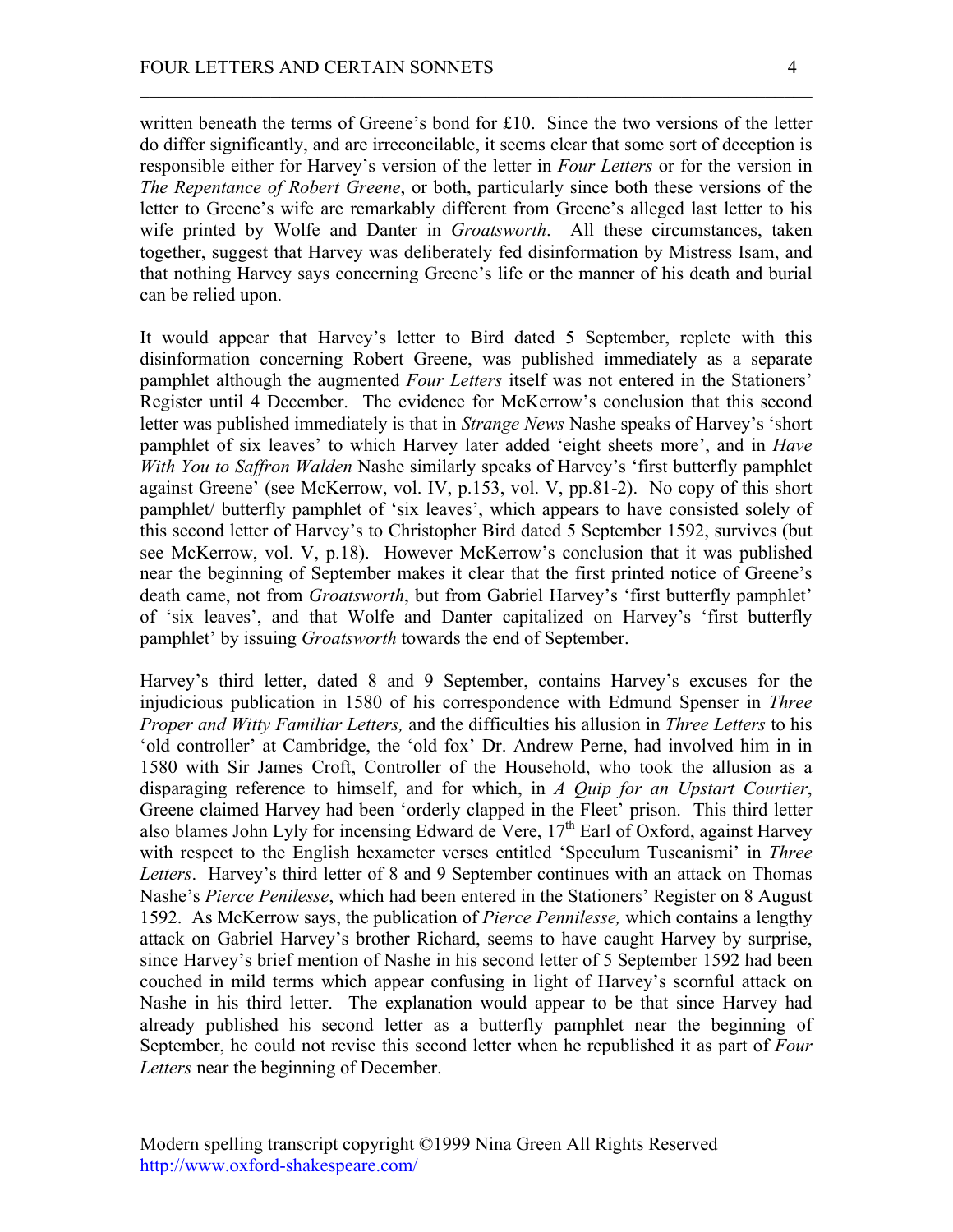written beneath the terms of Greene's bond for £10. Since the two versions of the letter do differ significantly, and are irreconcilable, it seems clear that some sort of deception is responsible either for Harvey's version of the letter in *Four Letters* or for the version in *The Repentance of Robert Greene*, or both, particularly since both these versions of the letter to Greene's wife are remarkably different from Greene's alleged last letter to his wife printed by Wolfe and Danter in *Groatsworth*. All these circumstances, taken together, suggest that Harvey was deliberately fed disinformation by Mistress Isam, and that nothing Harvey says concerning Greene's life or the manner of his death and burial can be relied upon.

 $\mathcal{L}_\text{max}$  , and the contribution of the contribution of the contribution of the contribution of the contribution of the contribution of the contribution of the contribution of the contribution of the contribution of t

It would appear that Harvey's letter to Bird dated 5 September, replete with this disinformation concerning Robert Greene, was published immediately as a separate pamphlet although the augmented *Four Letters* itself was not entered in the Stationers' Register until 4 December. The evidence for McKerrow's conclusion that this second letter was published immediately is that in *Strange News* Nashe speaks of Harvey's 'short pamphlet of six leaves' to which Harvey later added 'eight sheets more', and in *Have With You to Saffron Walden* Nashe similarly speaks of Harvey's 'first butterfly pamphlet against Greene' (see McKerrow, vol. IV, p.153, vol. V, pp.81-2). No copy of this short pamphlet/ butterfly pamphlet of 'six leaves', which appears to have consisted solely of this second letter of Harvey's to Christopher Bird dated 5 September 1592, survives (but see McKerrow, vol. V, p.18). However McKerrow's conclusion that it was published near the beginning of September makes it clear that the first printed notice of Greene's death came, not from *Groatsworth*, but from Gabriel Harvey's 'first butterfly pamphlet' of 'six leaves', and that Wolfe and Danter capitalized on Harvey's 'first butterfly pamphlet' by issuing *Groatsworth* towards the end of September.

Harvey's third letter, dated 8 and 9 September, contains Harvey's excuses for the injudicious publication in 1580 of his correspondence with Edmund Spenser in *Three Proper and Witty Familiar Letters,* and the difficulties his allusion in *Three Letters* to his 'old controller' at Cambridge, the 'old fox' Dr. Andrew Perne, had involved him in in 1580 with Sir James Croft, Controller of the Household, who took the allusion as a disparaging reference to himself, and for which, in *A Quip for an Upstart Courtier*, Greene claimed Harvey had been 'orderly clapped in the Fleet' prison. This third letter also blames John Lyly for incensing Edward de Vere,  $17<sup>th</sup>$  Earl of Oxford, against Harvey with respect to the English hexameter verses entitled 'Speculum Tuscanismi' in *Three Letters*. Harvey's third letter of 8 and 9 September continues with an attack on Thomas Nashe's *Pierce Penilesse*, which had been entered in the Stationers' Register on 8 August 1592. As McKerrow says, the publication of *Pierce Pennilesse,* which contains a lengthy attack on Gabriel Harvey's brother Richard, seems to have caught Harvey by surprise, since Harvey's brief mention of Nashe in his second letter of 5 September 1592 had been couched in mild terms which appear confusing in light of Harvey's scornful attack on Nashe in his third letter. The explanation would appear to be that since Harvey had already published his second letter as a butterfly pamphlet near the beginning of September, he could not revise this second letter when he republished it as part of *Four Letters* near the beginning of December.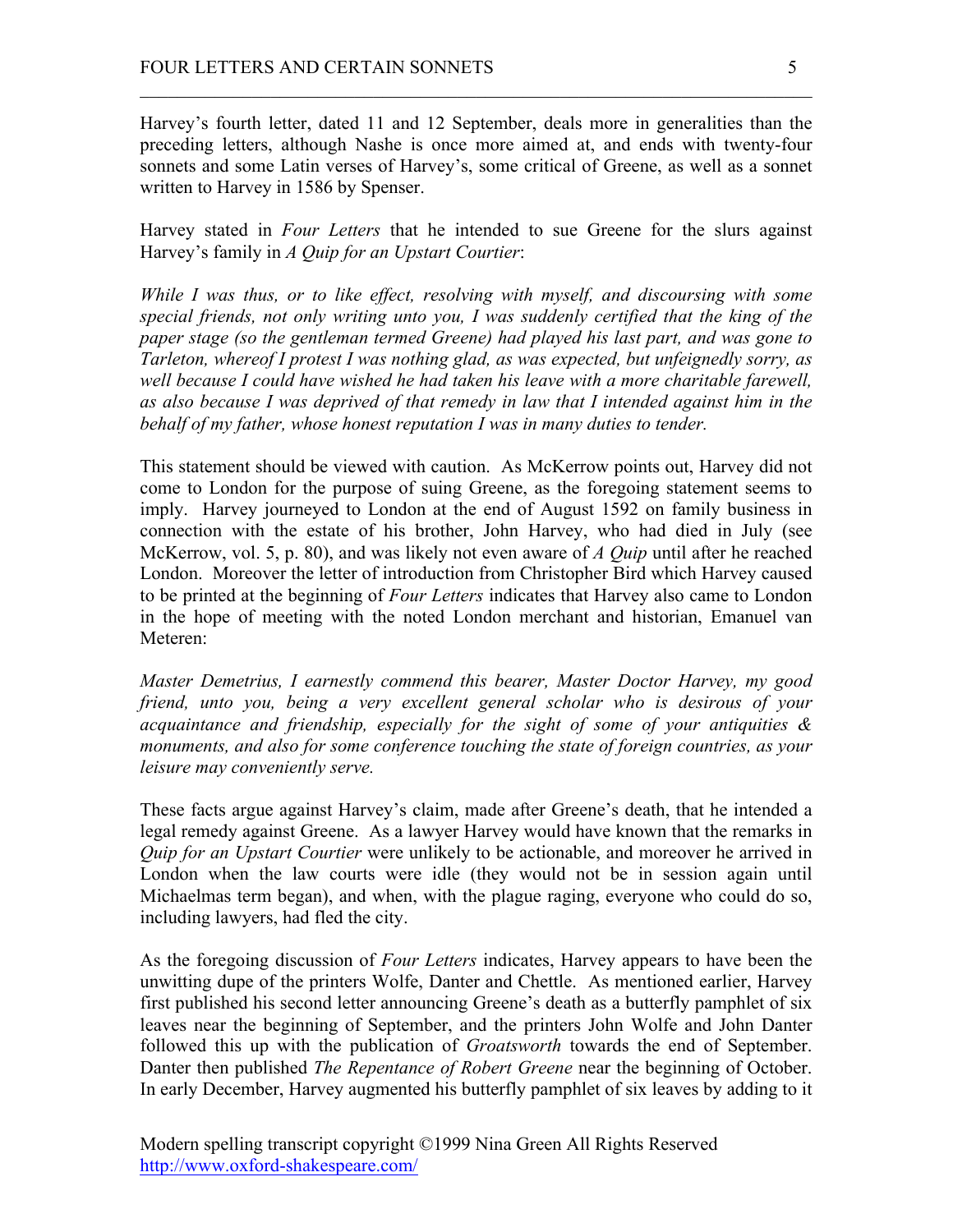Harvey's fourth letter, dated 11 and 12 September, deals more in generalities than the preceding letters, although Nashe is once more aimed at, and ends with twenty-four sonnets and some Latin verses of Harvey's, some critical of Greene, as well as a sonnet written to Harvey in 1586 by Spenser.

 $\mathcal{L}_\text{max}$  , and the contribution of the contribution of the contribution of the contribution of the contribution of the contribution of the contribution of the contribution of the contribution of the contribution of t

Harvey stated in *Four Letters* that he intended to sue Greene for the slurs against Harvey's family in *A Quip for an Upstart Courtier*:

*While I was thus, or to like effect, resolving with myself, and discoursing with some special friends, not only writing unto you, I was suddenly certified that the king of the paper stage (so the gentleman termed Greene) had played his last part, and was gone to Tarleton, whereof I protest I was nothing glad, as was expected, but unfeignedly sorry, as well because I could have wished he had taken his leave with a more charitable farewell, as also because I was deprived of that remedy in law that I intended against him in the behalf of my father, whose honest reputation I was in many duties to tender.* 

This statement should be viewed with caution. As McKerrow points out, Harvey did not come to London for the purpose of suing Greene, as the foregoing statement seems to imply. Harvey journeyed to London at the end of August 1592 on family business in connection with the estate of his brother, John Harvey, who had died in July (see McKerrow, vol. 5, p. 80), and was likely not even aware of *A Quip* until after he reached London. Moreover the letter of introduction from Christopher Bird which Harvey caused to be printed at the beginning of *Four Letters* indicates that Harvey also came to London in the hope of meeting with the noted London merchant and historian, Emanuel van Meteren:

*Master Demetrius, I earnestly commend this bearer, Master Doctor Harvey, my good friend, unto you, being a very excellent general scholar who is desirous of your acquaintance and friendship, especially for the sight of some of your antiquities & monuments, and also for some conference touching the state of foreign countries, as your leisure may conveniently serve.* 

These facts argue against Harvey's claim, made after Greene's death, that he intended a legal remedy against Greene. As a lawyer Harvey would have known that the remarks in *Quip for an Upstart Courtier* were unlikely to be actionable, and moreover he arrived in London when the law courts were idle (they would not be in session again until Michaelmas term began), and when, with the plague raging, everyone who could do so, including lawyers, had fled the city.

As the foregoing discussion of *Four Letters* indicates, Harvey appears to have been the unwitting dupe of the printers Wolfe, Danter and Chettle. As mentioned earlier, Harvey first published his second letter announcing Greene's death as a butterfly pamphlet of six leaves near the beginning of September, and the printers John Wolfe and John Danter followed this up with the publication of *Groatsworth* towards the end of September. Danter then published *The Repentance of Robert Greene* near the beginning of October. In early December, Harvey augmented his butterfly pamphlet of six leaves by adding to it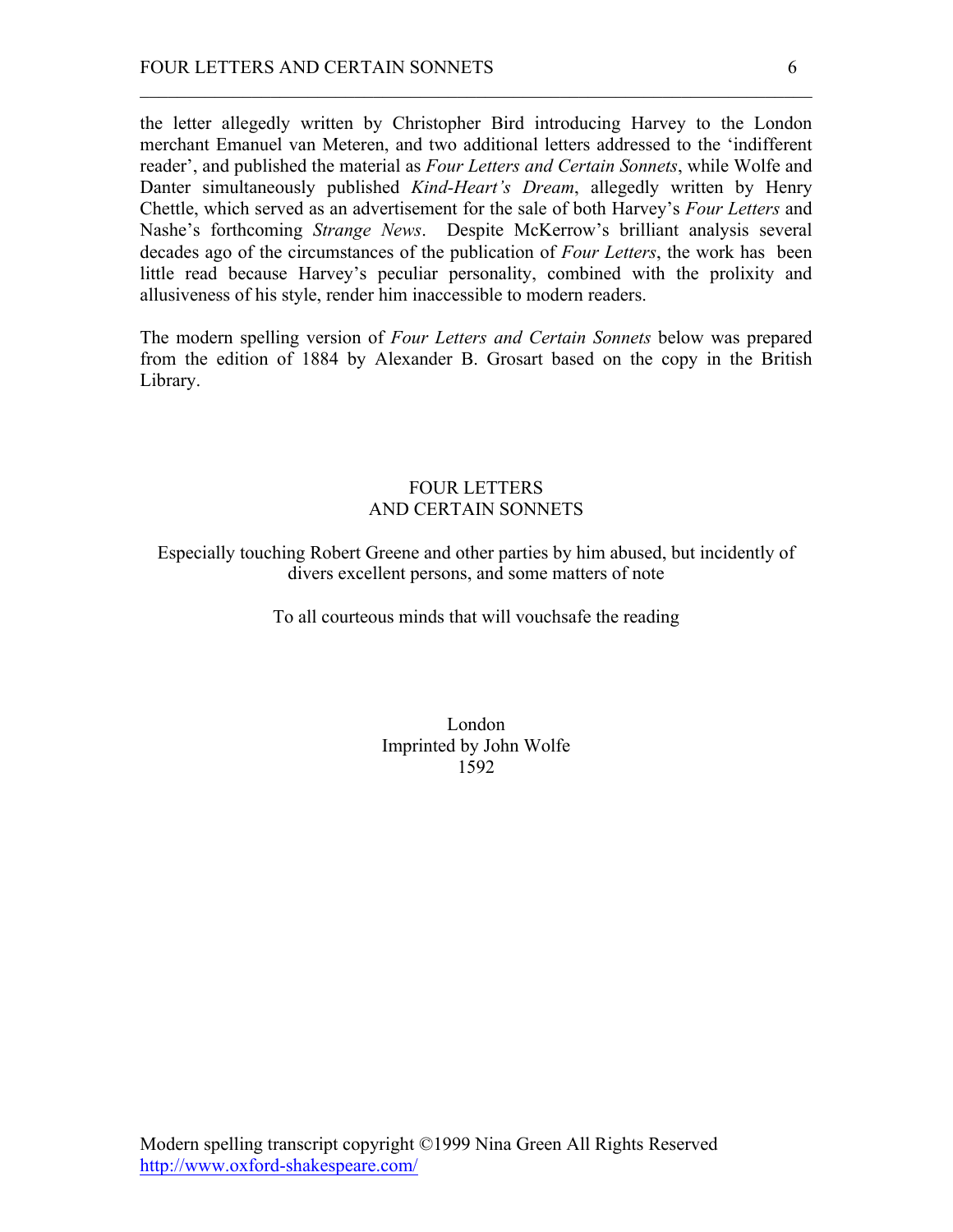the letter allegedly written by Christopher Bird introducing Harvey to the London merchant Emanuel van Meteren, and two additional letters addressed to the 'indifferent reader', and published the material as *Four Letters and Certain Sonnets*, while Wolfe and Danter simultaneously published *Kind-Heart's Dream*, allegedly written by Henry Chettle, which served as an advertisement for the sale of both Harvey's *Four Letters* and Nashe's forthcoming *Strange News*. Despite McKerrow's brilliant analysis several decades ago of the circumstances of the publication of *Four Letters*, the work has been little read because Harvey's peculiar personality, combined with the prolixity and allusiveness of his style, render him inaccessible to modern readers.

 $\mathcal{L}_\text{max}$  , and the contribution of the contribution of the contribution of the contribution of the contribution of the contribution of the contribution of the contribution of the contribution of the contribution of t

The modern spelling version of *Four Letters and Certain Sonnets* below was prepared from the edition of 1884 by Alexander B. Grosart based on the copy in the British Library.

# FOUR LETTERS AND CERTAIN SONNETS

Especially touching Robert Greene and other parties by him abused, but incidently of divers excellent persons, and some matters of note

To all courteous minds that will vouchsafe the reading

London Imprinted by John Wolfe 1592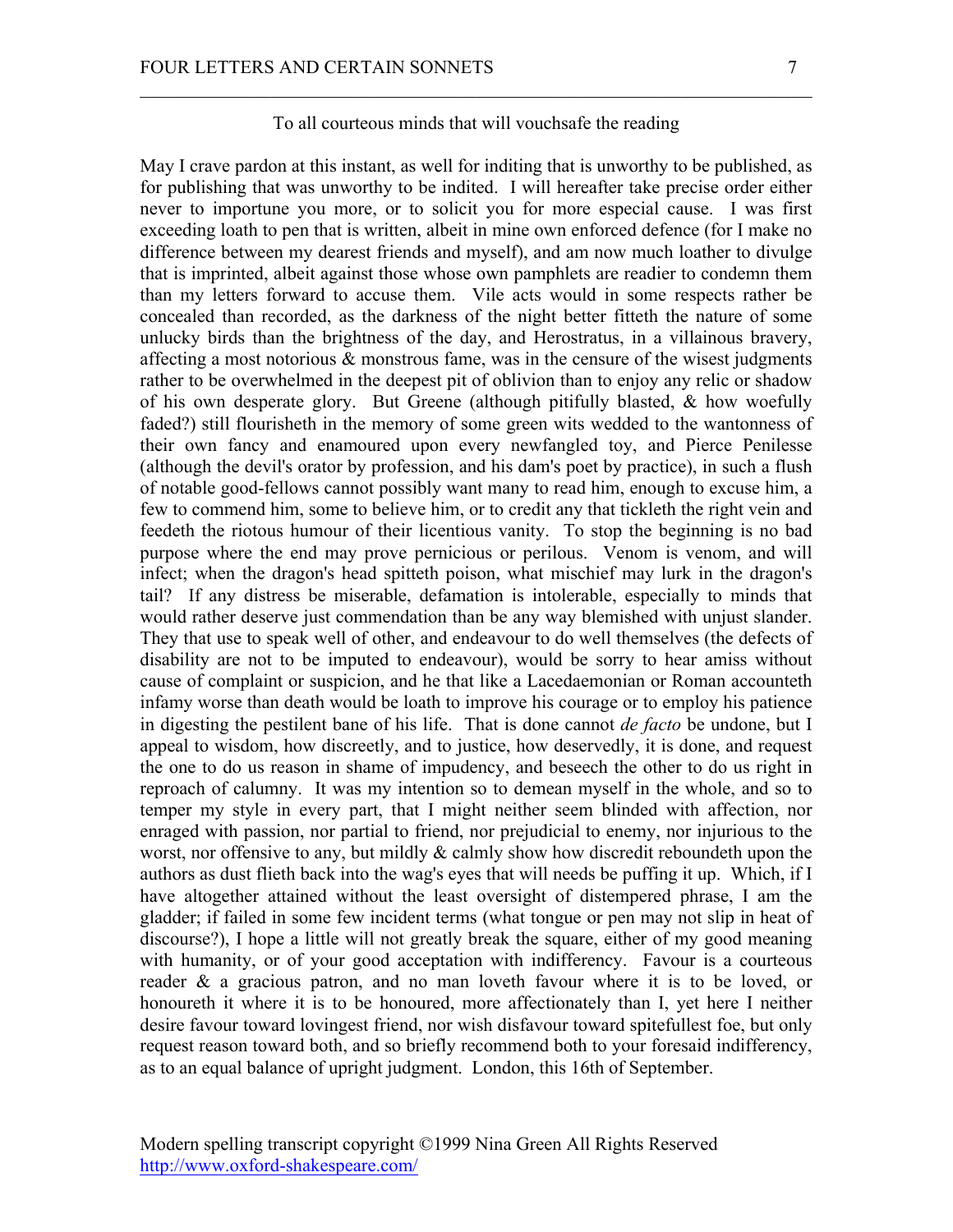May I crave pardon at this instant, as well for inditing that is unworthy to be published, as for publishing that was unworthy to be indited. I will hereafter take precise order either never to importune you more, or to solicit you for more especial cause. I was first exceeding loath to pen that is written, albeit in mine own enforced defence (for I make no difference between my dearest friends and myself), and am now much loather to divulge that is imprinted, albeit against those whose own pamphlets are readier to condemn them than my letters forward to accuse them. Vile acts would in some respects rather be concealed than recorded, as the darkness of the night better fitteth the nature of some unlucky birds than the brightness of the day, and Herostratus, in a villainous bravery, affecting a most notorious  $\&$  monstrous fame, was in the censure of the wisest judgments rather to be overwhelmed in the deepest pit of oblivion than to enjoy any relic or shadow of his own desperate glory. But Greene (although pitifully blasted, & how woefully faded?) still flourisheth in the memory of some green wits wedded to the wantonness of their own fancy and enamoured upon every newfangled toy, and Pierce Penilesse (although the devil's orator by profession, and his dam's poet by practice), in such a flush of notable good-fellows cannot possibly want many to read him, enough to excuse him, a few to commend him, some to believe him, or to credit any that tickleth the right vein and feedeth the riotous humour of their licentious vanity. To stop the beginning is no bad purpose where the end may prove pernicious or perilous. Venom is venom, and will infect; when the dragon's head spitteth poison, what mischief may lurk in the dragon's tail? If any distress be miserable, defamation is intolerable, especially to minds that would rather deserve just commendation than be any way blemished with unjust slander. They that use to speak well of other, and endeavour to do well themselves (the defects of disability are not to be imputed to endeavour), would be sorry to hear amiss without cause of complaint or suspicion, and he that like a Lacedaemonian or Roman accounteth infamy worse than death would be loath to improve his courage or to employ his patience in digesting the pestilent bane of his life. That is done cannot *de facto* be undone, but I appeal to wisdom, how discreetly, and to justice, how deservedly, it is done, and request the one to do us reason in shame of impudency, and beseech the other to do us right in reproach of calumny. It was my intention so to demean myself in the whole, and so to temper my style in every part, that I might neither seem blinded with affection, nor enraged with passion, nor partial to friend, nor prejudicial to enemy, nor injurious to the worst, nor offensive to any, but mildly  $\&$  calmly show how discredit reboundeth upon the authors as dust flieth back into the wag's eyes that will needs be puffing it up. Which, if I have altogether attained without the least oversight of distempered phrase, I am the gladder; if failed in some few incident terms (what tongue or pen may not slip in heat of discourse?), I hope a little will not greatly break the square, either of my good meaning with humanity, or of your good acceptation with indifferency. Favour is a courteous reader & a gracious patron, and no man loveth favour where it is to be loved, or honoureth it where it is to be honoured, more affectionately than I, yet here I neither desire favour toward lovingest friend, nor wish disfavour toward spitefullest foe, but only request reason toward both, and so briefly recommend both to your foresaid indifferency, as to an equal balance of upright judgment. London, this 16th of September.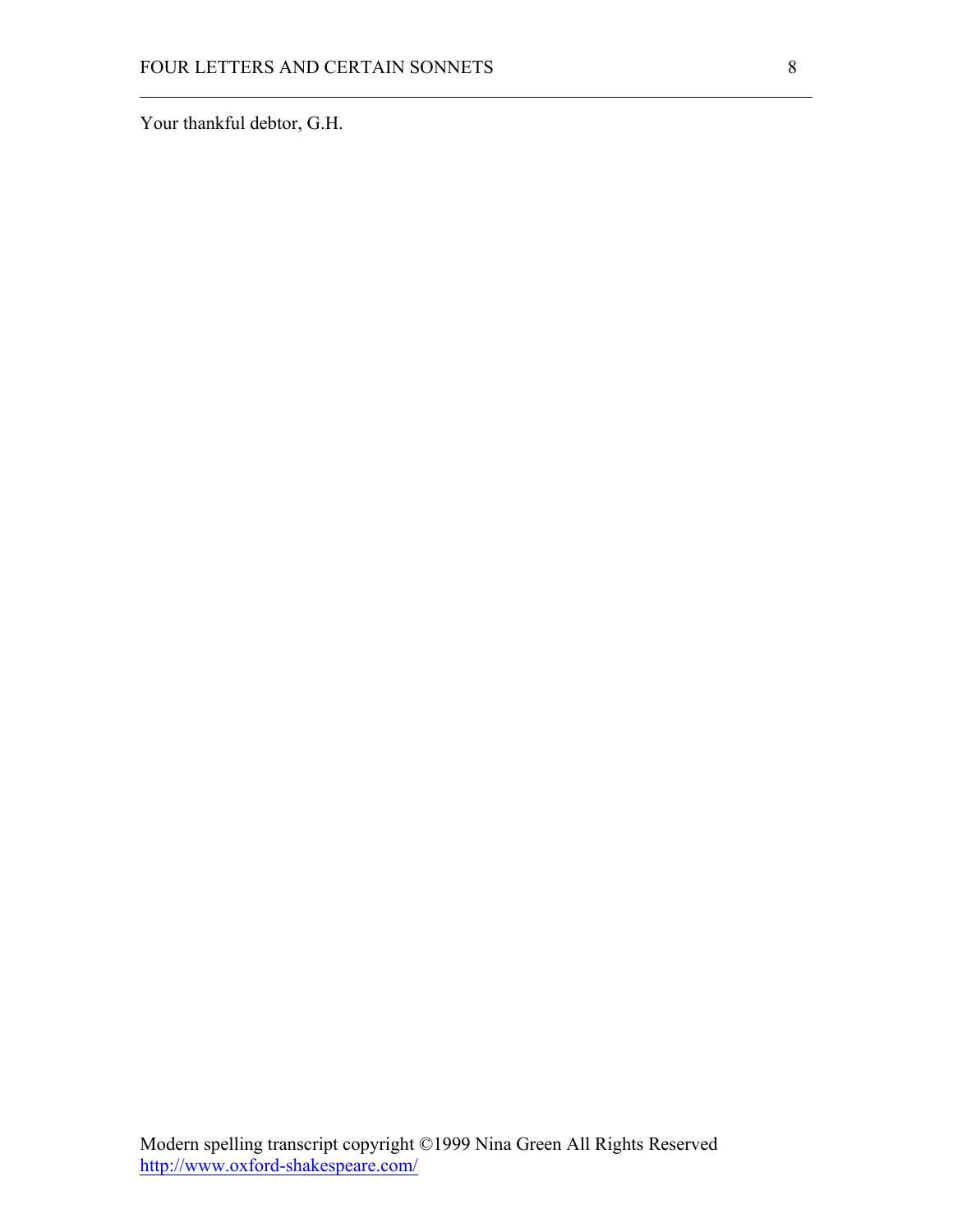Your thankful debtor, G.H.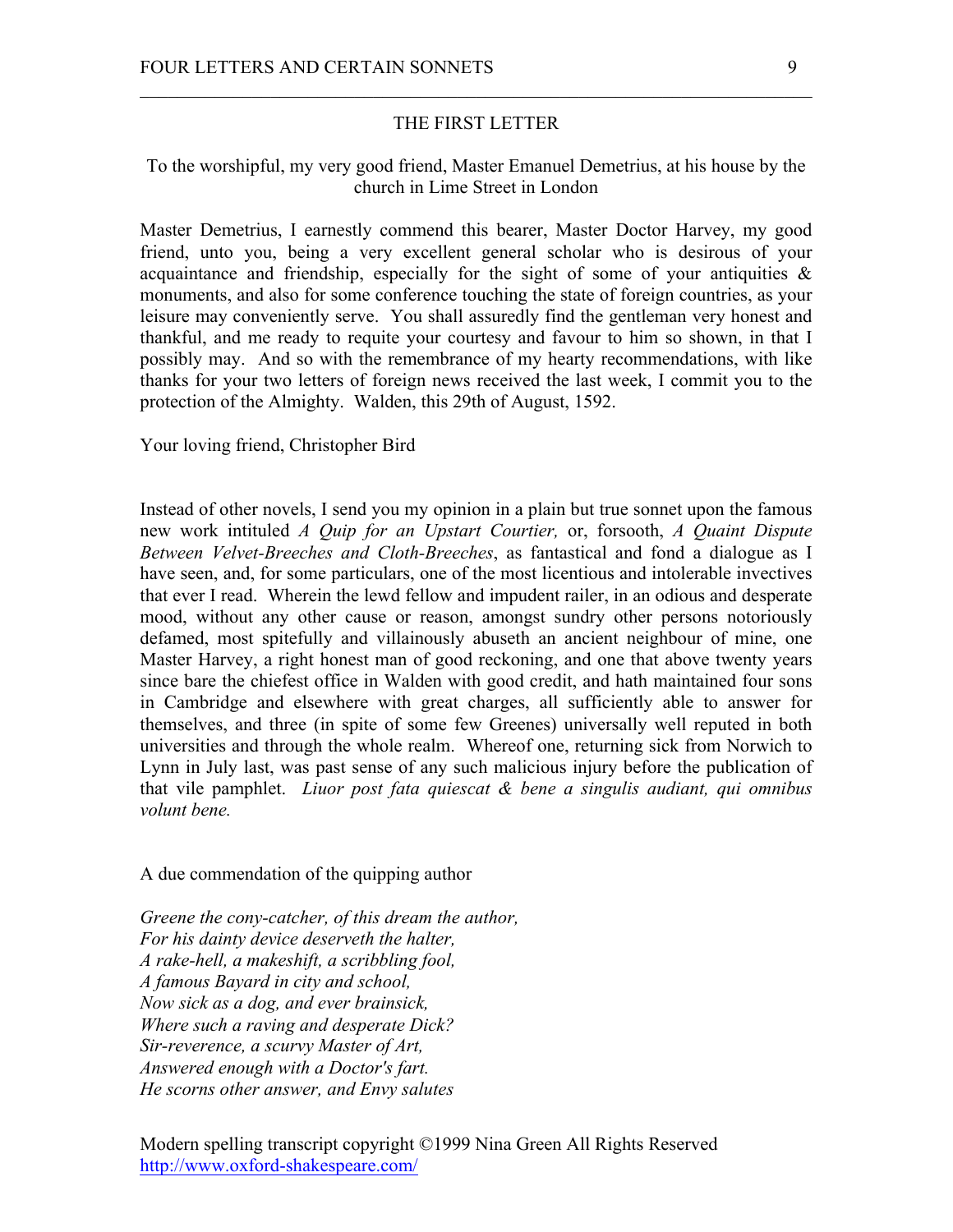# THE FIRST LETTER

 $\mathcal{L}_\text{max}$  , and the contribution of the contribution of the contribution of the contribution of the contribution of the contribution of the contribution of the contribution of the contribution of the contribution of t

# To the worshipful, my very good friend, Master Emanuel Demetrius, at his house by the church in Lime Street in London

Master Demetrius, I earnestly commend this bearer, Master Doctor Harvey, my good friend, unto you, being a very excellent general scholar who is desirous of your acquaintance and friendship, especially for the sight of some of your antiquities  $\&$ monuments, and also for some conference touching the state of foreign countries, as your leisure may conveniently serve. You shall assuredly find the gentleman very honest and thankful, and me ready to requite your courtesy and favour to him so shown, in that I possibly may. And so with the remembrance of my hearty recommendations, with like thanks for your two letters of foreign news received the last week, I commit you to the protection of the Almighty. Walden, this 29th of August, 1592.

Your loving friend, Christopher Bird

Instead of other novels, I send you my opinion in a plain but true sonnet upon the famous new work intituled *A Quip for an Upstart Courtier,* or, forsooth, *A Quaint Dispute Between Velvet-Breeches and Cloth-Breeches*, as fantastical and fond a dialogue as I have seen, and, for some particulars, one of the most licentious and intolerable invectives that ever I read. Wherein the lewd fellow and impudent railer, in an odious and desperate mood, without any other cause or reason, amongst sundry other persons notoriously defamed, most spitefully and villainously abuseth an ancient neighbour of mine, one Master Harvey, a right honest man of good reckoning, and one that above twenty years since bare the chiefest office in Walden with good credit, and hath maintained four sons in Cambridge and elsewhere with great charges, all sufficiently able to answer for themselves, and three (in spite of some few Greenes) universally well reputed in both universities and through the whole realm. Whereof one, returning sick from Norwich to Lynn in July last, was past sense of any such malicious injury before the publication of that vile pamphlet. *Liuor post fata quiescat & bene a singulis audiant, qui omnibus volunt bene.*

A due commendation of the quipping author

*Greene the cony-catcher, of this dream the author, For his dainty device deserveth the halter, A rake-hell, a makeshift, a scribbling fool, A famous Bayard in city and school, Now sick as a dog, and ever brainsick, Where such a raving and desperate Dick? Sir-reverence, a scurvy Master of Art, Answered enough with a Doctor's fart. He scorns other answer, and Envy salutes*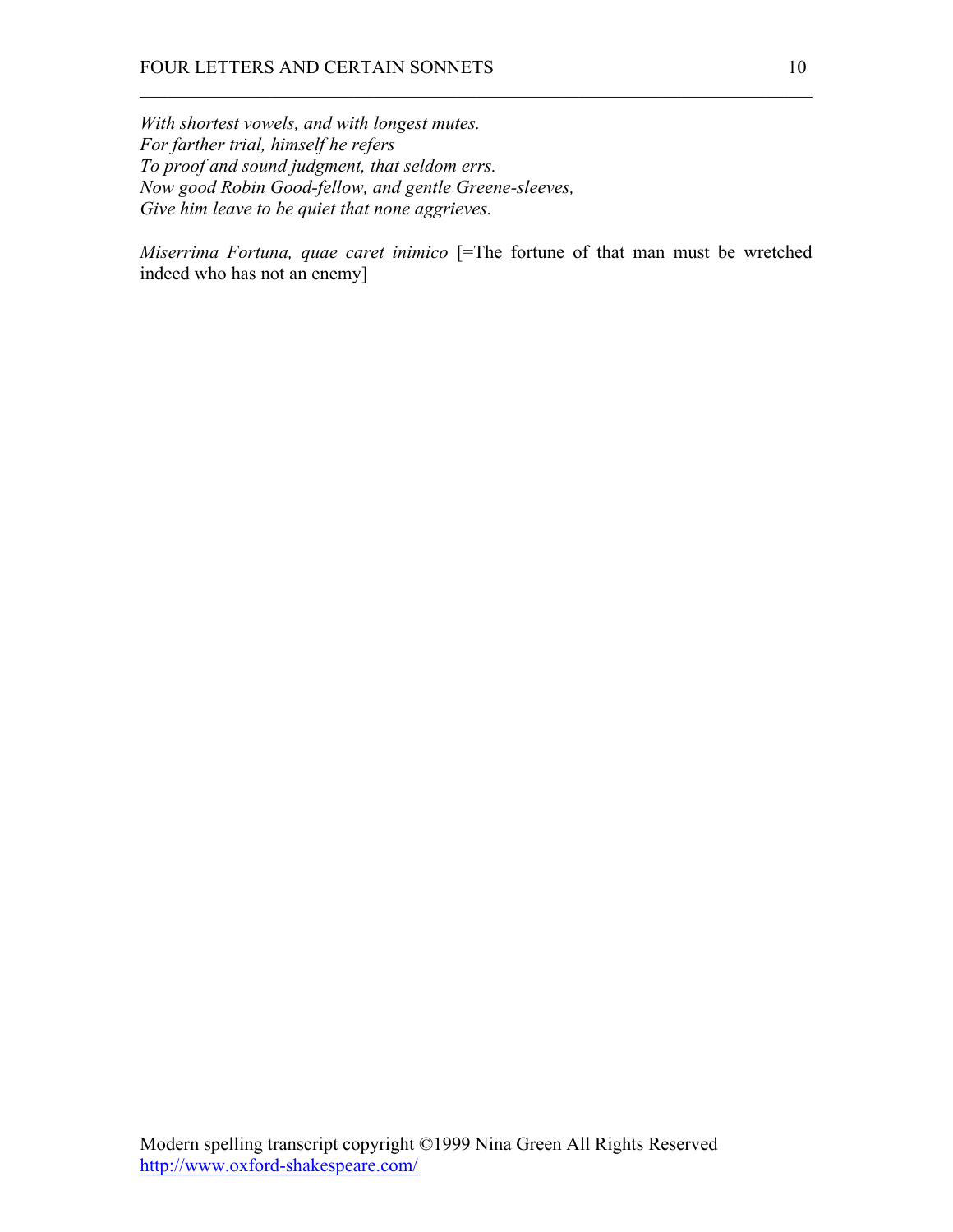*With shortest vowels, and with longest mutes. For farther trial, himself he refers To proof and sound judgment, that seldom errs. Now good Robin Good-fellow, and gentle Greene-sleeves, Give him leave to be quiet that none aggrieves.*

*Miserrima Fortuna, quae caret inimico* [=The fortune of that man must be wretched indeed who has not an enemy]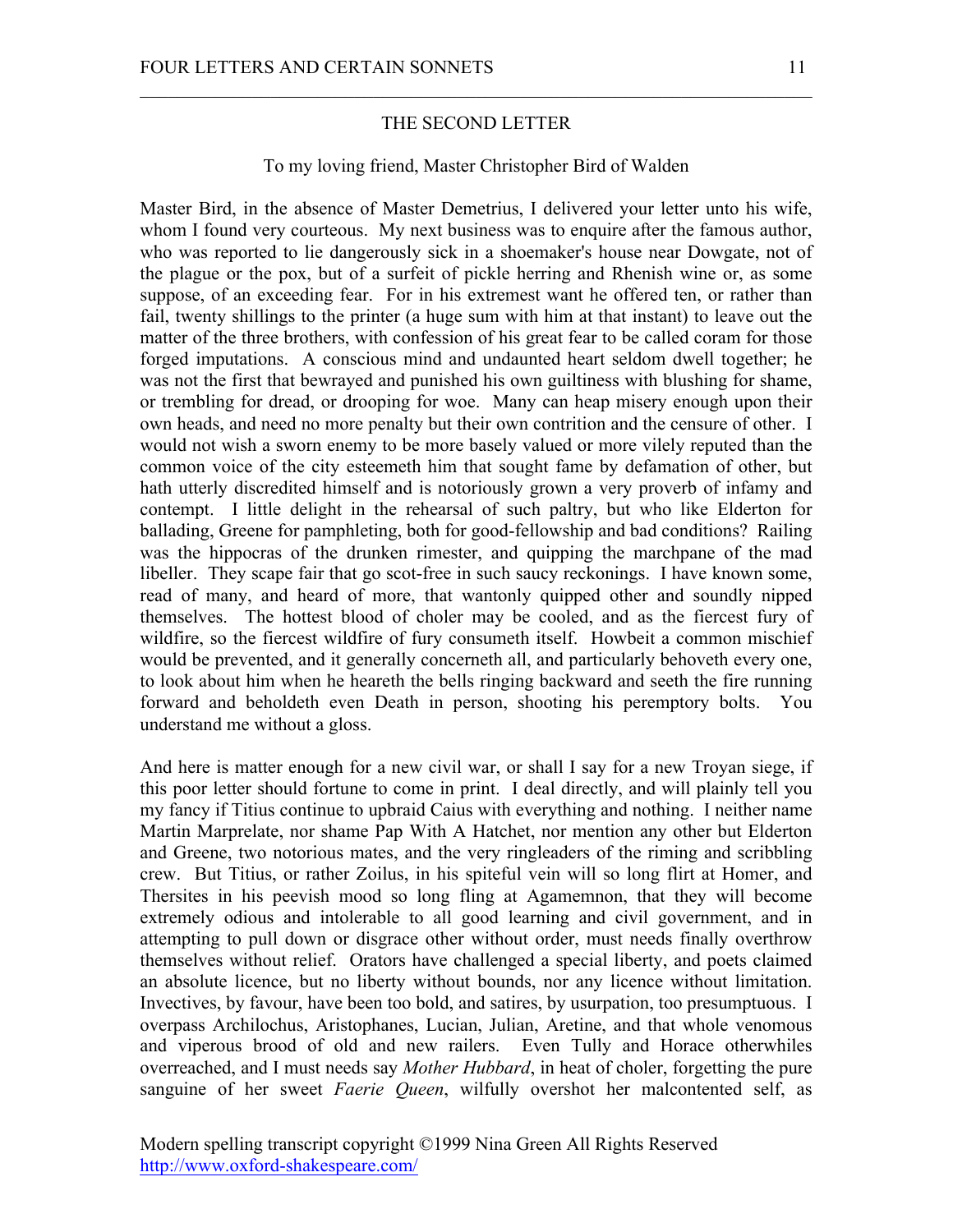# THE SECOND LETTER

 $\mathcal{L}_\text{max}$  , and the contribution of the contribution of the contribution of the contribution of the contribution of the contribution of the contribution of the contribution of the contribution of the contribution of t

# To my loving friend, Master Christopher Bird of Walden

Master Bird, in the absence of Master Demetrius, I delivered your letter unto his wife, whom I found very courteous. My next business was to enquire after the famous author, who was reported to lie dangerously sick in a shoemaker's house near Dowgate, not of the plague or the pox, but of a surfeit of pickle herring and Rhenish wine or, as some suppose, of an exceeding fear. For in his extremest want he offered ten, or rather than fail, twenty shillings to the printer (a huge sum with him at that instant) to leave out the matter of the three brothers, with confession of his great fear to be called coram for those forged imputations. A conscious mind and undaunted heart seldom dwell together; he was not the first that bewrayed and punished his own guiltiness with blushing for shame, or trembling for dread, or drooping for woe. Many can heap misery enough upon their own heads, and need no more penalty but their own contrition and the censure of other. I would not wish a sworn enemy to be more basely valued or more vilely reputed than the common voice of the city esteemeth him that sought fame by defamation of other, but hath utterly discredited himself and is notoriously grown a very proverb of infamy and contempt. I little delight in the rehearsal of such paltry, but who like Elderton for ballading, Greene for pamphleting, both for good-fellowship and bad conditions? Railing was the hippocras of the drunken rimester, and quipping the marchpane of the mad libeller. They scape fair that go scot-free in such saucy reckonings. I have known some, read of many, and heard of more, that wantonly quipped other and soundly nipped themselves. The hottest blood of choler may be cooled, and as the fiercest fury of wildfire, so the fiercest wildfire of fury consumeth itself. Howbeit a common mischief would be prevented, and it generally concerneth all, and particularly behoveth every one, to look about him when he heareth the bells ringing backward and seeth the fire running forward and beholdeth even Death in person, shooting his peremptory bolts. You understand me without a gloss.

And here is matter enough for a new civil war, or shall I say for a new Troyan siege, if this poor letter should fortune to come in print. I deal directly, and will plainly tell you my fancy if Titius continue to upbraid Caius with everything and nothing. I neither name Martin Marprelate, nor shame Pap With A Hatchet, nor mention any other but Elderton and Greene, two notorious mates, and the very ringleaders of the riming and scribbling crew. But Titius, or rather Zoilus, in his spiteful vein will so long flirt at Homer, and Thersites in his peevish mood so long fling at Agamemnon, that they will become extremely odious and intolerable to all good learning and civil government, and in attempting to pull down or disgrace other without order, must needs finally overthrow themselves without relief. Orators have challenged a special liberty, and poets claimed an absolute licence, but no liberty without bounds, nor any licence without limitation. Invectives, by favour, have been too bold, and satires, by usurpation, too presumptuous. I overpass Archilochus, Aristophanes, Lucian, Julian, Aretine, and that whole venomous and viperous brood of old and new railers. Even Tully and Horace otherwhiles overreached, and I must needs say *Mother Hubbard*, in heat of choler, forgetting the pure sanguine of her sweet *Faerie Queen*, wilfully overshot her malcontented self, as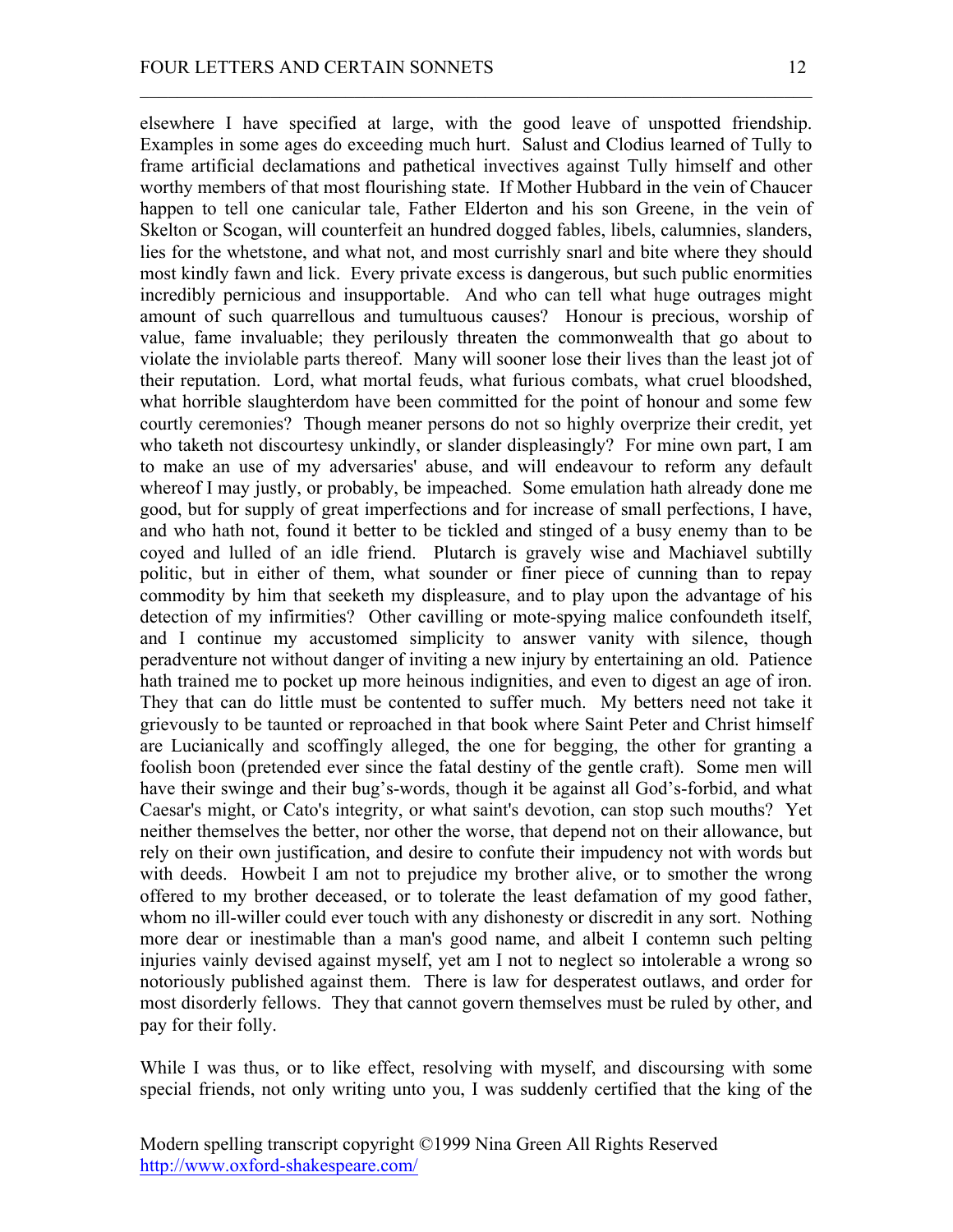elsewhere I have specified at large, with the good leave of unspotted friendship. Examples in some ages do exceeding much hurt. Salust and Clodius learned of Tully to frame artificial declamations and pathetical invectives against Tully himself and other worthy members of that most flourishing state. If Mother Hubbard in the vein of Chaucer happen to tell one canicular tale, Father Elderton and his son Greene, in the vein of Skelton or Scogan, will counterfeit an hundred dogged fables, libels, calumnies, slanders, lies for the whetstone, and what not, and most currishly snarl and bite where they should most kindly fawn and lick. Every private excess is dangerous, but such public enormities incredibly pernicious and insupportable. And who can tell what huge outrages might amount of such quarrellous and tumultuous causes? Honour is precious, worship of value, fame invaluable; they perilously threaten the commonwealth that go about to violate the inviolable parts thereof. Many will sooner lose their lives than the least jot of their reputation. Lord, what mortal feuds, what furious combats, what cruel bloodshed, what horrible slaughterdom have been committed for the point of honour and some few courtly ceremonies? Though meaner persons do not so highly overprize their credit, yet who taketh not discourtesy unkindly, or slander displeasingly? For mine own part, I am to make an use of my adversaries' abuse, and will endeavour to reform any default whereof I may justly, or probably, be impeached. Some emulation hath already done me good, but for supply of great imperfections and for increase of small perfections, I have, and who hath not, found it better to be tickled and stinged of a busy enemy than to be coyed and lulled of an idle friend. Plutarch is gravely wise and Machiavel subtilly politic, but in either of them, what sounder or finer piece of cunning than to repay commodity by him that seeketh my displeasure, and to play upon the advantage of his detection of my infirmities? Other cavilling or mote-spying malice confoundeth itself, and I continue my accustomed simplicity to answer vanity with silence, though peradventure not without danger of inviting a new injury by entertaining an old. Patience hath trained me to pocket up more heinous indignities, and even to digest an age of iron. They that can do little must be contented to suffer much. My betters need not take it grievously to be taunted or reproached in that book where Saint Peter and Christ himself are Lucianically and scoffingly alleged, the one for begging, the other for granting a foolish boon (pretended ever since the fatal destiny of the gentle craft). Some men will have their swinge and their bug's-words, though it be against all God's-forbid, and what Caesar's might, or Cato's integrity, or what saint's devotion, can stop such mouths? Yet neither themselves the better, nor other the worse, that depend not on their allowance, but rely on their own justification, and desire to confute their impudency not with words but with deeds. Howbeit I am not to prejudice my brother alive, or to smother the wrong offered to my brother deceased, or to tolerate the least defamation of my good father, whom no ill-willer could ever touch with any dishonesty or discredit in any sort. Nothing more dear or inestimable than a man's good name, and albeit I contemn such pelting injuries vainly devised against myself, yet am I not to neglect so intolerable a wrong so notoriously published against them. There is law for desperatest outlaws, and order for most disorderly fellows. They that cannot govern themselves must be ruled by other, and pay for their folly.

 $\mathcal{L}_\text{max}$  , and the contribution of the contribution of the contribution of the contribution of the contribution of the contribution of the contribution of the contribution of the contribution of the contribution of t

While I was thus, or to like effect, resolving with myself, and discoursing with some special friends, not only writing unto you, I was suddenly certified that the king of the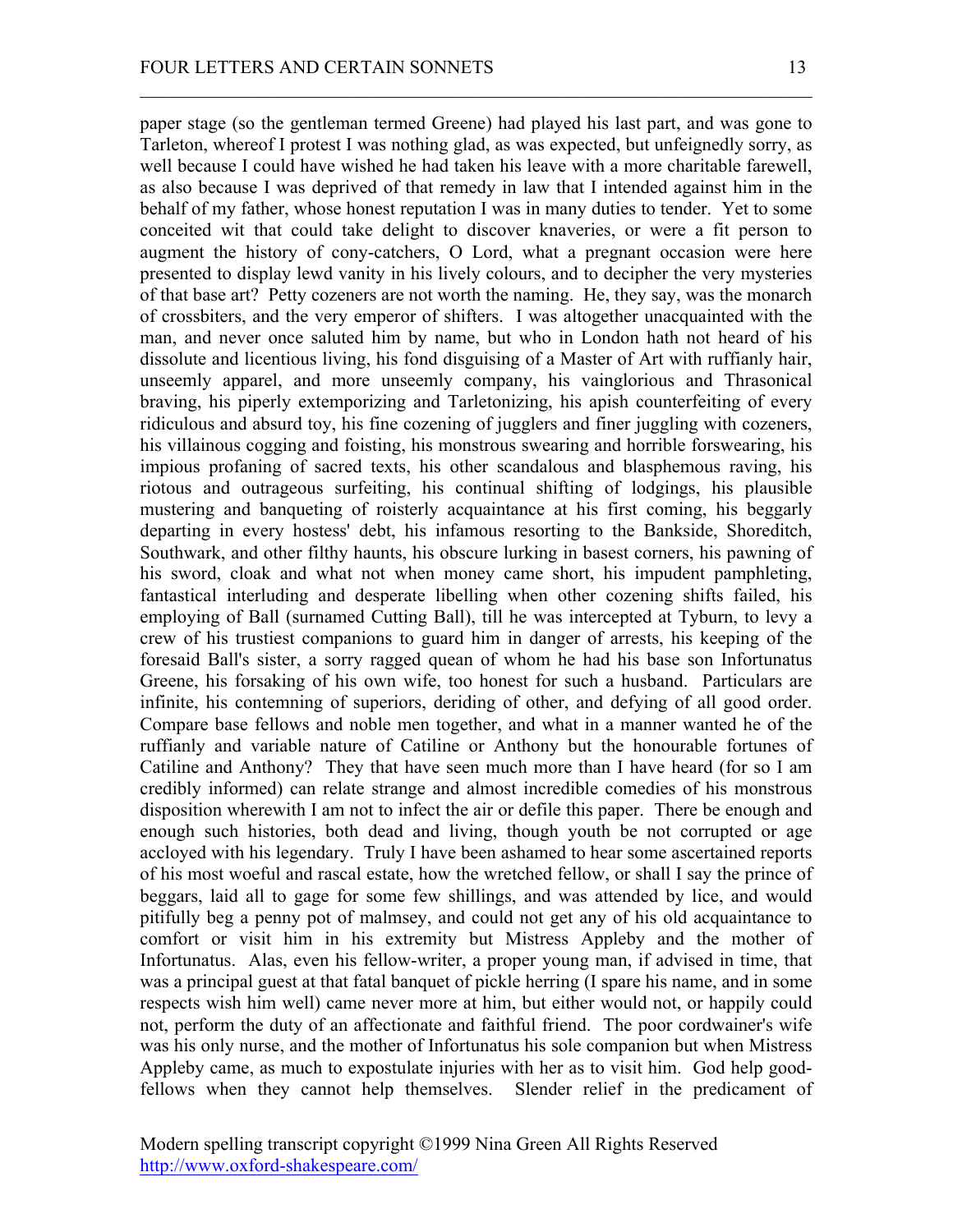paper stage (so the gentleman termed Greene) had played his last part, and was gone to Tarleton, whereof I protest I was nothing glad, as was expected, but unfeignedly sorry, as well because I could have wished he had taken his leave with a more charitable farewell, as also because I was deprived of that remedy in law that I intended against him in the behalf of my father, whose honest reputation I was in many duties to tender. Yet to some conceited wit that could take delight to discover knaveries, or were a fit person to augment the history of cony-catchers, O Lord, what a pregnant occasion were here presented to display lewd vanity in his lively colours, and to decipher the very mysteries of that base art? Petty cozeners are not worth the naming. He, they say, was the monarch of crossbiters, and the very emperor of shifters. I was altogether unacquainted with the man, and never once saluted him by name, but who in London hath not heard of his dissolute and licentious living, his fond disguising of a Master of Art with ruffianly hair, unseemly apparel, and more unseemly company, his vainglorious and Thrasonical braving, his piperly extemporizing and Tarletonizing, his apish counterfeiting of every ridiculous and absurd toy, his fine cozening of jugglers and finer juggling with cozeners, his villainous cogging and foisting, his monstrous swearing and horrible forswearing, his impious profaning of sacred texts, his other scandalous and blasphemous raving, his riotous and outrageous surfeiting, his continual shifting of lodgings, his plausible mustering and banqueting of roisterly acquaintance at his first coming, his beggarly departing in every hostess' debt, his infamous resorting to the Bankside, Shoreditch, Southwark, and other filthy haunts, his obscure lurking in basest corners, his pawning of his sword, cloak and what not when money came short, his impudent pamphleting, fantastical interluding and desperate libelling when other cozening shifts failed, his employing of Ball (surnamed Cutting Ball), till he was intercepted at Tyburn, to levy a crew of his trustiest companions to guard him in danger of arrests, his keeping of the foresaid Ball's sister, a sorry ragged quean of whom he had his base son Infortunatus Greene, his forsaking of his own wife, too honest for such a husband. Particulars are infinite, his contemning of superiors, deriding of other, and defying of all good order. Compare base fellows and noble men together, and what in a manner wanted he of the ruffianly and variable nature of Catiline or Anthony but the honourable fortunes of Catiline and Anthony? They that have seen much more than I have heard (for so I am credibly informed) can relate strange and almost incredible comedies of his monstrous disposition wherewith I am not to infect the air or defile this paper. There be enough and enough such histories, both dead and living, though youth be not corrupted or age accloyed with his legendary. Truly I have been ashamed to hear some ascertained reports of his most woeful and rascal estate, how the wretched fellow, or shall I say the prince of beggars, laid all to gage for some few shillings, and was attended by lice, and would pitifully beg a penny pot of malmsey, and could not get any of his old acquaintance to comfort or visit him in his extremity but Mistress Appleby and the mother of Infortunatus. Alas, even his fellow-writer, a proper young man, if advised in time, that was a principal guest at that fatal banquet of pickle herring (I spare his name, and in some respects wish him well) came never more at him, but either would not, or happily could not, perform the duty of an affectionate and faithful friend. The poor cordwainer's wife was his only nurse, and the mother of Infortunatus his sole companion but when Mistress Appleby came, as much to expostulate injuries with her as to visit him. God help goodfellows when they cannot help themselves. Slender relief in the predicament of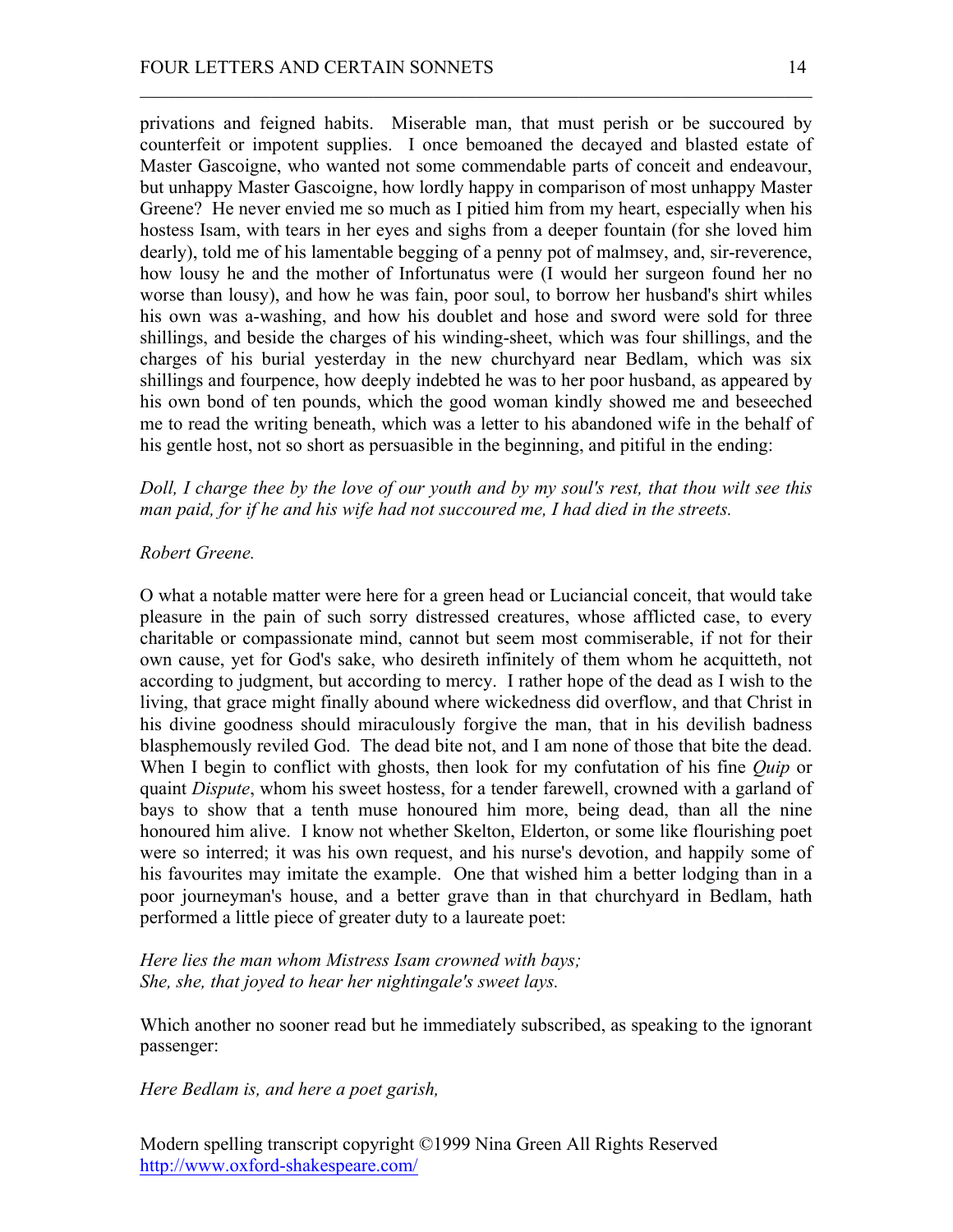privations and feigned habits. Miserable man, that must perish or be succoured by counterfeit or impotent supplies. I once bemoaned the decayed and blasted estate of Master Gascoigne, who wanted not some commendable parts of conceit and endeavour, but unhappy Master Gascoigne, how lordly happy in comparison of most unhappy Master Greene? He never envied me so much as I pitied him from my heart, especially when his hostess Isam, with tears in her eyes and sighs from a deeper fountain (for she loved him dearly), told me of his lamentable begging of a penny pot of malmsey, and, sir-reverence, how lousy he and the mother of Infortunatus were (I would her surgeon found her no worse than lousy), and how he was fain, poor soul, to borrow her husband's shirt whiles his own was a-washing, and how his doublet and hose and sword were sold for three shillings, and beside the charges of his winding-sheet, which was four shillings, and the charges of his burial yesterday in the new churchyard near Bedlam, which was six shillings and fourpence, how deeply indebted he was to her poor husband, as appeared by his own bond of ten pounds, which the good woman kindly showed me and beseeched me to read the writing beneath, which was a letter to his abandoned wife in the behalf of his gentle host, not so short as persuasible in the beginning, and pitiful in the ending:

 $\mathcal{L}_\text{max}$  , and the contribution of the contribution of the contribution of the contribution of the contribution of the contribution of the contribution of the contribution of the contribution of the contribution of t

*Doll, I charge thee by the love of our youth and by my soul's rest, that thou wilt see this man paid, for if he and his wife had not succoured me, I had died in the streets.*

# *Robert Greene.*

O what a notable matter were here for a green head or Luciancial conceit, that would take pleasure in the pain of such sorry distressed creatures, whose afflicted case, to every charitable or compassionate mind, cannot but seem most commiserable, if not for their own cause, yet for God's sake, who desireth infinitely of them whom he acquitteth, not according to judgment, but according to mercy. I rather hope of the dead as I wish to the living, that grace might finally abound where wickedness did overflow, and that Christ in his divine goodness should miraculously forgive the man, that in his devilish badness blasphemously reviled God. The dead bite not, and I am none of those that bite the dead. When I begin to conflict with ghosts, then look for my confutation of his fine *Quip* or quaint *Dispute*, whom his sweet hostess, for a tender farewell, crowned with a garland of bays to show that a tenth muse honoured him more, being dead, than all the nine honoured him alive. I know not whether Skelton, Elderton, or some like flourishing poet were so interred; it was his own request, and his nurse's devotion, and happily some of his favourites may imitate the example. One that wished him a better lodging than in a poor journeyman's house, and a better grave than in that churchyard in Bedlam, hath performed a little piece of greater duty to a laureate poet:

# *Here lies the man whom Mistress Isam crowned with bays; She, she, that joyed to hear her nightingale's sweet lays.*

Which another no sooner read but he immediately subscribed, as speaking to the ignorant passenger:

*Here Bedlam is, and here a poet garish,*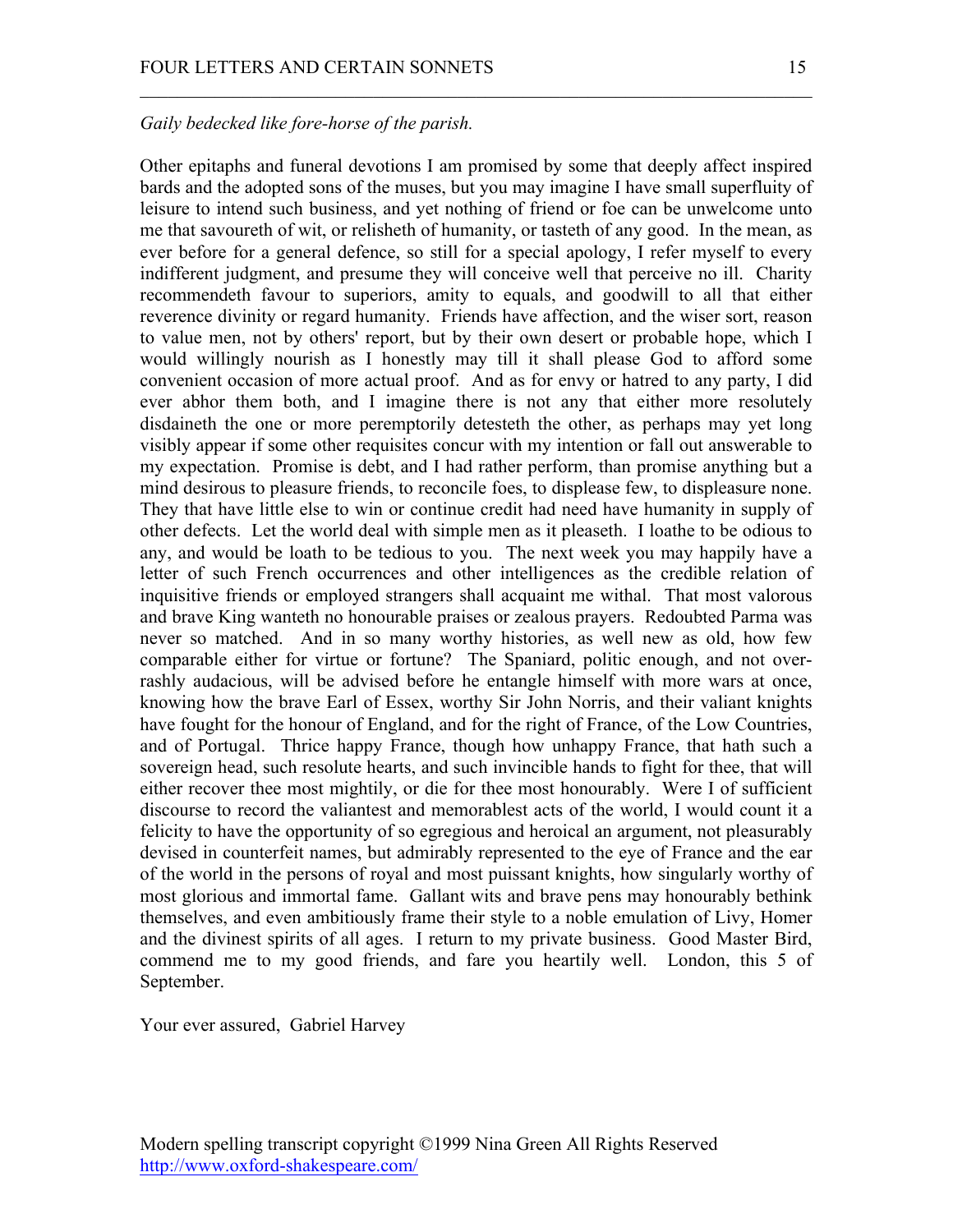# *Gaily bedecked like fore-horse of the parish.*

Other epitaphs and funeral devotions I am promised by some that deeply affect inspired bards and the adopted sons of the muses, but you may imagine I have small superfluity of leisure to intend such business, and yet nothing of friend or foe can be unwelcome unto me that savoureth of wit, or relisheth of humanity, or tasteth of any good. In the mean, as ever before for a general defence, so still for a special apology, I refer myself to every indifferent judgment, and presume they will conceive well that perceive no ill. Charity recommendeth favour to superiors, amity to equals, and goodwill to all that either reverence divinity or regard humanity. Friends have affection, and the wiser sort, reason to value men, not by others' report, but by their own desert or probable hope, which I would willingly nourish as I honestly may till it shall please God to afford some convenient occasion of more actual proof. And as for envy or hatred to any party, I did ever abhor them both, and I imagine there is not any that either more resolutely disdaineth the one or more peremptorily detesteth the other, as perhaps may yet long visibly appear if some other requisites concur with my intention or fall out answerable to my expectation. Promise is debt, and I had rather perform, than promise anything but a mind desirous to pleasure friends, to reconcile foes, to displease few, to displeasure none. They that have little else to win or continue credit had need have humanity in supply of other defects. Let the world deal with simple men as it pleaseth. I loathe to be odious to any, and would be loath to be tedious to you. The next week you may happily have a letter of such French occurrences and other intelligences as the credible relation of inquisitive friends or employed strangers shall acquaint me withal. That most valorous and brave King wanteth no honourable praises or zealous prayers. Redoubted Parma was never so matched. And in so many worthy histories, as well new as old, how few comparable either for virtue or fortune? The Spaniard, politic enough, and not overrashly audacious, will be advised before he entangle himself with more wars at once, knowing how the brave Earl of Essex, worthy Sir John Norris, and their valiant knights have fought for the honour of England, and for the right of France, of the Low Countries, and of Portugal. Thrice happy France, though how unhappy France, that hath such a sovereign head, such resolute hearts, and such invincible hands to fight for thee, that will either recover thee most mightily, or die for thee most honourably. Were I of sufficient discourse to record the valiantest and memorablest acts of the world, I would count it a felicity to have the opportunity of so egregious and heroical an argument, not pleasurably devised in counterfeit names, but admirably represented to the eye of France and the ear of the world in the persons of royal and most puissant knights, how singularly worthy of most glorious and immortal fame. Gallant wits and brave pens may honourably bethink themselves, and even ambitiously frame their style to a noble emulation of Livy, Homer and the divinest spirits of all ages. I return to my private business. Good Master Bird, commend me to my good friends, and fare you heartily well. London, this 5 of September.

 $\mathcal{L}_\text{max}$  , and the contribution of the contribution of the contribution of the contribution of the contribution of the contribution of the contribution of the contribution of the contribution of the contribution of t

Your ever assured, Gabriel Harvey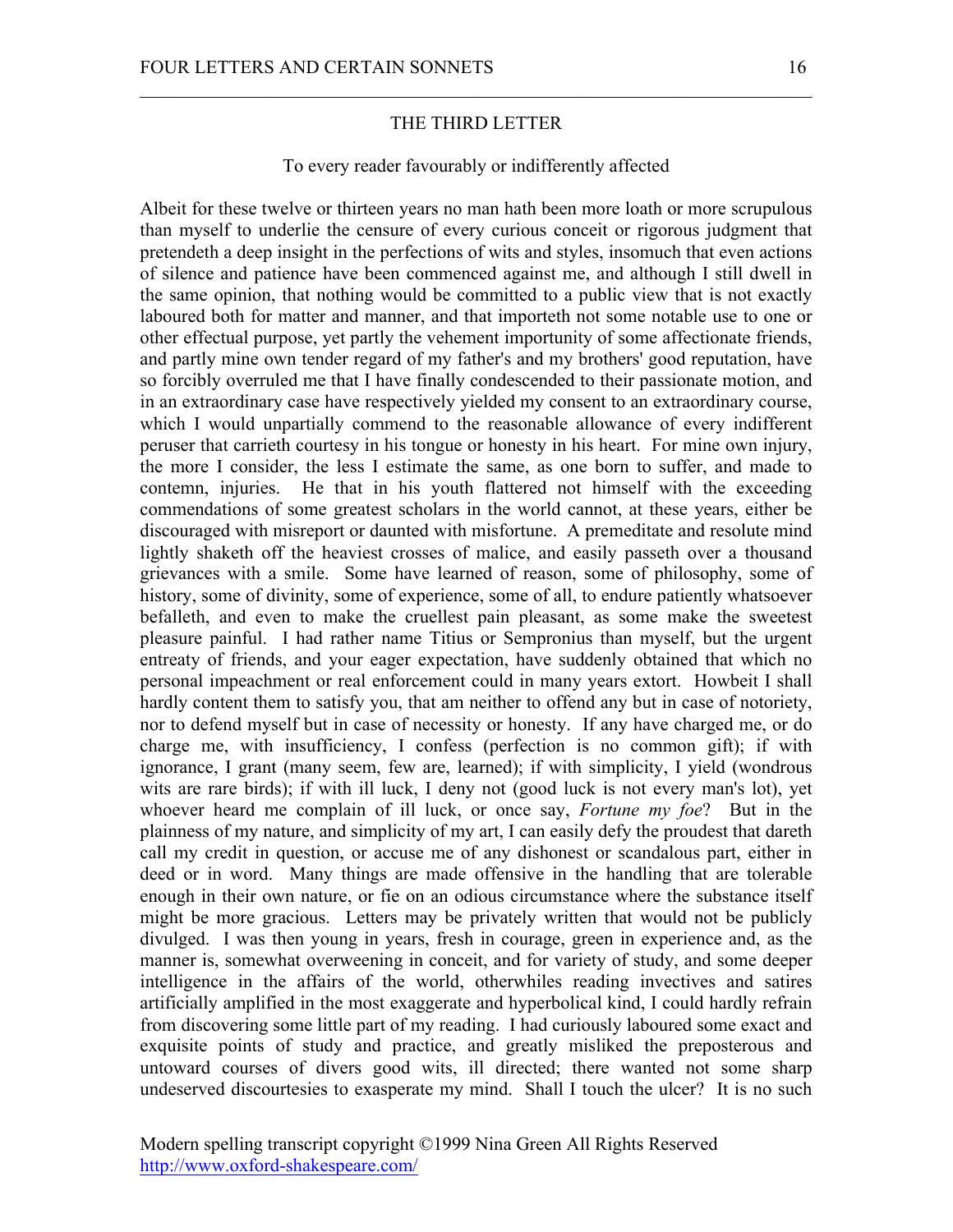# THE THIRD LETTER

 $\mathcal{L}_\text{max}$  , and the contribution of the contribution of the contribution of the contribution of the contribution of the contribution of the contribution of the contribution of the contribution of the contribution of t

## To every reader favourably or indifferently affected

Albeit for these twelve or thirteen years no man hath been more loath or more scrupulous than myself to underlie the censure of every curious conceit or rigorous judgment that pretendeth a deep insight in the perfections of wits and styles, insomuch that even actions of silence and patience have been commenced against me, and although I still dwell in the same opinion, that nothing would be committed to a public view that is not exactly laboured both for matter and manner, and that importeth not some notable use to one or other effectual purpose, yet partly the vehement importunity of some affectionate friends, and partly mine own tender regard of my father's and my brothers' good reputation, have so forcibly overruled me that I have finally condescended to their passionate motion, and in an extraordinary case have respectively yielded my consent to an extraordinary course, which I would unpartially commend to the reasonable allowance of every indifferent peruser that carrieth courtesy in his tongue or honesty in his heart. For mine own injury, the more I consider, the less I estimate the same, as one born to suffer, and made to contemn, injuries. He that in his youth flattered not himself with the exceeding commendations of some greatest scholars in the world cannot, at these years, either be discouraged with misreport or daunted with misfortune. A premeditate and resolute mind lightly shaketh off the heaviest crosses of malice, and easily passeth over a thousand grievances with a smile. Some have learned of reason, some of philosophy, some of history, some of divinity, some of experience, some of all, to endure patiently whatsoever befalleth, and even to make the cruellest pain pleasant, as some make the sweetest pleasure painful. I had rather name Titius or Sempronius than myself, but the urgent entreaty of friends, and your eager expectation, have suddenly obtained that which no personal impeachment or real enforcement could in many years extort. Howbeit I shall hardly content them to satisfy you, that am neither to offend any but in case of notoriety, nor to defend myself but in case of necessity or honesty. If any have charged me, or do charge me, with insufficiency, I confess (perfection is no common gift); if with ignorance, I grant (many seem, few are, learned); if with simplicity, I yield (wondrous wits are rare birds); if with ill luck, I deny not (good luck is not every man's lot), yet whoever heard me complain of ill luck, or once say, *Fortune my foe*? But in the plainness of my nature, and simplicity of my art, I can easily defy the proudest that dareth call my credit in question, or accuse me of any dishonest or scandalous part, either in deed or in word. Many things are made offensive in the handling that are tolerable enough in their own nature, or fie on an odious circumstance where the substance itself might be more gracious. Letters may be privately written that would not be publicly divulged. I was then young in years, fresh in courage, green in experience and, as the manner is, somewhat overweening in conceit, and for variety of study, and some deeper intelligence in the affairs of the world, otherwhiles reading invectives and satires artificially amplified in the most exaggerate and hyperbolical kind, I could hardly refrain from discovering some little part of my reading. I had curiously laboured some exact and exquisite points of study and practice, and greatly misliked the preposterous and untoward courses of divers good wits, ill directed; there wanted not some sharp undeserved discourtesies to exasperate my mind. Shall I touch the ulcer? It is no such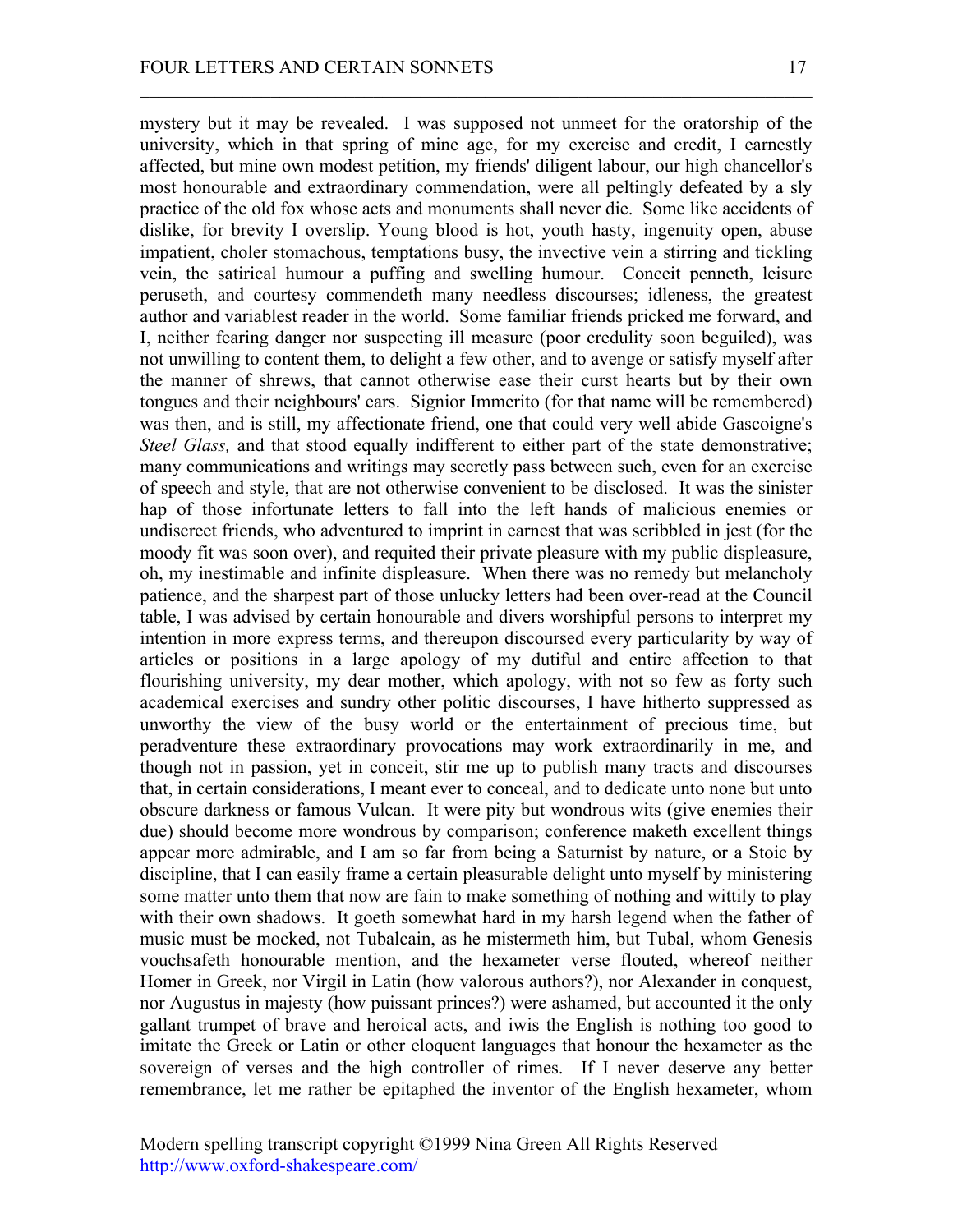mystery but it may be revealed. I was supposed not unmeet for the oratorship of the university, which in that spring of mine age, for my exercise and credit, I earnestly affected, but mine own modest petition, my friends' diligent labour, our high chancellor's most honourable and extraordinary commendation, were all peltingly defeated by a sly practice of the old fox whose acts and monuments shall never die. Some like accidents of dislike, for brevity I overslip. Young blood is hot, youth hasty, ingenuity open, abuse impatient, choler stomachous, temptations busy, the invective vein a stirring and tickling vein, the satirical humour a puffing and swelling humour. Conceit penneth, leisure peruseth, and courtesy commendeth many needless discourses; idleness, the greatest author and variablest reader in the world. Some familiar friends pricked me forward, and I, neither fearing danger nor suspecting ill measure (poor credulity soon beguiled), was not unwilling to content them, to delight a few other, and to avenge or satisfy myself after the manner of shrews, that cannot otherwise ease their curst hearts but by their own tongues and their neighbours' ears. Signior Immerito (for that name will be remembered) was then, and is still, my affectionate friend, one that could very well abide Gascoigne's *Steel Glass,* and that stood equally indifferent to either part of the state demonstrative; many communications and writings may secretly pass between such, even for an exercise of speech and style, that are not otherwise convenient to be disclosed. It was the sinister hap of those infortunate letters to fall into the left hands of malicious enemies or undiscreet friends, who adventured to imprint in earnest that was scribbled in jest (for the moody fit was soon over), and requited their private pleasure with my public displeasure, oh, my inestimable and infinite displeasure. When there was no remedy but melancholy patience, and the sharpest part of those unlucky letters had been over-read at the Council table, I was advised by certain honourable and divers worshipful persons to interpret my intention in more express terms, and thereupon discoursed every particularity by way of articles or positions in a large apology of my dutiful and entire affection to that flourishing university, my dear mother, which apology, with not so few as forty such academical exercises and sundry other politic discourses, I have hitherto suppressed as unworthy the view of the busy world or the entertainment of precious time, but peradventure these extraordinary provocations may work extraordinarily in me, and though not in passion, yet in conceit, stir me up to publish many tracts and discourses that, in certain considerations, I meant ever to conceal, and to dedicate unto none but unto obscure darkness or famous Vulcan. It were pity but wondrous wits (give enemies their due) should become more wondrous by comparison; conference maketh excellent things appear more admirable, and I am so far from being a Saturnist by nature, or a Stoic by discipline, that I can easily frame a certain pleasurable delight unto myself by ministering some matter unto them that now are fain to make something of nothing and wittily to play with their own shadows. It goeth somewhat hard in my harsh legend when the father of music must be mocked, not Tubalcain, as he mistermeth him, but Tubal, whom Genesis vouchsafeth honourable mention, and the hexameter verse flouted, whereof neither Homer in Greek, nor Virgil in Latin (how valorous authors?), nor Alexander in conquest, nor Augustus in majesty (how puissant princes?) were ashamed, but accounted it the only gallant trumpet of brave and heroical acts, and iwis the English is nothing too good to imitate the Greek or Latin or other eloquent languages that honour the hexameter as the sovereign of verses and the high controller of rimes. If I never deserve any better remembrance, let me rather be epitaphed the inventor of the English hexameter, whom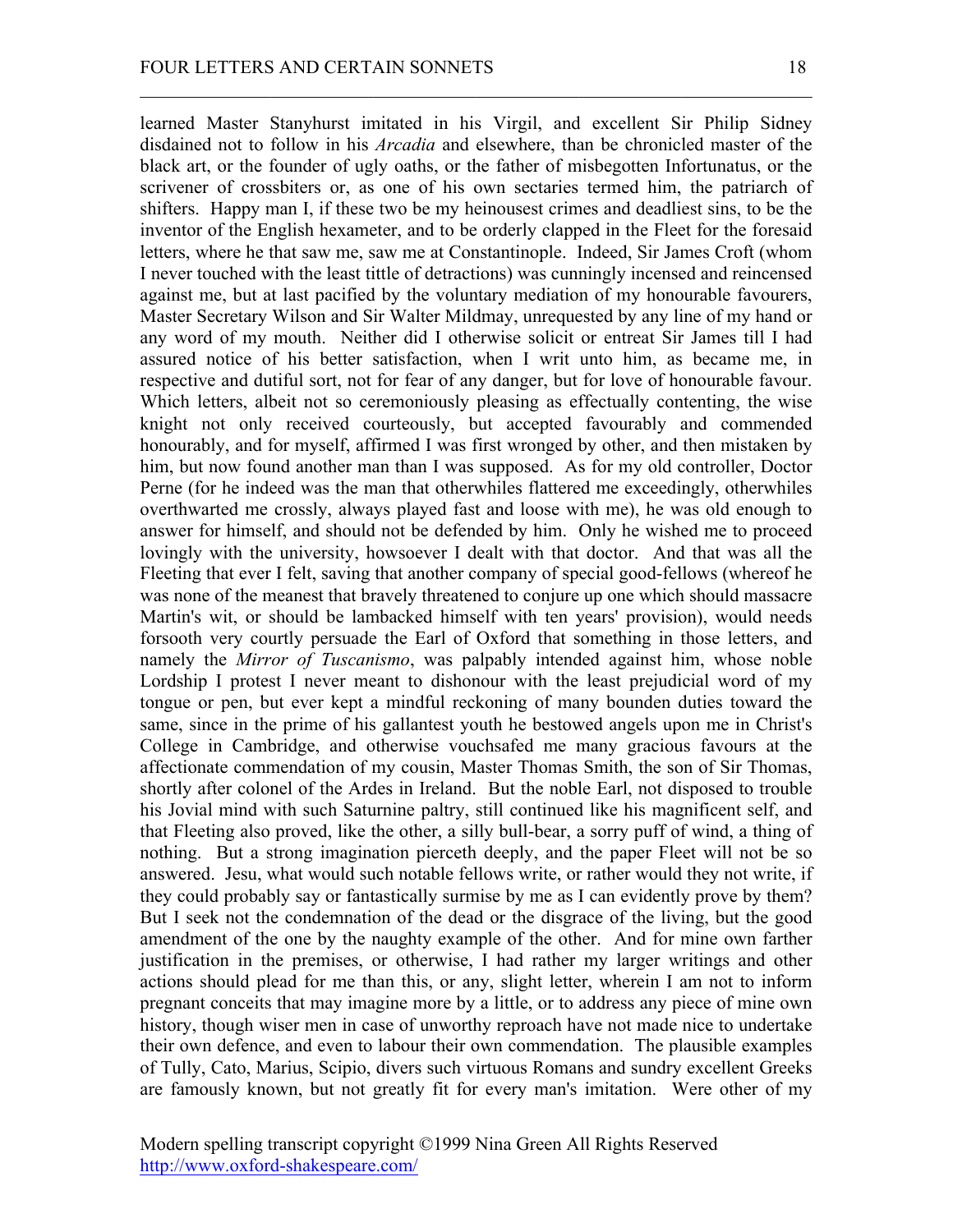learned Master Stanyhurst imitated in his Virgil, and excellent Sir Philip Sidney disdained not to follow in his *Arcadia* and elsewhere, than be chronicled master of the black art, or the founder of ugly oaths, or the father of misbegotten Infortunatus, or the scrivener of crossbiters or, as one of his own sectaries termed him, the patriarch of shifters. Happy man I, if these two be my heinousest crimes and deadliest sins, to be the inventor of the English hexameter, and to be orderly clapped in the Fleet for the foresaid letters, where he that saw me, saw me at Constantinople. Indeed, Sir James Croft (whom I never touched with the least tittle of detractions) was cunningly incensed and reincensed against me, but at last pacified by the voluntary mediation of my honourable favourers, Master Secretary Wilson and Sir Walter Mildmay, unrequested by any line of my hand or any word of my mouth. Neither did I otherwise solicit or entreat Sir James till I had assured notice of his better satisfaction, when I writ unto him, as became me, in respective and dutiful sort, not for fear of any danger, but for love of honourable favour. Which letters, albeit not so ceremoniously pleasing as effectually contenting, the wise knight not only received courteously, but accepted favourably and commended honourably, and for myself, affirmed I was first wronged by other, and then mistaken by him, but now found another man than I was supposed. As for my old controller, Doctor Perne (for he indeed was the man that otherwhiles flattered me exceedingly, otherwhiles overthwarted me crossly, always played fast and loose with me), he was old enough to answer for himself, and should not be defended by him. Only he wished me to proceed lovingly with the university, howsoever I dealt with that doctor. And that was all the Fleeting that ever I felt, saving that another company of special good-fellows (whereof he was none of the meanest that bravely threatened to conjure up one which should massacre Martin's wit, or should be lambacked himself with ten years' provision), would needs forsooth very courtly persuade the Earl of Oxford that something in those letters, and namely the *Mirror of Tuscanismo*, was palpably intended against him, whose noble Lordship I protest I never meant to dishonour with the least prejudicial word of my tongue or pen, but ever kept a mindful reckoning of many bounden duties toward the same, since in the prime of his gallantest youth he bestowed angels upon me in Christ's College in Cambridge, and otherwise vouchsafed me many gracious favours at the affectionate commendation of my cousin, Master Thomas Smith, the son of Sir Thomas, shortly after colonel of the Ardes in Ireland. But the noble Earl, not disposed to trouble his Jovial mind with such Saturnine paltry, still continued like his magnificent self, and that Fleeting also proved, like the other, a silly bull-bear, a sorry puff of wind, a thing of nothing. But a strong imagination pierceth deeply, and the paper Fleet will not be so answered. Jesu, what would such notable fellows write, or rather would they not write, if they could probably say or fantastically surmise by me as I can evidently prove by them? But I seek not the condemnation of the dead or the disgrace of the living, but the good amendment of the one by the naughty example of the other. And for mine own farther justification in the premises, or otherwise, I had rather my larger writings and other actions should plead for me than this, or any, slight letter, wherein I am not to inform pregnant conceits that may imagine more by a little, or to address any piece of mine own history, though wiser men in case of unworthy reproach have not made nice to undertake their own defence, and even to labour their own commendation. The plausible examples of Tully, Cato, Marius, Scipio, divers such virtuous Romans and sundry excellent Greeks are famously known, but not greatly fit for every man's imitation. Were other of my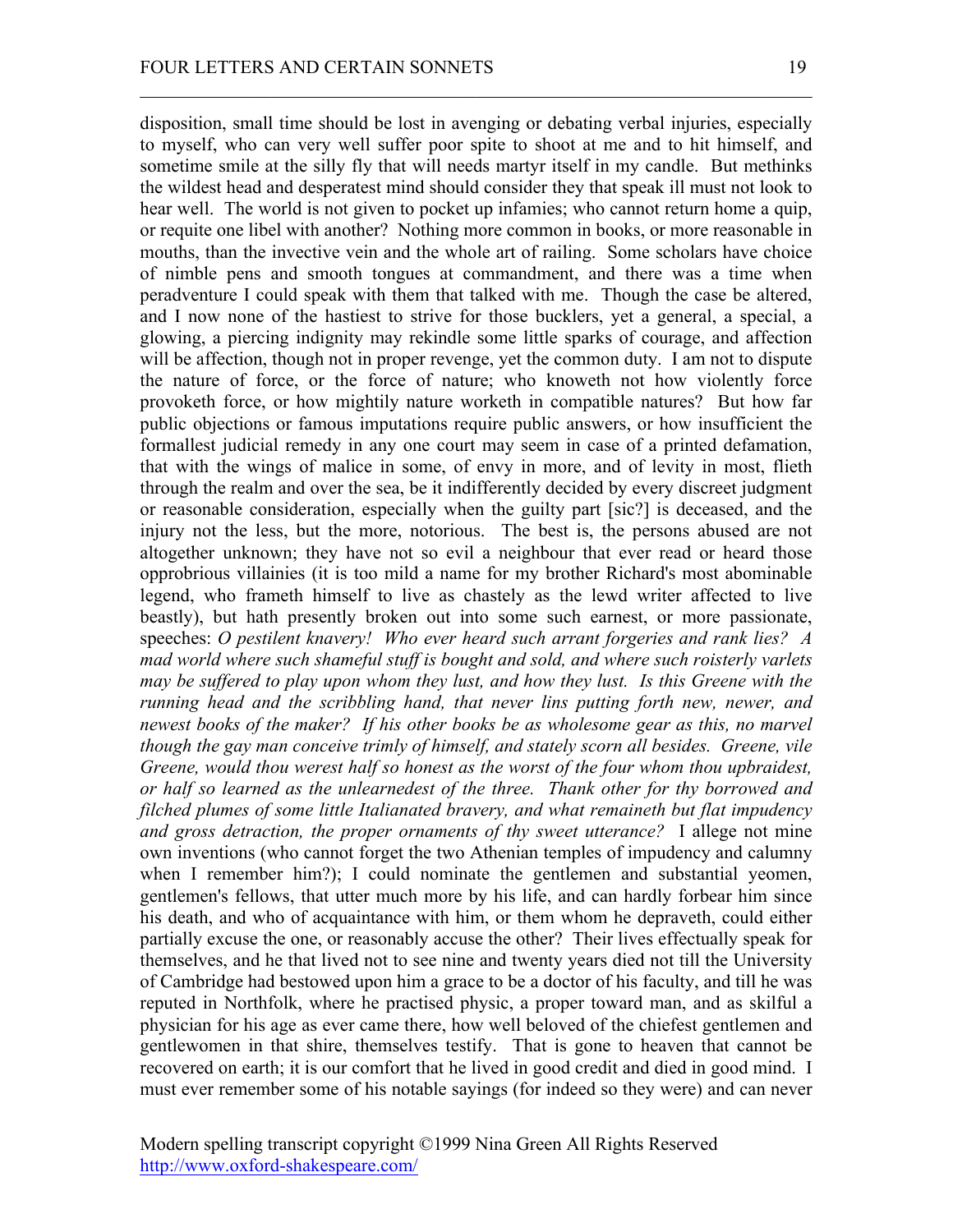disposition, small time should be lost in avenging or debating verbal injuries, especially to myself, who can very well suffer poor spite to shoot at me and to hit himself, and sometime smile at the silly fly that will needs martyr itself in my candle. But methinks the wildest head and desperatest mind should consider they that speak ill must not look to hear well. The world is not given to pocket up infamies; who cannot return home a quip, or requite one libel with another? Nothing more common in books, or more reasonable in mouths, than the invective vein and the whole art of railing. Some scholars have choice of nimble pens and smooth tongues at commandment, and there was a time when peradventure I could speak with them that talked with me. Though the case be altered, and I now none of the hastiest to strive for those bucklers, yet a general, a special, a glowing, a piercing indignity may rekindle some little sparks of courage, and affection will be affection, though not in proper revenge, yet the common duty. I am not to dispute the nature of force, or the force of nature; who knoweth not how violently force provoketh force, or how mightily nature worketh in compatible natures? But how far public objections or famous imputations require public answers, or how insufficient the formallest judicial remedy in any one court may seem in case of a printed defamation, that with the wings of malice in some, of envy in more, and of levity in most, flieth through the realm and over the sea, be it indifferently decided by every discreet judgment or reasonable consideration, especially when the guilty part [sic?] is deceased, and the injury not the less, but the more, notorious. The best is, the persons abused are not altogether unknown; they have not so evil a neighbour that ever read or heard those opprobrious villainies (it is too mild a name for my brother Richard's most abominable legend, who frameth himself to live as chastely as the lewd writer affected to live beastly), but hath presently broken out into some such earnest, or more passionate, speeches: *O pestilent knavery! Who ever heard such arrant forgeries and rank lies? A mad world where such shameful stuff is bought and sold, and where such roisterly varlets may be suffered to play upon whom they lust, and how they lust. Is this Greene with the running head and the scribbling hand, that never lins putting forth new, newer, and newest books of the maker? If his other books be as wholesome gear as this, no marvel though the gay man conceive trimly of himself, and stately scorn all besides. Greene, vile Greene, would thou werest half so honest as the worst of the four whom thou upbraidest, or half so learned as the unlearnedest of the three. Thank other for thy borrowed and filched plumes of some little Italianated bravery, and what remaineth but flat impudency and gross detraction, the proper ornaments of thy sweet utterance?* I allege not mine own inventions (who cannot forget the two Athenian temples of impudency and calumny when I remember him?); I could nominate the gentlemen and substantial yeomen, gentlemen's fellows, that utter much more by his life, and can hardly forbear him since his death, and who of acquaintance with him, or them whom he depraveth, could either partially excuse the one, or reasonably accuse the other? Their lives effectually speak for themselves, and he that lived not to see nine and twenty years died not till the University of Cambridge had bestowed upon him a grace to be a doctor of his faculty, and till he was reputed in Northfolk, where he practised physic, a proper toward man, and as skilful a physician for his age as ever came there, how well beloved of the chiefest gentlemen and gentlewomen in that shire, themselves testify. That is gone to heaven that cannot be recovered on earth; it is our comfort that he lived in good credit and died in good mind. I must ever remember some of his notable sayings (for indeed so they were) and can never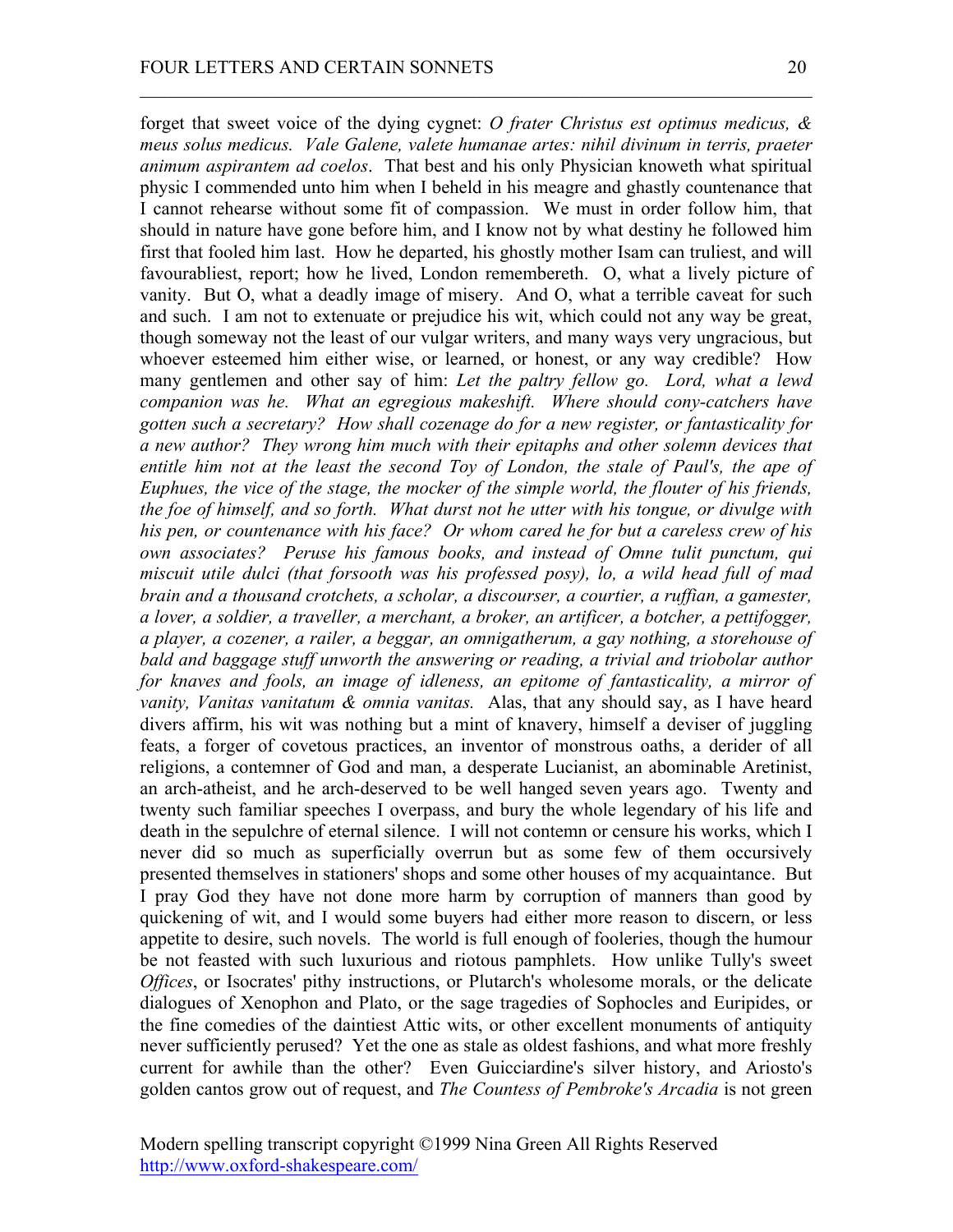forget that sweet voice of the dying cygnet: *O frater Christus est optimus medicus, & meus solus medicus. Vale Galene, valete humanae artes: nihil divinum in terris, praeter animum aspirantem ad coelos*. That best and his only Physician knoweth what spiritual physic I commended unto him when I beheld in his meagre and ghastly countenance that I cannot rehearse without some fit of compassion. We must in order follow him, that should in nature have gone before him, and I know not by what destiny he followed him first that fooled him last. How he departed, his ghostly mother Isam can truliest, and will favourabliest, report; how he lived, London remembereth. O, what a lively picture of vanity. But O, what a deadly image of misery. And O, what a terrible caveat for such and such. I am not to extenuate or prejudice his wit, which could not any way be great, though someway not the least of our vulgar writers, and many ways very ungracious, but whoever esteemed him either wise, or learned, or honest, or any way credible? How many gentlemen and other say of him: *Let the paltry fellow go. Lord, what a lewd companion was he. What an egregious makeshift. Where should cony-catchers have gotten such a secretary? How shall cozenage do for a new register, or fantasticality for a new author? They wrong him much with their epitaphs and other solemn devices that entitle him not at the least the second Toy of London, the stale of Paul's, the ape of Euphues, the vice of the stage, the mocker of the simple world, the flouter of his friends, the foe of himself, and so forth. What durst not he utter with his tongue, or divulge with his pen, or countenance with his face? Or whom cared he for but a careless crew of his own associates? Peruse his famous books, and instead of Omne tulit punctum, qui miscuit utile dulci (that forsooth was his professed posy), lo, a wild head full of mad brain and a thousand crotchets, a scholar, a discourser, a courtier, a ruffian, a gamester, a lover, a soldier, a traveller, a merchant, a broker, an artificer, a botcher, a pettifogger, a player, a cozener, a railer, a beggar, an omnigatherum, a gay nothing, a storehouse of bald and baggage stuff unworth the answering or reading, a trivial and triobolar author for knaves and fools, an image of idleness, an epitome of fantasticality, a mirror of vanity, Vanitas vanitatum & omnia vanitas.* Alas, that any should say, as I have heard divers affirm, his wit was nothing but a mint of knavery, himself a deviser of juggling feats, a forger of covetous practices, an inventor of monstrous oaths, a derider of all religions, a contemner of God and man, a desperate Lucianist, an abominable Aretinist, an arch-atheist, and he arch-deserved to be well hanged seven years ago. Twenty and twenty such familiar speeches I overpass, and bury the whole legendary of his life and death in the sepulchre of eternal silence. I will not contemn or censure his works, which I never did so much as superficially overrun but as some few of them occursively presented themselves in stationers' shops and some other houses of my acquaintance. But I pray God they have not done more harm by corruption of manners than good by quickening of wit, and I would some buyers had either more reason to discern, or less appetite to desire, such novels. The world is full enough of fooleries, though the humour be not feasted with such luxurious and riotous pamphlets. How unlike Tully's sweet *Offices*, or Isocrates' pithy instructions, or Plutarch's wholesome morals, or the delicate dialogues of Xenophon and Plato, or the sage tragedies of Sophocles and Euripides, or the fine comedies of the daintiest Attic wits, or other excellent monuments of antiquity never sufficiently perused? Yet the one as stale as oldest fashions, and what more freshly current for awhile than the other? Even Guicciardine's silver history, and Ariosto's golden cantos grow out of request, and *The Countess of Pembroke's Arcadia* is not green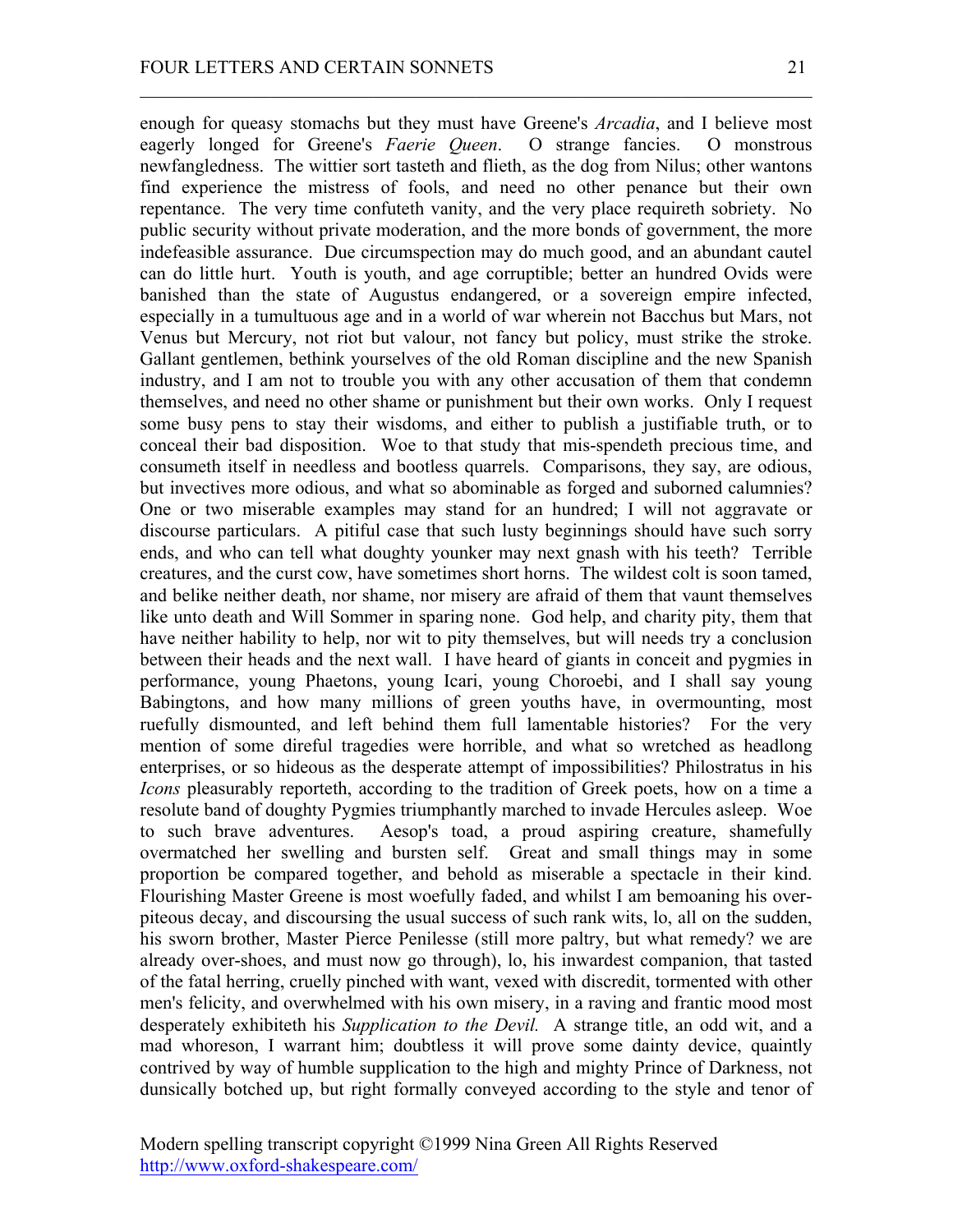enough for queasy stomachs but they must have Greene's *Arcadia*, and I believe most eagerly longed for Greene's *Faerie Queen*. O strange fancies. O monstrous newfangledness. The wittier sort tasteth and flieth, as the dog from Nilus; other wantons find experience the mistress of fools, and need no other penance but their own repentance. The very time confuteth vanity, and the very place requireth sobriety. No public security without private moderation, and the more bonds of government, the more indefeasible assurance. Due circumspection may do much good, and an abundant cautel can do little hurt. Youth is youth, and age corruptible; better an hundred Ovids were banished than the state of Augustus endangered, or a sovereign empire infected, especially in a tumultuous age and in a world of war wherein not Bacchus but Mars, not Venus but Mercury, not riot but valour, not fancy but policy, must strike the stroke. Gallant gentlemen, bethink yourselves of the old Roman discipline and the new Spanish industry, and I am not to trouble you with any other accusation of them that condemn themselves, and need no other shame or punishment but their own works. Only I request some busy pens to stay their wisdoms, and either to publish a justifiable truth, or to conceal their bad disposition. Woe to that study that mis-spendeth precious time, and consumeth itself in needless and bootless quarrels. Comparisons, they say, are odious, but invectives more odious, and what so abominable as forged and suborned calumnies? One or two miserable examples may stand for an hundred; I will not aggravate or discourse particulars. A pitiful case that such lusty beginnings should have such sorry ends, and who can tell what doughty younker may next gnash with his teeth? Terrible creatures, and the curst cow, have sometimes short horns. The wildest colt is soon tamed, and belike neither death, nor shame, nor misery are afraid of them that vaunt themselves like unto death and Will Sommer in sparing none. God help, and charity pity, them that have neither hability to help, nor wit to pity themselves, but will needs try a conclusion between their heads and the next wall. I have heard of giants in conceit and pygmies in performance, young Phaetons, young Icari, young Choroebi, and I shall say young Babingtons, and how many millions of green youths have, in overmounting, most ruefully dismounted, and left behind them full lamentable histories? For the very mention of some direful tragedies were horrible, and what so wretched as headlong enterprises, or so hideous as the desperate attempt of impossibilities? Philostratus in his *Icons* pleasurably reporteth, according to the tradition of Greek poets, how on a time a resolute band of doughty Pygmies triumphantly marched to invade Hercules asleep. Woe to such brave adventures. Aesop's toad, a proud aspiring creature, shamefully overmatched her swelling and bursten self. Great and small things may in some proportion be compared together, and behold as miserable a spectacle in their kind. Flourishing Master Greene is most woefully faded, and whilst I am bemoaning his overpiteous decay, and discoursing the usual success of such rank wits, lo, all on the sudden, his sworn brother, Master Pierce Penilesse (still more paltry, but what remedy? we are already over-shoes, and must now go through), lo, his inwardest companion, that tasted of the fatal herring, cruelly pinched with want, vexed with discredit, tormented with other men's felicity, and overwhelmed with his own misery, in a raving and frantic mood most desperately exhibiteth his *Supplication to the Devil.* A strange title, an odd wit, and a mad whoreson, I warrant him; doubtless it will prove some dainty device, quaintly contrived by way of humble supplication to the high and mighty Prince of Darkness, not dunsically botched up, but right formally conveyed according to the style and tenor of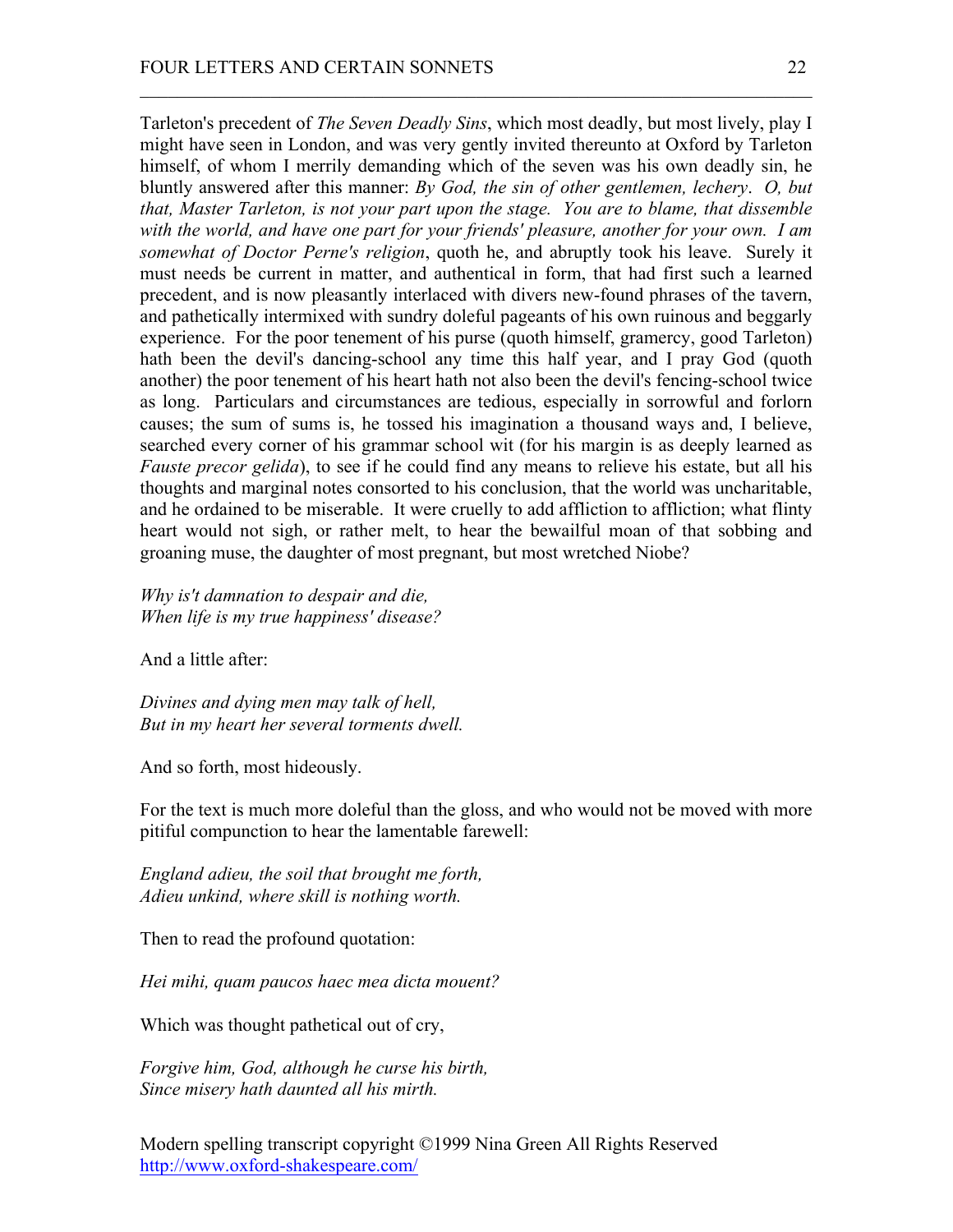Tarleton's precedent of *The Seven Deadly Sins*, which most deadly, but most lively, play I might have seen in London, and was very gently invited thereunto at Oxford by Tarleton himself, of whom I merrily demanding which of the seven was his own deadly sin, he bluntly answered after this manner: *By God, the sin of other gentlemen, lechery*. *O, but that, Master Tarleton, is not your part upon the stage. You are to blame, that dissemble with the world, and have one part for your friends' pleasure, another for your own. I am somewhat of Doctor Perne's religion*, quoth he, and abruptly took his leave. Surely it must needs be current in matter, and authentical in form, that had first such a learned precedent, and is now pleasantly interlaced with divers new-found phrases of the tavern, and pathetically intermixed with sundry doleful pageants of his own ruinous and beggarly experience. For the poor tenement of his purse (quoth himself, gramercy, good Tarleton) hath been the devil's dancing-school any time this half year, and I pray God (quoth another) the poor tenement of his heart hath not also been the devil's fencing-school twice as long. Particulars and circumstances are tedious, especially in sorrowful and forlorn causes; the sum of sums is, he tossed his imagination a thousand ways and, I believe, searched every corner of his grammar school wit (for his margin is as deeply learned as *Fauste precor gelida*), to see if he could find any means to relieve his estate, but all his thoughts and marginal notes consorted to his conclusion, that the world was uncharitable, and he ordained to be miserable. It were cruelly to add affliction to affliction; what flinty heart would not sigh, or rather melt, to hear the bewailful moan of that sobbing and groaning muse, the daughter of most pregnant, but most wretched Niobe?

 $\mathcal{L}_\text{max}$  , and the contribution of the contribution of the contribution of the contribution of the contribution of the contribution of the contribution of the contribution of the contribution of the contribution of t

*Why is't damnation to despair and die, When life is my true happiness' disease?*

And a little after:

*Divines and dying men may talk of hell, But in my heart her several torments dwell.*

And so forth, most hideously.

For the text is much more doleful than the gloss, and who would not be moved with more pitiful compunction to hear the lamentable farewell:

*England adieu, the soil that brought me forth, Adieu unkind, where skill is nothing worth.*

Then to read the profound quotation:

*Hei mihi, quam paucos haec mea dicta mouent?*

Which was thought pathetical out of cry,

*Forgive him, God, although he curse his birth, Since misery hath daunted all his mirth.*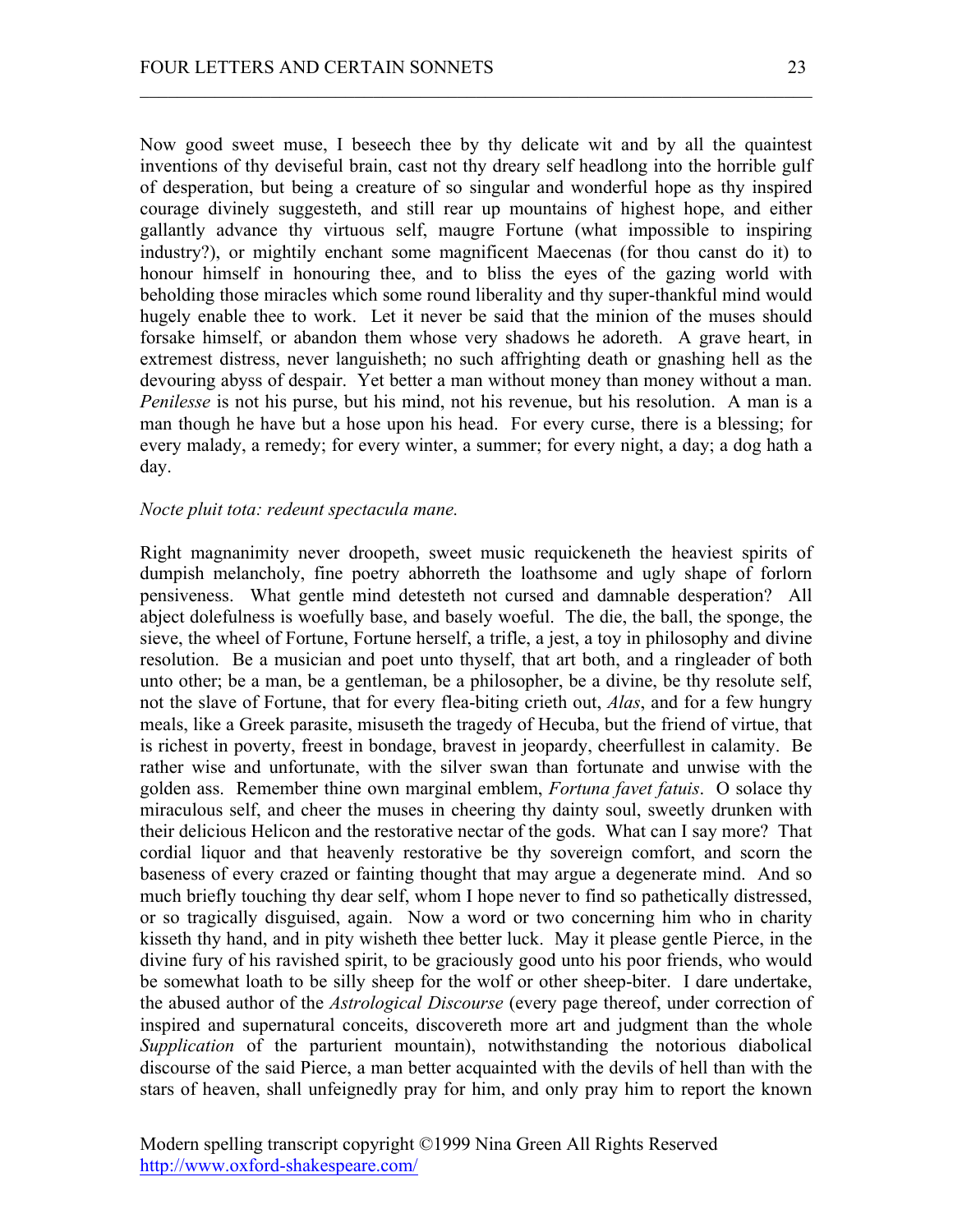Now good sweet muse, I beseech thee by thy delicate wit and by all the quaintest inventions of thy deviseful brain, cast not thy dreary self headlong into the horrible gulf of desperation, but being a creature of so singular and wonderful hope as thy inspired courage divinely suggesteth, and still rear up mountains of highest hope, and either gallantly advance thy virtuous self, maugre Fortune (what impossible to inspiring industry?), or mightily enchant some magnificent Maecenas (for thou canst do it) to honour himself in honouring thee, and to bliss the eyes of the gazing world with beholding those miracles which some round liberality and thy super-thankful mind would hugely enable thee to work. Let it never be said that the minion of the muses should forsake himself, or abandon them whose very shadows he adoreth. A grave heart, in extremest distress, never languisheth; no such affrighting death or gnashing hell as the devouring abyss of despair. Yet better a man without money than money without a man. *Penilesse* is not his purse, but his mind, not his revenue, but his resolution. A man is a man though he have but a hose upon his head. For every curse, there is a blessing; for every malady, a remedy; for every winter, a summer; for every night, a day; a dog hath a day.

 $\mathcal{L}_\text{max}$  , and the contribution of the contribution of the contribution of the contribution of the contribution of the contribution of the contribution of the contribution of the contribution of the contribution of t

# *Nocte pluit tota: redeunt spectacula mane.*

Right magnanimity never droopeth, sweet music requickeneth the heaviest spirits of dumpish melancholy, fine poetry abhorreth the loathsome and ugly shape of forlorn pensiveness. What gentle mind detesteth not cursed and damnable desperation? All abject dolefulness is woefully base, and basely woeful. The die, the ball, the sponge, the sieve, the wheel of Fortune, Fortune herself, a trifle, a jest, a toy in philosophy and divine resolution. Be a musician and poet unto thyself, that art both, and a ringleader of both unto other; be a man, be a gentleman, be a philosopher, be a divine, be thy resolute self, not the slave of Fortune, that for every flea-biting crieth out, *Alas*, and for a few hungry meals, like a Greek parasite, misuseth the tragedy of Hecuba, but the friend of virtue, that is richest in poverty, freest in bondage, bravest in jeopardy, cheerfullest in calamity. Be rather wise and unfortunate, with the silver swan than fortunate and unwise with the golden ass. Remember thine own marginal emblem, *Fortuna favet fatuis*. O solace thy miraculous self, and cheer the muses in cheering thy dainty soul, sweetly drunken with their delicious Helicon and the restorative nectar of the gods. What can I say more? That cordial liquor and that heavenly restorative be thy sovereign comfort, and scorn the baseness of every crazed or fainting thought that may argue a degenerate mind. And so much briefly touching thy dear self, whom I hope never to find so pathetically distressed, or so tragically disguised, again. Now a word or two concerning him who in charity kisseth thy hand, and in pity wisheth thee better luck. May it please gentle Pierce, in the divine fury of his ravished spirit, to be graciously good unto his poor friends, who would be somewhat loath to be silly sheep for the wolf or other sheep-biter. I dare undertake, the abused author of the *Astrological Discourse* (every page thereof, under correction of inspired and supernatural conceits, discovereth more art and judgment than the whole *Supplication* of the parturient mountain), notwithstanding the notorious diabolical discourse of the said Pierce, a man better acquainted with the devils of hell than with the stars of heaven, shall unfeignedly pray for him, and only pray him to report the known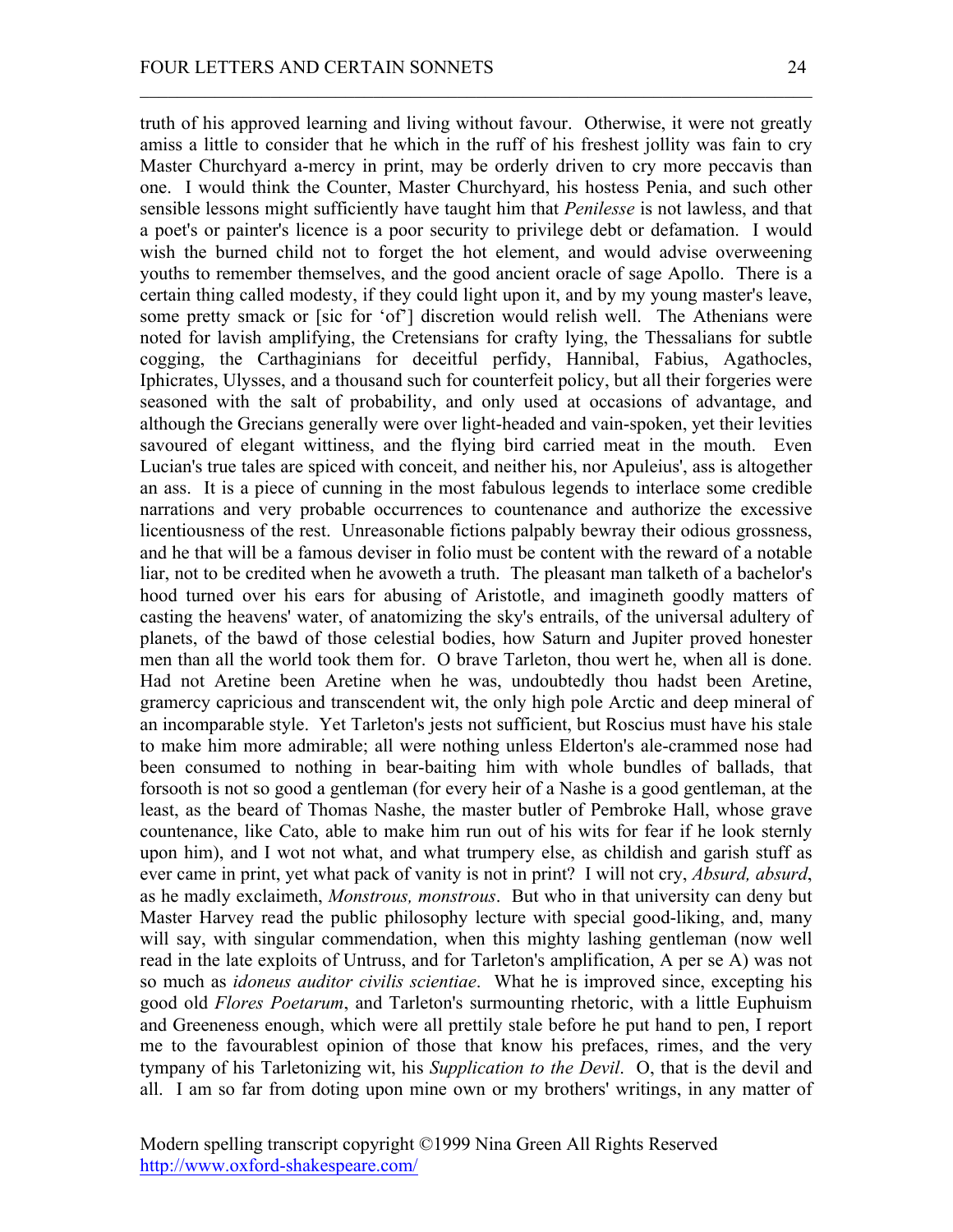truth of his approved learning and living without favour. Otherwise, it were not greatly amiss a little to consider that he which in the ruff of his freshest jollity was fain to cry Master Churchyard a-mercy in print, may be orderly driven to cry more peccavis than one. I would think the Counter, Master Churchyard, his hostess Penia, and such other sensible lessons might sufficiently have taught him that *Penilesse* is not lawless, and that a poet's or painter's licence is a poor security to privilege debt or defamation. I would wish the burned child not to forget the hot element, and would advise overweening youths to remember themselves, and the good ancient oracle of sage Apollo. There is a certain thing called modesty, if they could light upon it, and by my young master's leave, some pretty smack or [sic for 'of'] discretion would relish well. The Athenians were noted for lavish amplifying, the Cretensians for crafty lying, the Thessalians for subtle cogging, the Carthaginians for deceitful perfidy, Hannibal, Fabius, Agathocles, Iphicrates, Ulysses, and a thousand such for counterfeit policy, but all their forgeries were seasoned with the salt of probability, and only used at occasions of advantage, and although the Grecians generally were over light-headed and vain-spoken, yet their levities savoured of elegant wittiness, and the flying bird carried meat in the mouth. Even Lucian's true tales are spiced with conceit, and neither his, nor Apuleius', ass is altogether an ass. It is a piece of cunning in the most fabulous legends to interlace some credible narrations and very probable occurrences to countenance and authorize the excessive licentiousness of the rest. Unreasonable fictions palpably bewray their odious grossness, and he that will be a famous deviser in folio must be content with the reward of a notable liar, not to be credited when he avoweth a truth. The pleasant man talketh of a bachelor's hood turned over his ears for abusing of Aristotle, and imagineth goodly matters of casting the heavens' water, of anatomizing the sky's entrails, of the universal adultery of planets, of the bawd of those celestial bodies, how Saturn and Jupiter proved honester men than all the world took them for. O brave Tarleton, thou wert he, when all is done. Had not Aretine been Aretine when he was, undoubtedly thou hadst been Aretine, gramercy capricious and transcendent wit, the only high pole Arctic and deep mineral of an incomparable style. Yet Tarleton's jests not sufficient, but Roscius must have his stale to make him more admirable; all were nothing unless Elderton's ale-crammed nose had been consumed to nothing in bear-baiting him with whole bundles of ballads, that forsooth is not so good a gentleman (for every heir of a Nashe is a good gentleman, at the least, as the beard of Thomas Nashe, the master butler of Pembroke Hall, whose grave countenance, like Cato, able to make him run out of his wits for fear if he look sternly upon him), and I wot not what, and what trumpery else, as childish and garish stuff as ever came in print, yet what pack of vanity is not in print? I will not cry, *Absurd, absurd*, as he madly exclaimeth, *Monstrous, monstrous*. But who in that university can deny but Master Harvey read the public philosophy lecture with special good-liking, and, many will say, with singular commendation, when this mighty lashing gentleman (now well read in the late exploits of Untruss, and for Tarleton's amplification, A per se A) was not so much as *idoneus auditor civilis scientiae*. What he is improved since, excepting his good old *Flores Poetarum*, and Tarleton's surmounting rhetoric, with a little Euphuism and Greeneness enough, which were all prettily stale before he put hand to pen, I report me to the favourablest opinion of those that know his prefaces, rimes, and the very tympany of his Tarletonizing wit, his *Supplication to the Devil*. O, that is the devil and all. I am so far from doting upon mine own or my brothers' writings, in any matter of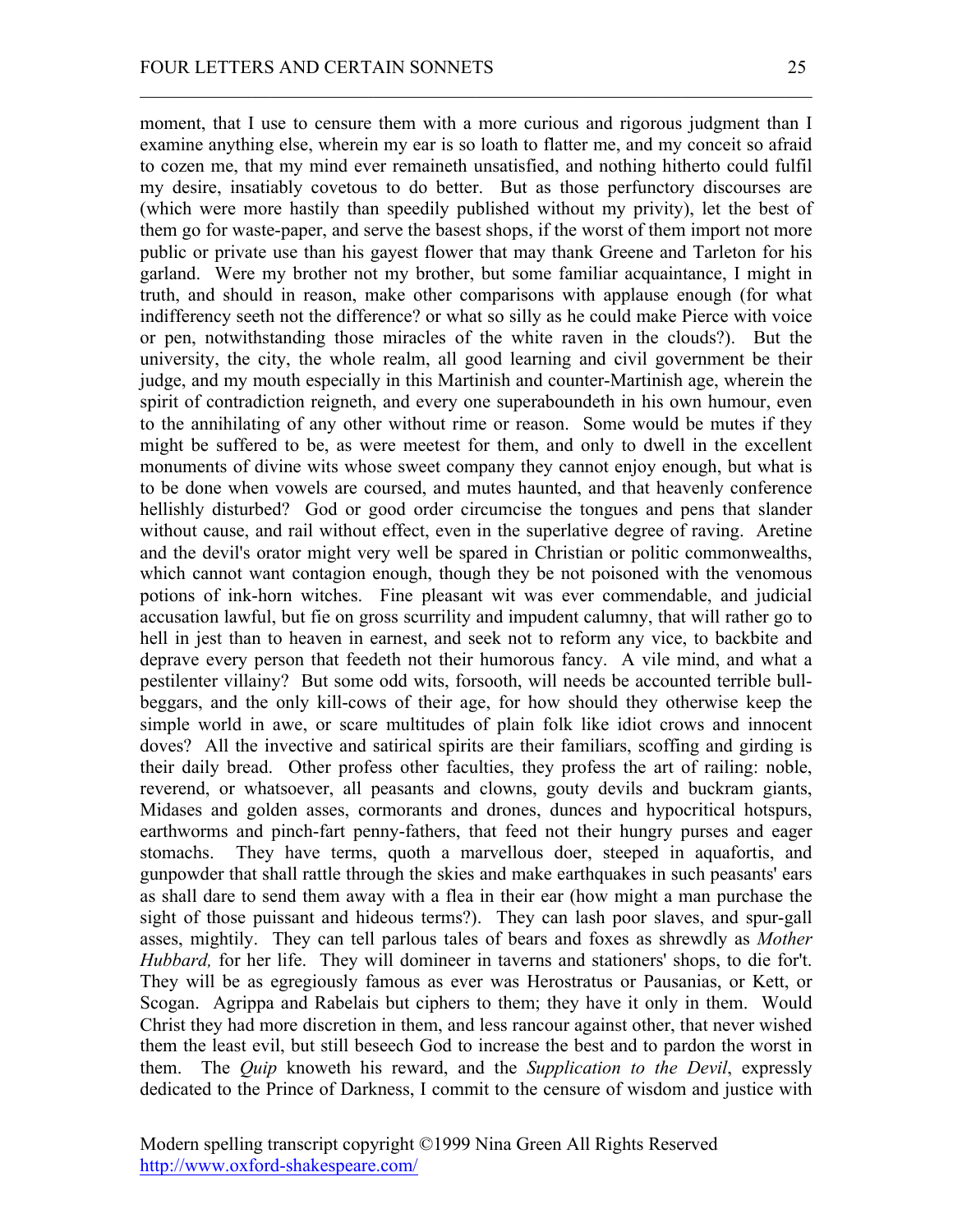moment, that I use to censure them with a more curious and rigorous judgment than I examine anything else, wherein my ear is so loath to flatter me, and my conceit so afraid to cozen me, that my mind ever remaineth unsatisfied, and nothing hitherto could fulfil my desire, insatiably covetous to do better. But as those perfunctory discourses are (which were more hastily than speedily published without my privity), let the best of them go for waste-paper, and serve the basest shops, if the worst of them import not more public or private use than his gayest flower that may thank Greene and Tarleton for his garland. Were my brother not my brother, but some familiar acquaintance, I might in truth, and should in reason, make other comparisons with applause enough (for what indifferency seeth not the difference? or what so silly as he could make Pierce with voice or pen, notwithstanding those miracles of the white raven in the clouds?). But the university, the city, the whole realm, all good learning and civil government be their judge, and my mouth especially in this Martinish and counter-Martinish age, wherein the spirit of contradiction reigneth, and every one superaboundeth in his own humour, even to the annihilating of any other without rime or reason. Some would be mutes if they might be suffered to be, as were meetest for them, and only to dwell in the excellent monuments of divine wits whose sweet company they cannot enjoy enough, but what is to be done when vowels are coursed, and mutes haunted, and that heavenly conference hellishly disturbed? God or good order circumcise the tongues and pens that slander without cause, and rail without effect, even in the superlative degree of raving. Aretine and the devil's orator might very well be spared in Christian or politic commonwealths, which cannot want contagion enough, though they be not poisoned with the venomous potions of ink-horn witches. Fine pleasant wit was ever commendable, and judicial accusation lawful, but fie on gross scurrility and impudent calumny, that will rather go to hell in jest than to heaven in earnest, and seek not to reform any vice, to backbite and deprave every person that feedeth not their humorous fancy. A vile mind, and what a pestilenter villainy? But some odd wits, forsooth, will needs be accounted terrible bullbeggars, and the only kill-cows of their age, for how should they otherwise keep the simple world in awe, or scare multitudes of plain folk like idiot crows and innocent doves? All the invective and satirical spirits are their familiars, scoffing and girding is their daily bread. Other profess other faculties, they profess the art of railing: noble, reverend, or whatsoever, all peasants and clowns, gouty devils and buckram giants, Midases and golden asses, cormorants and drones, dunces and hypocritical hotspurs, earthworms and pinch-fart penny-fathers, that feed not their hungry purses and eager stomachs. They have terms, quoth a marvellous doer, steeped in aquafortis, and gunpowder that shall rattle through the skies and make earthquakes in such peasants' ears as shall dare to send them away with a flea in their ear (how might a man purchase the sight of those puissant and hideous terms?). They can lash poor slaves, and spur-gall asses, mightily. They can tell parlous tales of bears and foxes as shrewdly as *Mother Hubbard,* for her life. They will domineer in taverns and stationers' shops, to die for't. They will be as egregiously famous as ever was Herostratus or Pausanias, or Kett, or Scogan. Agrippa and Rabelais but ciphers to them; they have it only in them. Would Christ they had more discretion in them, and less rancour against other, that never wished them the least evil, but still beseech God to increase the best and to pardon the worst in them. The *Quip* knoweth his reward, and the *Supplication to the Devil*, expressly dedicated to the Prince of Darkness, I commit to the censure of wisdom and justice with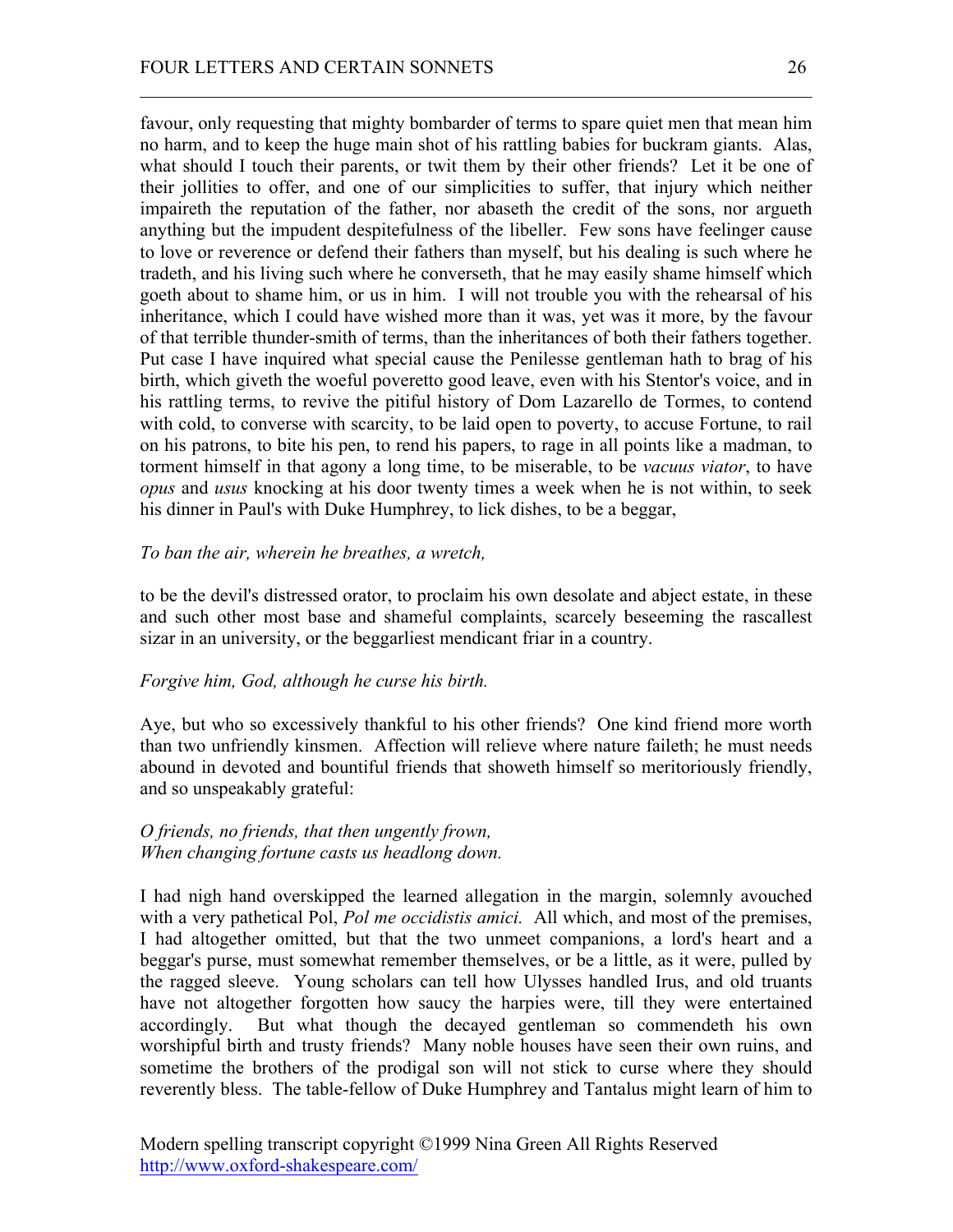favour, only requesting that mighty bombarder of terms to spare quiet men that mean him no harm, and to keep the huge main shot of his rattling babies for buckram giants. Alas, what should I touch their parents, or twit them by their other friends? Let it be one of their jollities to offer, and one of our simplicities to suffer, that injury which neither impaireth the reputation of the father, nor abaseth the credit of the sons, nor argueth anything but the impudent despitefulness of the libeller. Few sons have feelinger cause to love or reverence or defend their fathers than myself, but his dealing is such where he tradeth, and his living such where he converseth, that he may easily shame himself which goeth about to shame him, or us in him. I will not trouble you with the rehearsal of his inheritance, which I could have wished more than it was, yet was it more, by the favour of that terrible thunder-smith of terms, than the inheritances of both their fathers together. Put case I have inquired what special cause the Penilesse gentleman hath to brag of his birth, which giveth the woeful poveretto good leave, even with his Stentor's voice, and in his rattling terms, to revive the pitiful history of Dom Lazarello de Tormes, to contend with cold, to converse with scarcity, to be laid open to poverty, to accuse Fortune, to rail on his patrons, to bite his pen, to rend his papers, to rage in all points like a madman, to torment himself in that agony a long time, to be miserable, to be *vacuus viator*, to have *opus* and *usus* knocking at his door twenty times a week when he is not within, to seek his dinner in Paul's with Duke Humphrey, to lick dishes, to be a beggar,

 $\mathcal{L}_\text{max}$  , and the contribution of the contribution of the contribution of the contribution of the contribution of the contribution of the contribution of the contribution of the contribution of the contribution of t

# *To ban the air, wherein he breathes, a wretch,*

to be the devil's distressed orator, to proclaim his own desolate and abject estate, in these and such other most base and shameful complaints, scarcely beseeming the rascallest sizar in an university, or the beggarliest mendicant friar in a country.

# *Forgive him, God, although he curse his birth.*

Aye, but who so excessively thankful to his other friends? One kind friend more worth than two unfriendly kinsmen. Affection will relieve where nature faileth; he must needs abound in devoted and bountiful friends that showeth himself so meritoriously friendly, and so unspeakably grateful:

# *O friends, no friends, that then ungently frown, When changing fortune casts us headlong down.*

I had nigh hand overskipped the learned allegation in the margin, solemnly avouched with a very pathetical Pol, *Pol me occidistis amici.* All which, and most of the premises, I had altogether omitted, but that the two unmeet companions, a lord's heart and a beggar's purse, must somewhat remember themselves, or be a little, as it were, pulled by the ragged sleeve. Young scholars can tell how Ulysses handled Irus, and old truants have not altogether forgotten how saucy the harpies were, till they were entertained accordingly. But what though the decayed gentleman so commendeth his own worshipful birth and trusty friends? Many noble houses have seen their own ruins, and sometime the brothers of the prodigal son will not stick to curse where they should reverently bless. The table-fellow of Duke Humphrey and Tantalus might learn of him to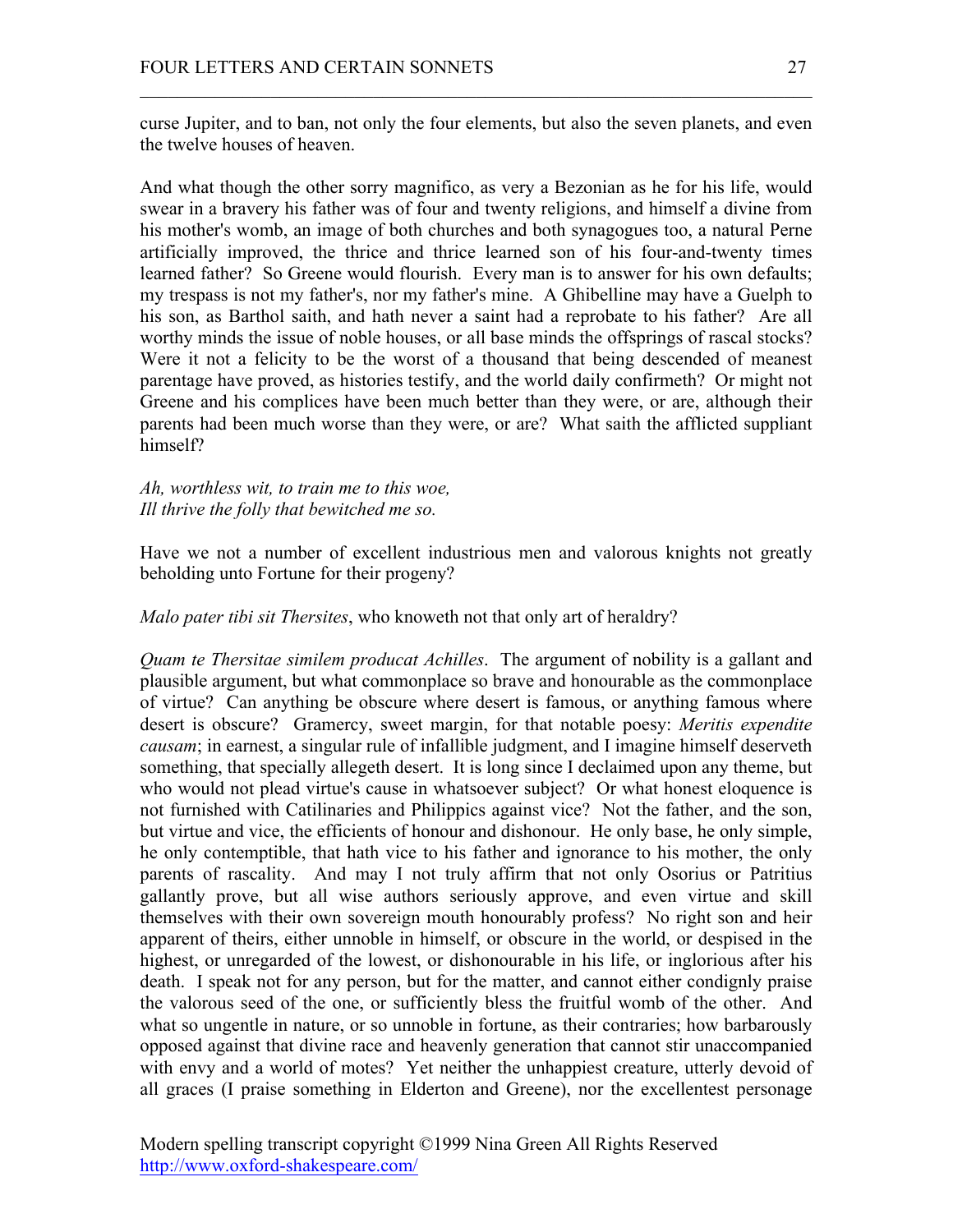curse Jupiter, and to ban, not only the four elements, but also the seven planets, and even the twelve houses of heaven.

 $\mathcal{L}_\text{max}$  , and the contribution of the contribution of the contribution of the contribution of the contribution of the contribution of the contribution of the contribution of the contribution of the contribution of t

And what though the other sorry magnifico, as very a Bezonian as he for his life, would swear in a bravery his father was of four and twenty religions, and himself a divine from his mother's womb, an image of both churches and both synagogues too, a natural Perne artificially improved, the thrice and thrice learned son of his four-and-twenty times learned father? So Greene would flourish. Every man is to answer for his own defaults; my trespass is not my father's, nor my father's mine. A Ghibelline may have a Guelph to his son, as Barthol saith, and hath never a saint had a reprobate to his father? Are all worthy minds the issue of noble houses, or all base minds the offsprings of rascal stocks? Were it not a felicity to be the worst of a thousand that being descended of meanest parentage have proved, as histories testify, and the world daily confirmeth? Or might not Greene and his complices have been much better than they were, or are, although their parents had been much worse than they were, or are? What saith the afflicted suppliant himself?

*Ah, worthless wit, to train me to this woe, Ill thrive the folly that bewitched me so.*

Have we not a number of excellent industrious men and valorous knights not greatly beholding unto Fortune for their progeny?

*Malo pater tibi sit Thersites*, who knoweth not that only art of heraldry?

*Quam te Thersitae similem producat Achilles*. The argument of nobility is a gallant and plausible argument, but what commonplace so brave and honourable as the commonplace of virtue? Can anything be obscure where desert is famous, or anything famous where desert is obscure? Gramercy, sweet margin, for that notable poesy: *Meritis expendite causam*; in earnest, a singular rule of infallible judgment, and I imagine himself deserveth something, that specially allegeth desert. It is long since I declaimed upon any theme, but who would not plead virtue's cause in whatsoever subject? Or what honest eloquence is not furnished with Catilinaries and Philippics against vice? Not the father, and the son, but virtue and vice, the efficients of honour and dishonour. He only base, he only simple, he only contemptible, that hath vice to his father and ignorance to his mother, the only parents of rascality. And may I not truly affirm that not only Osorius or Patritius gallantly prove, but all wise authors seriously approve, and even virtue and skill themselves with their own sovereign mouth honourably profess? No right son and heir apparent of theirs, either unnoble in himself, or obscure in the world, or despised in the highest, or unregarded of the lowest, or dishonourable in his life, or inglorious after his death. I speak not for any person, but for the matter, and cannot either condignly praise the valorous seed of the one, or sufficiently bless the fruitful womb of the other. And what so ungentle in nature, or so unnoble in fortune, as their contraries; how barbarously opposed against that divine race and heavenly generation that cannot stir unaccompanied with envy and a world of motes? Yet neither the unhappiest creature, utterly devoid of all graces (I praise something in Elderton and Greene), nor the excellentest personage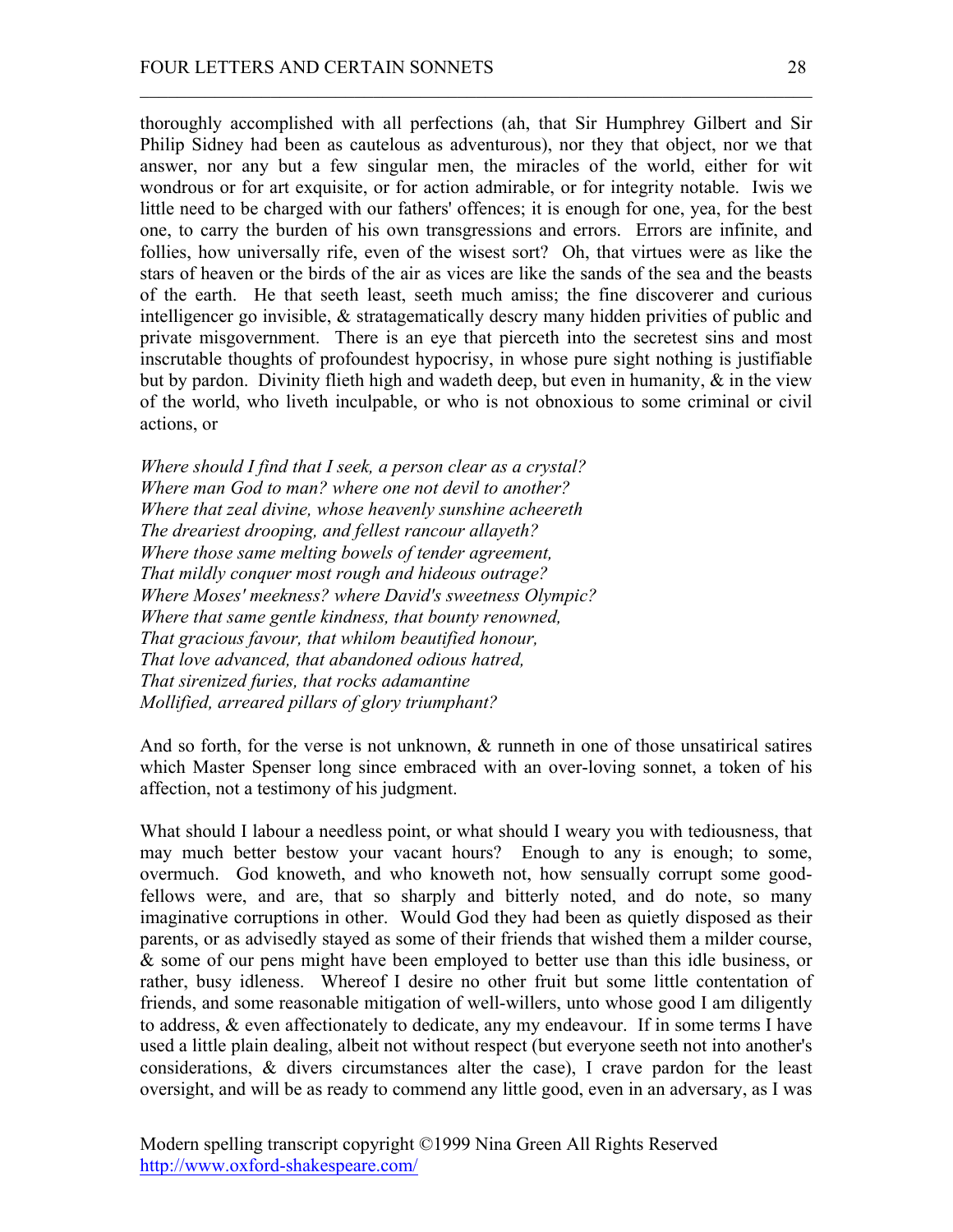thoroughly accomplished with all perfections (ah, that Sir Humphrey Gilbert and Sir Philip Sidney had been as cautelous as adventurous), nor they that object, nor we that answer, nor any but a few singular men, the miracles of the world, either for wit wondrous or for art exquisite, or for action admirable, or for integrity notable. Iwis we little need to be charged with our fathers' offences; it is enough for one, yea, for the best one, to carry the burden of his own transgressions and errors. Errors are infinite, and follies, how universally rife, even of the wisest sort? Oh, that virtues were as like the stars of heaven or the birds of the air as vices are like the sands of the sea and the beasts of the earth. He that seeth least, seeth much amiss; the fine discoverer and curious intelligencer go invisible, & stratagematically descry many hidden privities of public and private misgovernment. There is an eye that pierceth into the secretest sins and most inscrutable thoughts of profoundest hypocrisy, in whose pure sight nothing is justifiable but by pardon. Divinity flieth high and wadeth deep, but even in humanity,  $\&$  in the view of the world, who liveth inculpable, or who is not obnoxious to some criminal or civil actions, or

 $\mathcal{L}_\text{max}$  , and the contribution of the contribution of the contribution of the contribution of the contribution of the contribution of the contribution of the contribution of the contribution of the contribution of t

*Where should I find that I seek, a person clear as a crystal? Where man God to man? where one not devil to another? Where that zeal divine, whose heavenly sunshine acheereth The dreariest drooping, and fellest rancour allayeth? Where those same melting bowels of tender agreement, That mildly conquer most rough and hideous outrage? Where Moses' meekness? where David's sweetness Olympic? Where that same gentle kindness, that bounty renowned, That gracious favour, that whilom beautified honour, That love advanced, that abandoned odious hatred, That sirenized furies, that rocks adamantine Mollified, arreared pillars of glory triumphant?*

And so forth, for the verse is not unknown, & runneth in one of those unsatirical satires which Master Spenser long since embraced with an over-loving sonnet, a token of his affection, not a testimony of his judgment.

What should I labour a needless point, or what should I weary you with tediousness, that may much better bestow your vacant hours? Enough to any is enough; to some, overmuch. God knoweth, and who knoweth not, how sensually corrupt some goodfellows were, and are, that so sharply and bitterly noted, and do note, so many imaginative corruptions in other. Would God they had been as quietly disposed as their parents, or as advisedly stayed as some of their friends that wished them a milder course, & some of our pens might have been employed to better use than this idle business, or rather, busy idleness. Whereof I desire no other fruit but some little contentation of friends, and some reasonable mitigation of well-willers, unto whose good I am diligently to address, & even affectionately to dedicate, any my endeavour. If in some terms I have used a little plain dealing, albeit not without respect (but everyone seeth not into another's considerations, & divers circumstances alter the case), I crave pardon for the least oversight, and will be as ready to commend any little good, even in an adversary, as I was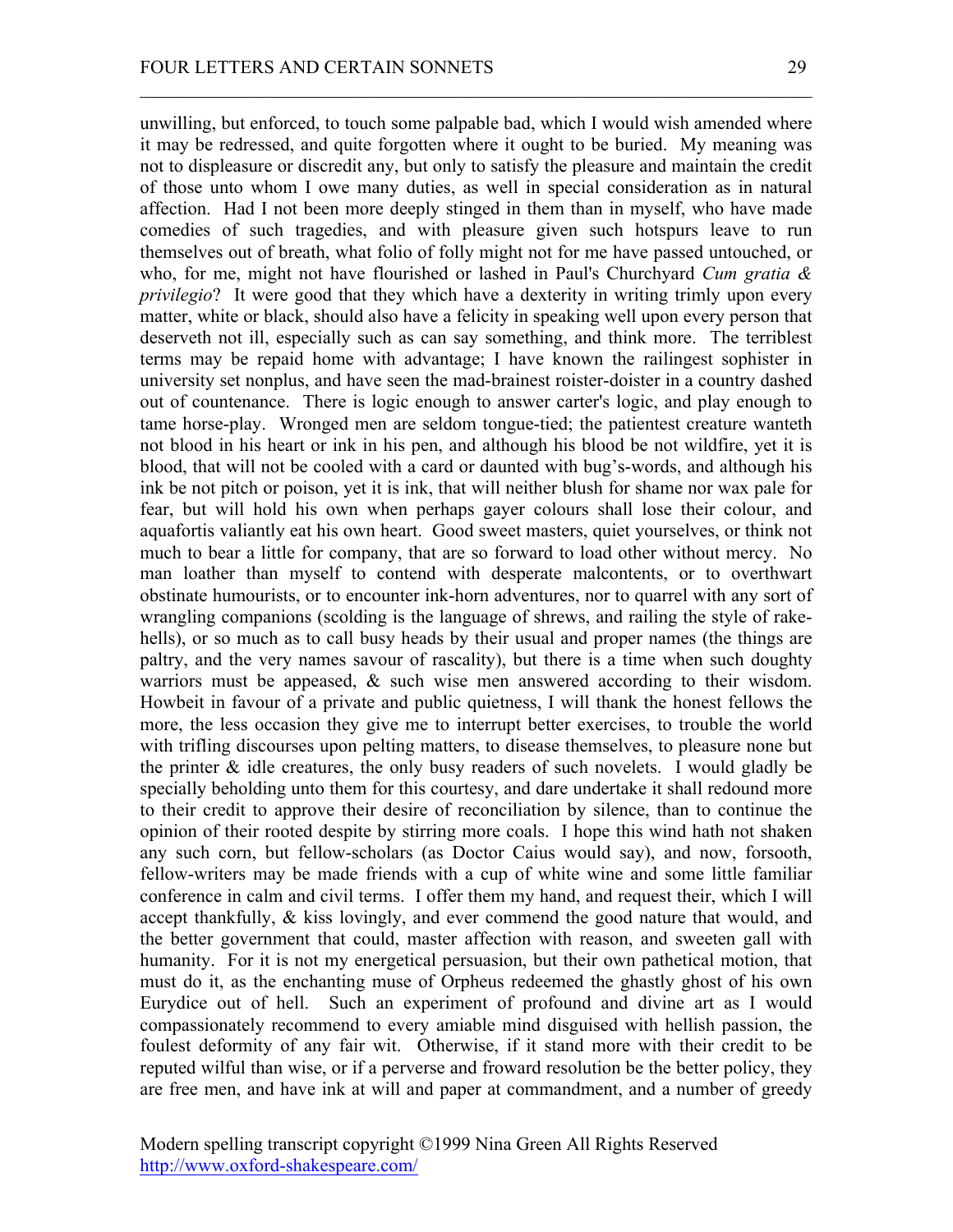unwilling, but enforced, to touch some palpable bad, which I would wish amended where it may be redressed, and quite forgotten where it ought to be buried. My meaning was not to displeasure or discredit any, but only to satisfy the pleasure and maintain the credit of those unto whom I owe many duties, as well in special consideration as in natural affection. Had I not been more deeply stinged in them than in myself, who have made comedies of such tragedies, and with pleasure given such hotspurs leave to run themselves out of breath, what folio of folly might not for me have passed untouched, or who, for me, might not have flourished or lashed in Paul's Churchyard *Cum gratia & privilegio*? It were good that they which have a dexterity in writing trimly upon every matter, white or black, should also have a felicity in speaking well upon every person that deserveth not ill, especially such as can say something, and think more. The terriblest terms may be repaid home with advantage; I have known the railingest sophister in university set nonplus, and have seen the mad-brainest roister-doister in a country dashed out of countenance. There is logic enough to answer carter's logic, and play enough to tame horse-play. Wronged men are seldom tongue-tied; the patientest creature wanteth not blood in his heart or ink in his pen, and although his blood be not wildfire, yet it is blood, that will not be cooled with a card or daunted with bug's-words, and although his ink be not pitch or poison, yet it is ink, that will neither blush for shame nor wax pale for fear, but will hold his own when perhaps gayer colours shall lose their colour, and aquafortis valiantly eat his own heart. Good sweet masters, quiet yourselves, or think not much to bear a little for company, that are so forward to load other without mercy. No man loather than myself to contend with desperate malcontents, or to overthwart obstinate humourists, or to encounter ink-horn adventures, nor to quarrel with any sort of wrangling companions (scolding is the language of shrews, and railing the style of rakehells), or so much as to call busy heads by their usual and proper names (the things are paltry, and the very names savour of rascality), but there is a time when such doughty warriors must be appeased, & such wise men answered according to their wisdom. Howbeit in favour of a private and public quietness, I will thank the honest fellows the more, the less occasion they give me to interrupt better exercises, to trouble the world with trifling discourses upon pelting matters, to disease themselves, to pleasure none but the printer  $\&$  idle creatures, the only busy readers of such novelets. I would gladly be specially beholding unto them for this courtesy, and dare undertake it shall redound more to their credit to approve their desire of reconciliation by silence, than to continue the opinion of their rooted despite by stirring more coals. I hope this wind hath not shaken any such corn, but fellow-scholars (as Doctor Caius would say), and now, forsooth, fellow-writers may be made friends with a cup of white wine and some little familiar conference in calm and civil terms. I offer them my hand, and request their, which I will accept thankfully, & kiss lovingly, and ever commend the good nature that would, and the better government that could, master affection with reason, and sweeten gall with humanity. For it is not my energetical persuasion, but their own pathetical motion, that must do it, as the enchanting muse of Orpheus redeemed the ghastly ghost of his own Eurydice out of hell. Such an experiment of profound and divine art as I would compassionately recommend to every amiable mind disguised with hellish passion, the foulest deformity of any fair wit. Otherwise, if it stand more with their credit to be reputed wilful than wise, or if a perverse and froward resolution be the better policy, they are free men, and have ink at will and paper at commandment, and a number of greedy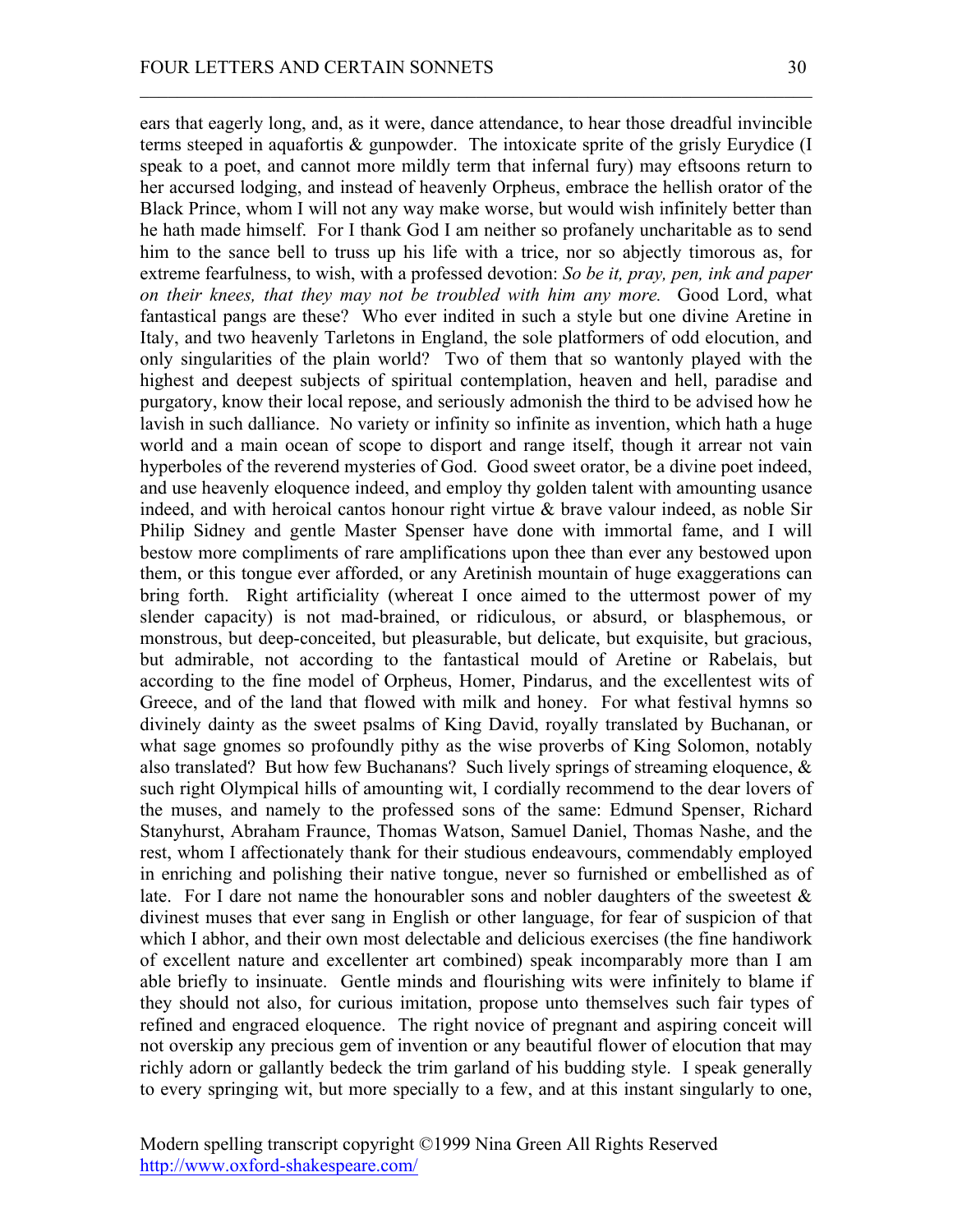ears that eagerly long, and, as it were, dance attendance, to hear those dreadful invincible terms steeped in aquafortis & gunpowder. The intoxicate sprite of the grisly Eurydice (I speak to a poet, and cannot more mildly term that infernal fury) may eftsoons return to her accursed lodging, and instead of heavenly Orpheus, embrace the hellish orator of the Black Prince, whom I will not any way make worse, but would wish infinitely better than he hath made himself. For I thank God I am neither so profanely uncharitable as to send him to the sance bell to truss up his life with a trice, nor so abjectly timorous as, for extreme fearfulness, to wish, with a professed devotion: *So be it, pray, pen, ink and paper on their knees, that they may not be troubled with him any more.* Good Lord, what fantastical pangs are these? Who ever indited in such a style but one divine Aretine in Italy, and two heavenly Tarletons in England, the sole platformers of odd elocution, and only singularities of the plain world? Two of them that so wantonly played with the highest and deepest subjects of spiritual contemplation, heaven and hell, paradise and purgatory, know their local repose, and seriously admonish the third to be advised how he lavish in such dalliance. No variety or infinity so infinite as invention, which hath a huge world and a main ocean of scope to disport and range itself, though it arrear not vain hyperboles of the reverend mysteries of God. Good sweet orator, be a divine poet indeed, and use heavenly eloquence indeed, and employ thy golden talent with amounting usance indeed, and with heroical cantos honour right virtue & brave valour indeed, as noble Sir Philip Sidney and gentle Master Spenser have done with immortal fame, and I will bestow more compliments of rare amplifications upon thee than ever any bestowed upon them, or this tongue ever afforded, or any Aretinish mountain of huge exaggerations can bring forth. Right artificiality (whereat I once aimed to the uttermost power of my slender capacity) is not mad-brained, or ridiculous, or absurd, or blasphemous, or monstrous, but deep-conceited, but pleasurable, but delicate, but exquisite, but gracious, but admirable, not according to the fantastical mould of Aretine or Rabelais, but according to the fine model of Orpheus, Homer, Pindarus, and the excellentest wits of Greece, and of the land that flowed with milk and honey. For what festival hymns so divinely dainty as the sweet psalms of King David, royally translated by Buchanan, or what sage gnomes so profoundly pithy as the wise proverbs of King Solomon, notably also translated? But how few Buchanans? Such lively springs of streaming eloquence, & such right Olympical hills of amounting wit, I cordially recommend to the dear lovers of the muses, and namely to the professed sons of the same: Edmund Spenser, Richard Stanyhurst, Abraham Fraunce, Thomas Watson, Samuel Daniel, Thomas Nashe, and the rest, whom I affectionately thank for their studious endeavours, commendably employed in enriching and polishing their native tongue, never so furnished or embellished as of late. For I dare not name the honourabler sons and nobler daughters of the sweetest  $\&$ divinest muses that ever sang in English or other language, for fear of suspicion of that which I abhor, and their own most delectable and delicious exercises (the fine handiwork of excellent nature and excellenter art combined) speak incomparably more than I am able briefly to insinuate. Gentle minds and flourishing wits were infinitely to blame if they should not also, for curious imitation, propose unto themselves such fair types of refined and engraced eloquence. The right novice of pregnant and aspiring conceit will not overskip any precious gem of invention or any beautiful flower of elocution that may richly adorn or gallantly bedeck the trim garland of his budding style. I speak generally to every springing wit, but more specially to a few, and at this instant singularly to one,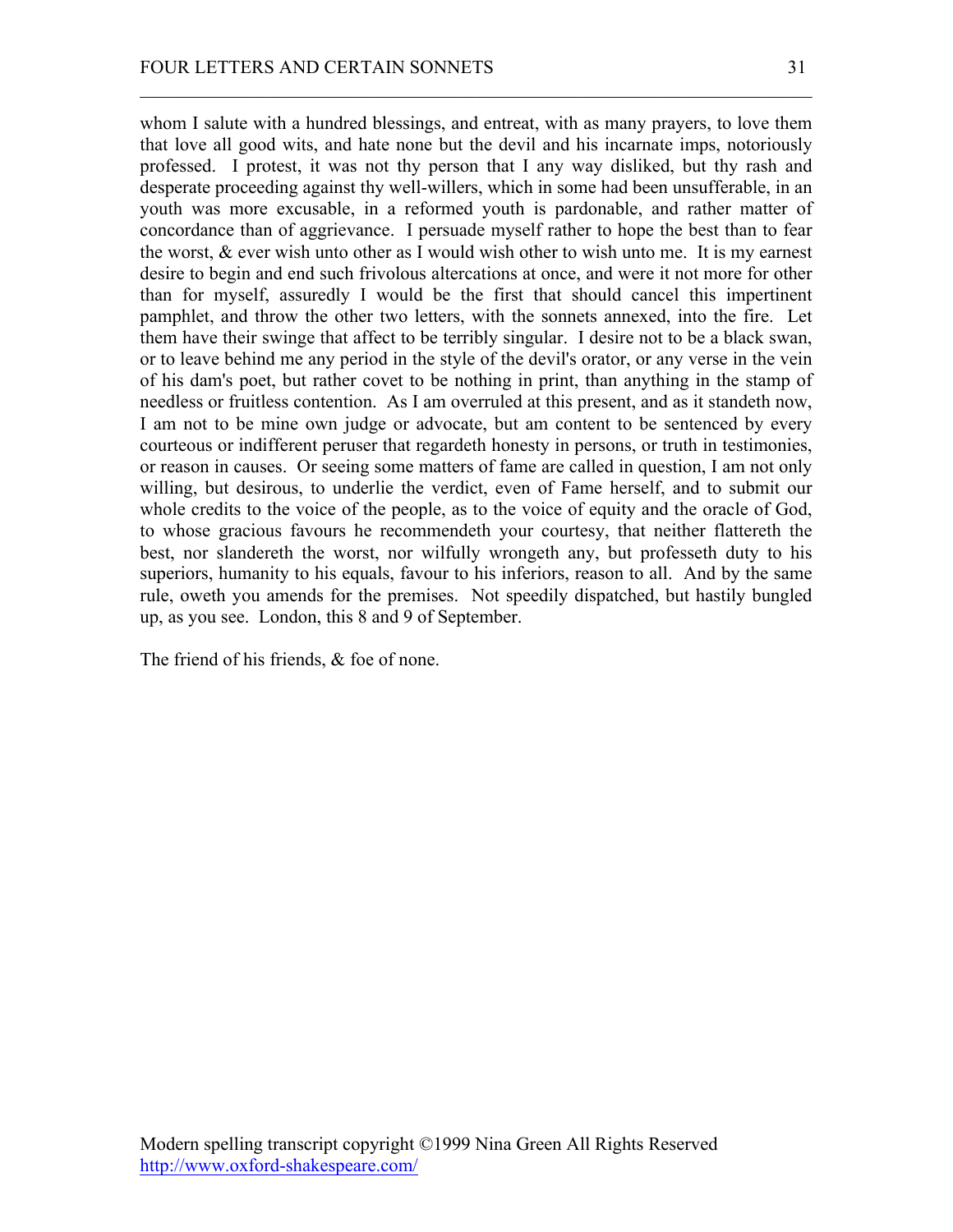whom I salute with a hundred blessings, and entreat, with as many prayers, to love them that love all good wits, and hate none but the devil and his incarnate imps, notoriously professed. I protest, it was not thy person that I any way disliked, but thy rash and desperate proceeding against thy well-willers, which in some had been unsufferable, in an youth was more excusable, in a reformed youth is pardonable, and rather matter of concordance than of aggrievance. I persuade myself rather to hope the best than to fear the worst, & ever wish unto other as I would wish other to wish unto me. It is my earnest desire to begin and end such frivolous altercations at once, and were it not more for other than for myself, assuredly I would be the first that should cancel this impertinent pamphlet, and throw the other two letters, with the sonnets annexed, into the fire. Let them have their swinge that affect to be terribly singular. I desire not to be a black swan, or to leave behind me any period in the style of the devil's orator, or any verse in the vein of his dam's poet, but rather covet to be nothing in print, than anything in the stamp of needless or fruitless contention. As I am overruled at this present, and as it standeth now, I am not to be mine own judge or advocate, but am content to be sentenced by every courteous or indifferent peruser that regardeth honesty in persons, or truth in testimonies, or reason in causes. Or seeing some matters of fame are called in question, I am not only willing, but desirous, to underlie the verdict, even of Fame herself, and to submit our whole credits to the voice of the people, as to the voice of equity and the oracle of God, to whose gracious favours he recommendeth your courtesy, that neither flattereth the best, nor slandereth the worst, nor wilfully wrongeth any, but professeth duty to his superiors, humanity to his equals, favour to his inferiors, reason to all. And by the same rule, oweth you amends for the premises. Not speedily dispatched, but hastily bungled up, as you see. London, this 8 and 9 of September.

 $\mathcal{L}_\text{max}$  , and the contribution of the contribution of the contribution of the contribution of the contribution of the contribution of the contribution of the contribution of the contribution of the contribution of t

The friend of his friends, & foe of none.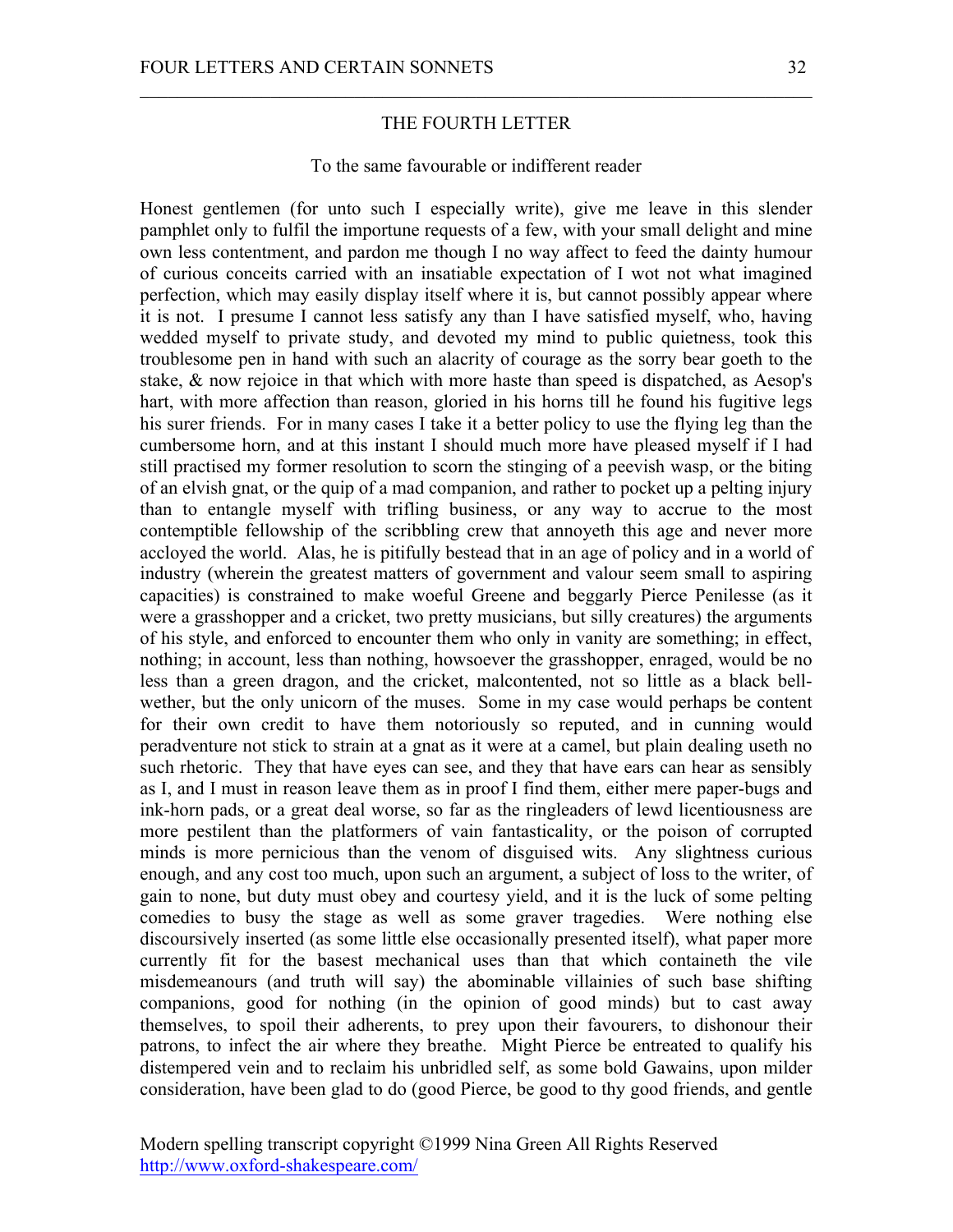# THE FOURTH LETTER

 $\mathcal{L}_\text{max}$  , and the contribution of the contribution of the contribution of the contribution of the contribution of the contribution of the contribution of the contribution of the contribution of the contribution of t

### To the same favourable or indifferent reader

Honest gentlemen (for unto such I especially write), give me leave in this slender pamphlet only to fulfil the importune requests of a few, with your small delight and mine own less contentment, and pardon me though I no way affect to feed the dainty humour of curious conceits carried with an insatiable expectation of I wot not what imagined perfection, which may easily display itself where it is, but cannot possibly appear where it is not. I presume I cannot less satisfy any than I have satisfied myself, who, having wedded myself to private study, and devoted my mind to public quietness, took this troublesome pen in hand with such an alacrity of courage as the sorry bear goeth to the stake, & now rejoice in that which with more haste than speed is dispatched, as Aesop's hart, with more affection than reason, gloried in his horns till he found his fugitive legs his surer friends. For in many cases I take it a better policy to use the flying leg than the cumbersome horn, and at this instant I should much more have pleased myself if I had still practised my former resolution to scorn the stinging of a peevish wasp, or the biting of an elvish gnat, or the quip of a mad companion, and rather to pocket up a pelting injury than to entangle myself with trifling business, or any way to accrue to the most contemptible fellowship of the scribbling crew that annoyeth this age and never more accloyed the world. Alas, he is pitifully bestead that in an age of policy and in a world of industry (wherein the greatest matters of government and valour seem small to aspiring capacities) is constrained to make woeful Greene and beggarly Pierce Penilesse (as it were a grasshopper and a cricket, two pretty musicians, but silly creatures) the arguments of his style, and enforced to encounter them who only in vanity are something; in effect, nothing; in account, less than nothing, howsoever the grasshopper, enraged, would be no less than a green dragon, and the cricket, malcontented, not so little as a black bellwether, but the only unicorn of the muses. Some in my case would perhaps be content for their own credit to have them notoriously so reputed, and in cunning would peradventure not stick to strain at a gnat as it were at a camel, but plain dealing useth no such rhetoric. They that have eyes can see, and they that have ears can hear as sensibly as I, and I must in reason leave them as in proof I find them, either mere paper-bugs and ink-horn pads, or a great deal worse, so far as the ringleaders of lewd licentiousness are more pestilent than the platformers of vain fantasticality, or the poison of corrupted minds is more pernicious than the venom of disguised wits. Any slightness curious enough, and any cost too much, upon such an argument, a subject of loss to the writer, of gain to none, but duty must obey and courtesy yield, and it is the luck of some pelting comedies to busy the stage as well as some graver tragedies. Were nothing else discoursively inserted (as some little else occasionally presented itself), what paper more currently fit for the basest mechanical uses than that which containeth the vile misdemeanours (and truth will say) the abominable villainies of such base shifting companions, good for nothing (in the opinion of good minds) but to cast away themselves, to spoil their adherents, to prey upon their favourers, to dishonour their patrons, to infect the air where they breathe. Might Pierce be entreated to qualify his distempered vein and to reclaim his unbridled self, as some bold Gawains, upon milder consideration, have been glad to do (good Pierce, be good to thy good friends, and gentle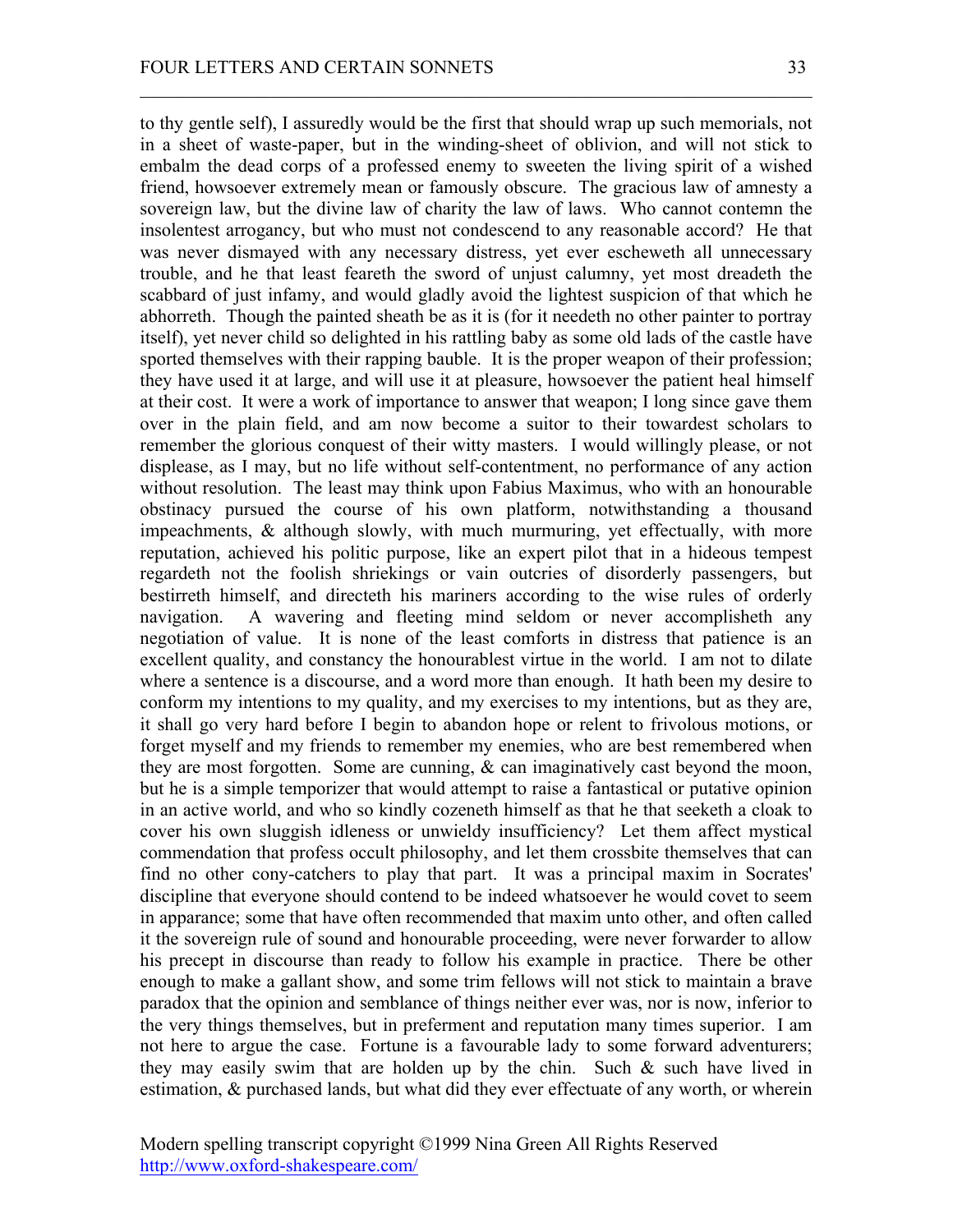to thy gentle self), I assuredly would be the first that should wrap up such memorials, not in a sheet of waste-paper, but in the winding-sheet of oblivion, and will not stick to embalm the dead corps of a professed enemy to sweeten the living spirit of a wished friend, howsoever extremely mean or famously obscure. The gracious law of amnesty a sovereign law, but the divine law of charity the law of laws. Who cannot contemn the insolentest arrogancy, but who must not condescend to any reasonable accord? He that was never dismayed with any necessary distress, yet ever escheweth all unnecessary trouble, and he that least feareth the sword of unjust calumny, yet most dreadeth the scabbard of just infamy, and would gladly avoid the lightest suspicion of that which he abhorreth. Though the painted sheath be as it is (for it needeth no other painter to portray itself), yet never child so delighted in his rattling baby as some old lads of the castle have sported themselves with their rapping bauble. It is the proper weapon of their profession; they have used it at large, and will use it at pleasure, howsoever the patient heal himself at their cost. It were a work of importance to answer that weapon; I long since gave them over in the plain field, and am now become a suitor to their towardest scholars to remember the glorious conquest of their witty masters. I would willingly please, or not displease, as I may, but no life without self-contentment, no performance of any action without resolution. The least may think upon Fabius Maximus, who with an honourable obstinacy pursued the course of his own platform, notwithstanding a thousand impeachments, & although slowly, with much murmuring, yet effectually, with more reputation, achieved his politic purpose, like an expert pilot that in a hideous tempest regardeth not the foolish shriekings or vain outcries of disorderly passengers, but bestirreth himself, and directeth his mariners according to the wise rules of orderly navigation. A wavering and fleeting mind seldom or never accomplisheth any negotiation of value. It is none of the least comforts in distress that patience is an excellent quality, and constancy the honourablest virtue in the world. I am not to dilate where a sentence is a discourse, and a word more than enough. It hath been my desire to conform my intentions to my quality, and my exercises to my intentions, but as they are, it shall go very hard before I begin to abandon hope or relent to frivolous motions, or forget myself and my friends to remember my enemies, who are best remembered when they are most forgotten. Some are cunning, & can imaginatively cast beyond the moon, but he is a simple temporizer that would attempt to raise a fantastical or putative opinion in an active world, and who so kindly cozeneth himself as that he that seeketh a cloak to cover his own sluggish idleness or unwieldy insufficiency? Let them affect mystical commendation that profess occult philosophy, and let them crossbite themselves that can find no other cony-catchers to play that part. It was a principal maxim in Socrates' discipline that everyone should contend to be indeed whatsoever he would covet to seem in apparance; some that have often recommended that maxim unto other, and often called it the sovereign rule of sound and honourable proceeding, were never forwarder to allow his precept in discourse than ready to follow his example in practice. There be other enough to make a gallant show, and some trim fellows will not stick to maintain a brave paradox that the opinion and semblance of things neither ever was, nor is now, inferior to the very things themselves, but in preferment and reputation many times superior. I am not here to argue the case. Fortune is a favourable lady to some forward adventurers; they may easily swim that are holden up by the chin. Such  $\&$  such have lived in estimation, & purchased lands, but what did they ever effectuate of any worth, or wherein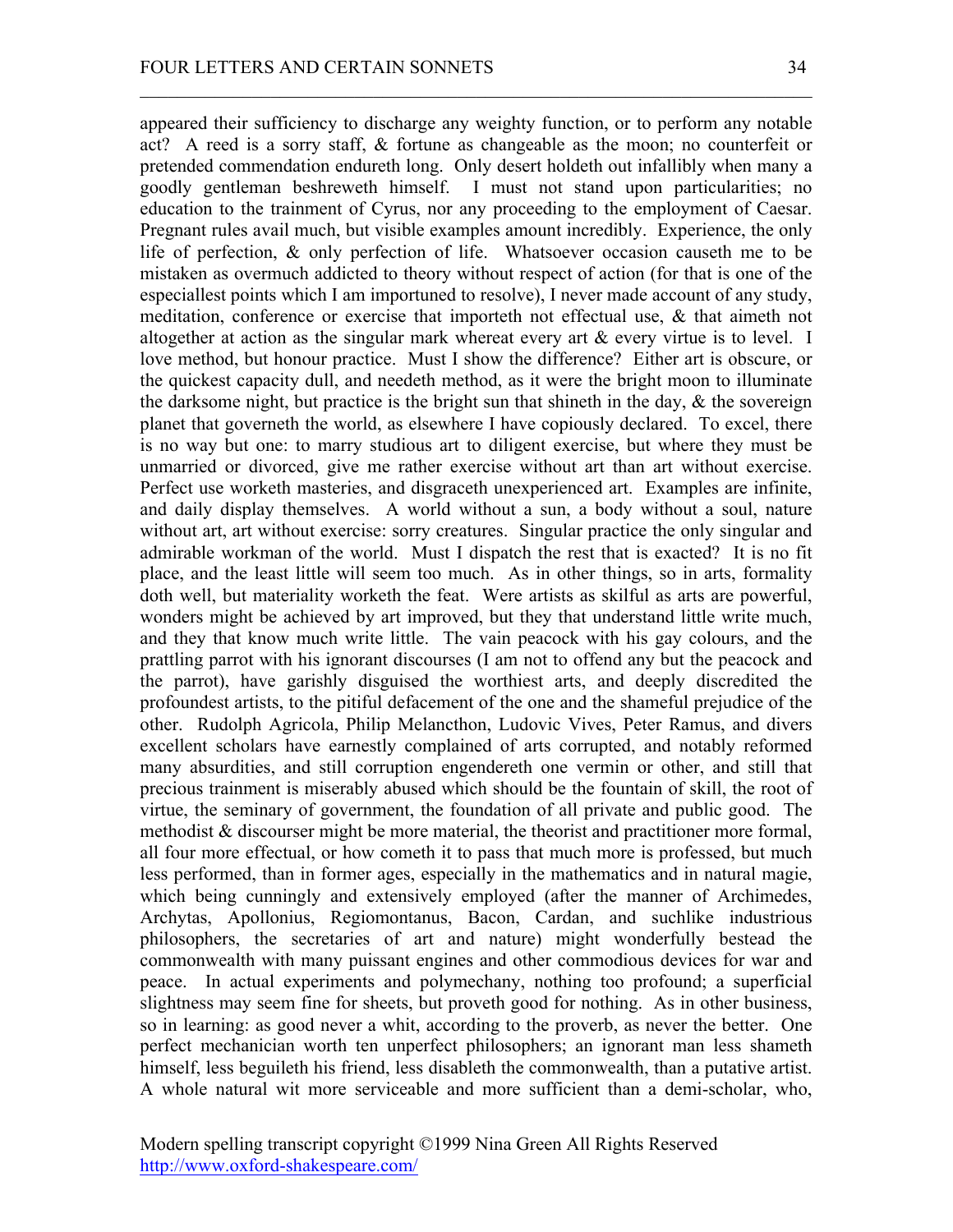appeared their sufficiency to discharge any weighty function, or to perform any notable act? A reed is a sorry staff, & fortune as changeable as the moon; no counterfeit or pretended commendation endureth long. Only desert holdeth out infallibly when many a goodly gentleman beshreweth himself. I must not stand upon particularities; no education to the trainment of Cyrus, nor any proceeding to the employment of Caesar. Pregnant rules avail much, but visible examples amount incredibly. Experience, the only life of perfection, & only perfection of life. Whatsoever occasion causeth me to be mistaken as overmuch addicted to theory without respect of action (for that is one of the especiallest points which I am importuned to resolve), I never made account of any study, meditation, conference or exercise that importeth not effectual use, & that aimeth not altogether at action as the singular mark whereat every art & every virtue is to level. I love method, but honour practice. Must I show the difference? Either art is obscure, or the quickest capacity dull, and needeth method, as it were the bright moon to illuminate the darksome night, but practice is the bright sun that shineth in the day,  $\&$  the sovereign planet that governeth the world, as elsewhere I have copiously declared. To excel, there is no way but one: to marry studious art to diligent exercise, but where they must be unmarried or divorced, give me rather exercise without art than art without exercise. Perfect use worketh masteries, and disgraceth unexperienced art. Examples are infinite, and daily display themselves. A world without a sun, a body without a soul, nature without art, art without exercise: sorry creatures. Singular practice the only singular and admirable workman of the world. Must I dispatch the rest that is exacted? It is no fit place, and the least little will seem too much. As in other things, so in arts, formality doth well, but materiality worketh the feat. Were artists as skilful as arts are powerful, wonders might be achieved by art improved, but they that understand little write much, and they that know much write little. The vain peacock with his gay colours, and the prattling parrot with his ignorant discourses (I am not to offend any but the peacock and the parrot), have garishly disguised the worthiest arts, and deeply discredited the profoundest artists, to the pitiful defacement of the one and the shameful prejudice of the other. Rudolph Agricola, Philip Melancthon, Ludovic Vives, Peter Ramus, and divers excellent scholars have earnestly complained of arts corrupted, and notably reformed many absurdities, and still corruption engendereth one vermin or other, and still that precious trainment is miserably abused which should be the fountain of skill, the root of virtue, the seminary of government, the foundation of all private and public good. The methodist & discourser might be more material, the theorist and practitioner more formal, all four more effectual, or how cometh it to pass that much more is professed, but much less performed, than in former ages, especially in the mathematics and in natural magie, which being cunningly and extensively employed (after the manner of Archimedes, Archytas, Apollonius, Regiomontanus, Bacon, Cardan, and suchlike industrious philosophers, the secretaries of art and nature) might wonderfully bestead the commonwealth with many puissant engines and other commodious devices for war and peace. In actual experiments and polymechany, nothing too profound; a superficial slightness may seem fine for sheets, but proveth good for nothing. As in other business, so in learning: as good never a whit, according to the proverb, as never the better. One perfect mechanician worth ten unperfect philosophers; an ignorant man less shameth himself, less beguileth his friend, less disableth the commonwealth, than a putative artist. A whole natural wit more serviceable and more sufficient than a demi-scholar, who,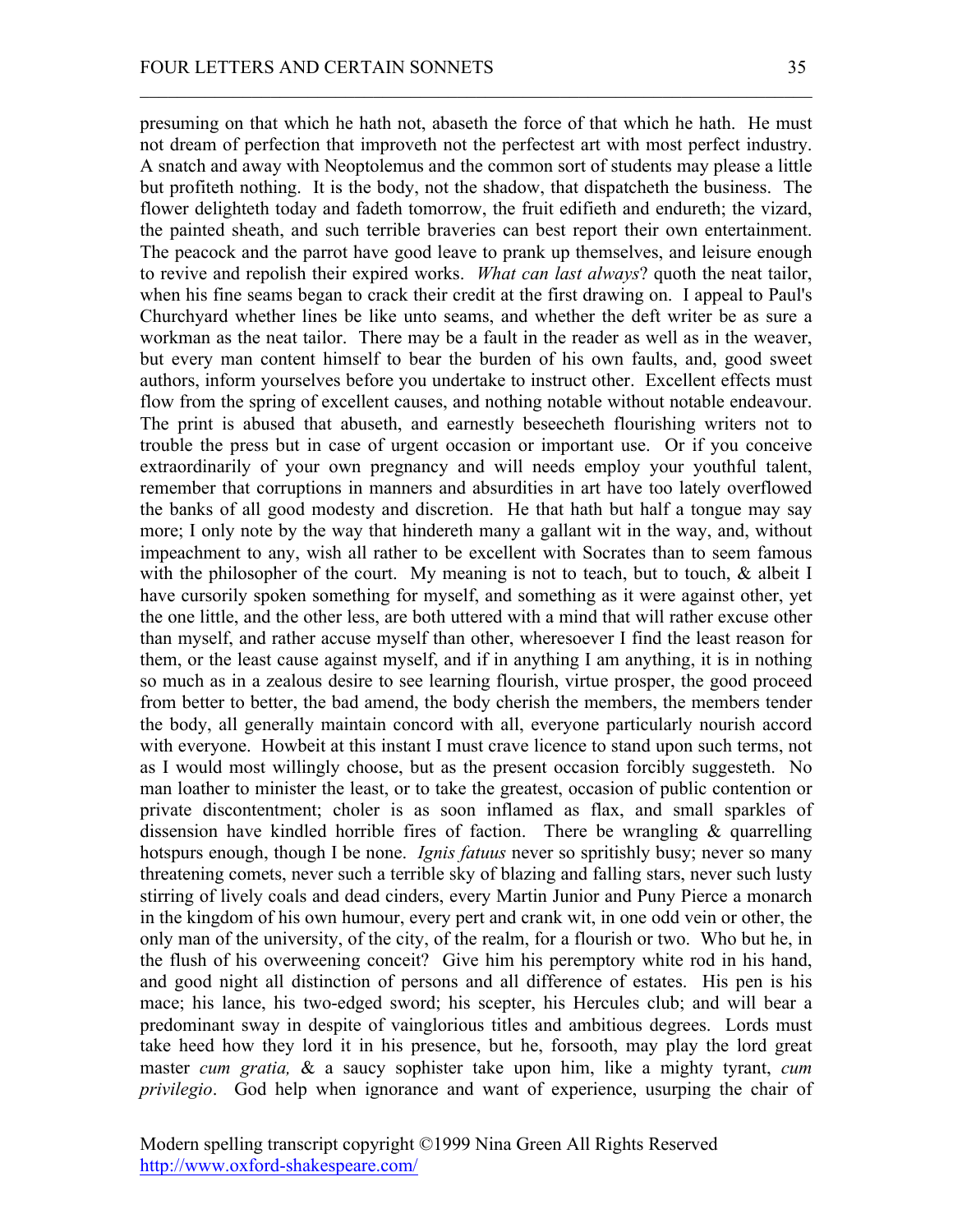presuming on that which he hath not, abaseth the force of that which he hath. He must not dream of perfection that improveth not the perfectest art with most perfect industry. A snatch and away with Neoptolemus and the common sort of students may please a little but profiteth nothing. It is the body, not the shadow, that dispatcheth the business. The flower delighteth today and fadeth tomorrow, the fruit edifieth and endureth; the vizard, the painted sheath, and such terrible braveries can best report their own entertainment. The peacock and the parrot have good leave to prank up themselves, and leisure enough to revive and repolish their expired works. *What can last always*? quoth the neat tailor, when his fine seams began to crack their credit at the first drawing on. I appeal to Paul's Churchyard whether lines be like unto seams, and whether the deft writer be as sure a workman as the neat tailor. There may be a fault in the reader as well as in the weaver, but every man content himself to bear the burden of his own faults, and, good sweet authors, inform yourselves before you undertake to instruct other. Excellent effects must flow from the spring of excellent causes, and nothing notable without notable endeavour. The print is abused that abuseth, and earnestly beseecheth flourishing writers not to trouble the press but in case of urgent occasion or important use. Or if you conceive extraordinarily of your own pregnancy and will needs employ your youthful talent, remember that corruptions in manners and absurdities in art have too lately overflowed the banks of all good modesty and discretion. He that hath but half a tongue may say more; I only note by the way that hindereth many a gallant wit in the way, and, without impeachment to any, wish all rather to be excellent with Socrates than to seem famous with the philosopher of the court. My meaning is not to teach, but to touch, & albeit I have cursorily spoken something for myself, and something as it were against other, yet the one little, and the other less, are both uttered with a mind that will rather excuse other than myself, and rather accuse myself than other, wheresoever I find the least reason for them, or the least cause against myself, and if in anything I am anything, it is in nothing so much as in a zealous desire to see learning flourish, virtue prosper, the good proceed from better to better, the bad amend, the body cherish the members, the members tender the body, all generally maintain concord with all, everyone particularly nourish accord with everyone. Howbeit at this instant I must crave licence to stand upon such terms, not as I would most willingly choose, but as the present occasion forcibly suggesteth. No man loather to minister the least, or to take the greatest, occasion of public contention or private discontentment; choler is as soon inflamed as flax, and small sparkles of dissension have kindled horrible fires of faction. There be wrangling & quarrelling hotspurs enough, though I be none. *Ignis fatuus* never so spritishly busy; never so many threatening comets, never such a terrible sky of blazing and falling stars, never such lusty stirring of lively coals and dead cinders, every Martin Junior and Puny Pierce a monarch in the kingdom of his own humour, every pert and crank wit, in one odd vein or other, the only man of the university, of the city, of the realm, for a flourish or two. Who but he, in the flush of his overweening conceit? Give him his peremptory white rod in his hand, and good night all distinction of persons and all difference of estates. His pen is his mace; his lance, his two-edged sword; his scepter, his Hercules club; and will bear a predominant sway in despite of vainglorious titles and ambitious degrees. Lords must take heed how they lord it in his presence, but he, forsooth, may play the lord great master *cum gratia,* & a saucy sophister take upon him, like a mighty tyrant, *cum privilegio*. God help when ignorance and want of experience, usurping the chair of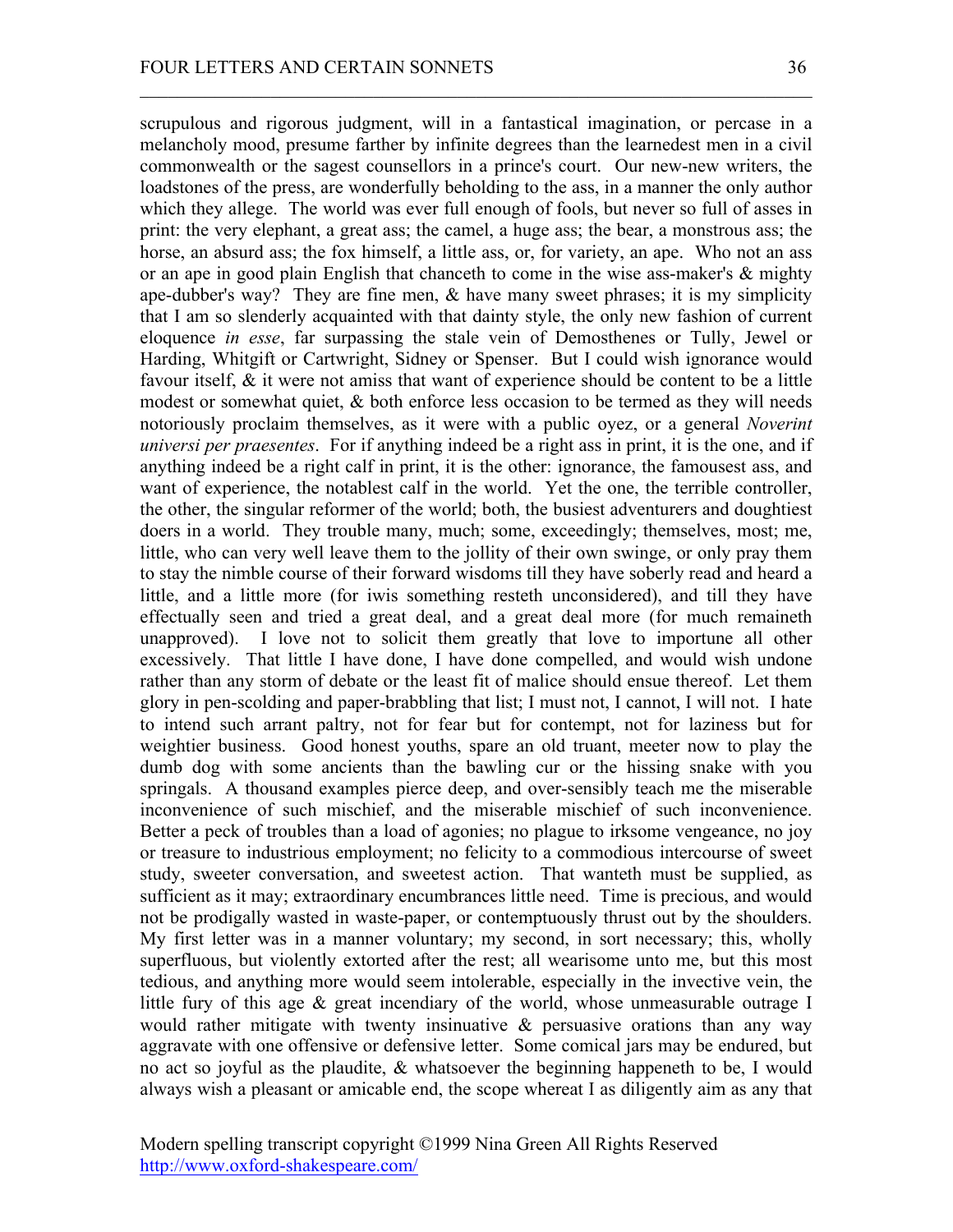scrupulous and rigorous judgment, will in a fantastical imagination, or percase in a melancholy mood, presume farther by infinite degrees than the learnedest men in a civil commonwealth or the sagest counsellors in a prince's court. Our new-new writers, the loadstones of the press, are wonderfully beholding to the ass, in a manner the only author which they allege. The world was ever full enough of fools, but never so full of asses in print: the very elephant, a great ass; the camel, a huge ass; the bear, a monstrous ass; the horse, an absurd ass; the fox himself, a little ass, or, for variety, an ape. Who not an ass or an ape in good plain English that chanceth to come in the wise ass-maker's & mighty ape-dubber's way? They are fine men,  $\&$  have many sweet phrases; it is my simplicity that I am so slenderly acquainted with that dainty style, the only new fashion of current eloquence *in esse*, far surpassing the stale vein of Demosthenes or Tully, Jewel or Harding, Whitgift or Cartwright, Sidney or Spenser. But I could wish ignorance would favour itself, & it were not amiss that want of experience should be content to be a little modest or somewhat quiet, & both enforce less occasion to be termed as they will needs notoriously proclaim themselves, as it were with a public oyez, or a general *Noverint universi per praesentes*. For if anything indeed be a right ass in print, it is the one, and if anything indeed be a right calf in print, it is the other: ignorance, the famousest ass, and want of experience, the notablest calf in the world. Yet the one, the terrible controller, the other, the singular reformer of the world; both, the busiest adventurers and doughtiest doers in a world. They trouble many, much; some, exceedingly; themselves, most; me, little, who can very well leave them to the jollity of their own swinge, or only pray them to stay the nimble course of their forward wisdoms till they have soberly read and heard a little, and a little more (for iwis something resteth unconsidered), and till they have effectually seen and tried a great deal, and a great deal more (for much remaineth unapproved). I love not to solicit them greatly that love to importune all other excessively. That little I have done, I have done compelled, and would wish undone rather than any storm of debate or the least fit of malice should ensue thereof. Let them glory in pen-scolding and paper-brabbling that list; I must not, I cannot, I will not. I hate to intend such arrant paltry, not for fear but for contempt, not for laziness but for weightier business. Good honest youths, spare an old truant, meeter now to play the dumb dog with some ancients than the bawling cur or the hissing snake with you springals. A thousand examples pierce deep, and over-sensibly teach me the miserable inconvenience of such mischief, and the miserable mischief of such inconvenience. Better a peck of troubles than a load of agonies; no plague to irksome vengeance, no joy or treasure to industrious employment; no felicity to a commodious intercourse of sweet study, sweeter conversation, and sweetest action. That wanteth must be supplied, as sufficient as it may; extraordinary encumbrances little need. Time is precious, and would not be prodigally wasted in waste-paper, or contemptuously thrust out by the shoulders. My first letter was in a manner voluntary; my second, in sort necessary; this, wholly superfluous, but violently extorted after the rest; all wearisome unto me, but this most tedious, and anything more would seem intolerable, especially in the invective vein, the little fury of this age & great incendiary of the world, whose unmeasurable outrage I would rather mitigate with twenty insinuative  $\&$  persuasive orations than any way aggravate with one offensive or defensive letter. Some comical jars may be endured, but no act so joyful as the plaudite, & whatsoever the beginning happeneth to be, I would always wish a pleasant or amicable end, the scope whereat I as diligently aim as any that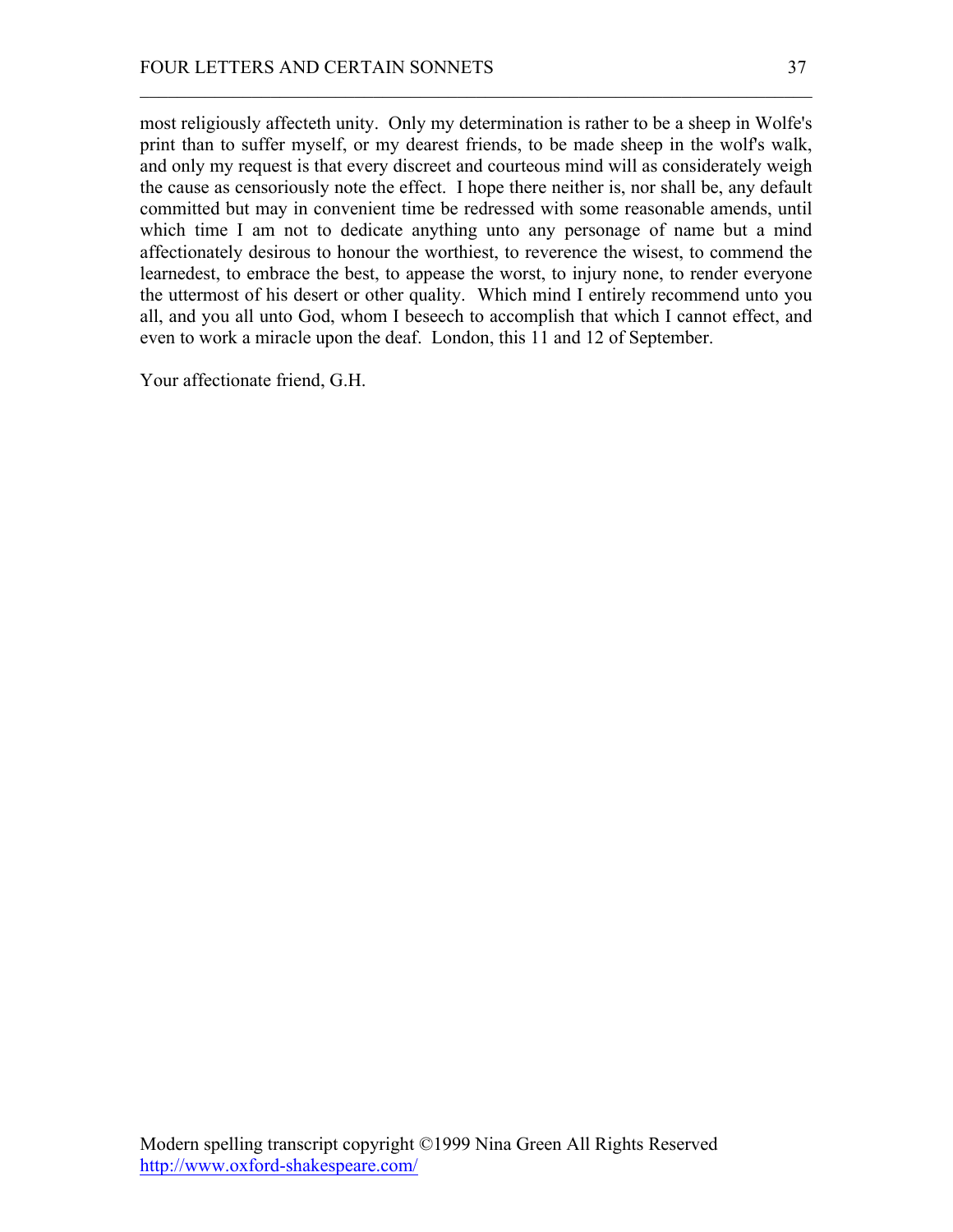most religiously affecteth unity. Only my determination is rather to be a sheep in Wolfe's print than to suffer myself, or my dearest friends, to be made sheep in the wolf's walk, and only my request is that every discreet and courteous mind will as considerately weigh the cause as censoriously note the effect. I hope there neither is, nor shall be, any default committed but may in convenient time be redressed with some reasonable amends, until which time I am not to dedicate anything unto any personage of name but a mind affectionately desirous to honour the worthiest, to reverence the wisest, to commend the learnedest, to embrace the best, to appease the worst, to injury none, to render everyone the uttermost of his desert or other quality. Which mind I entirely recommend unto you all, and you all unto God, whom I beseech to accomplish that which I cannot effect, and even to work a miracle upon the deaf. London, this 11 and 12 of September.

 $\mathcal{L}_\text{max}$  , and the contribution of the contribution of the contribution of the contribution of the contribution of the contribution of the contribution of the contribution of the contribution of the contribution of t

Your affectionate friend, G.H.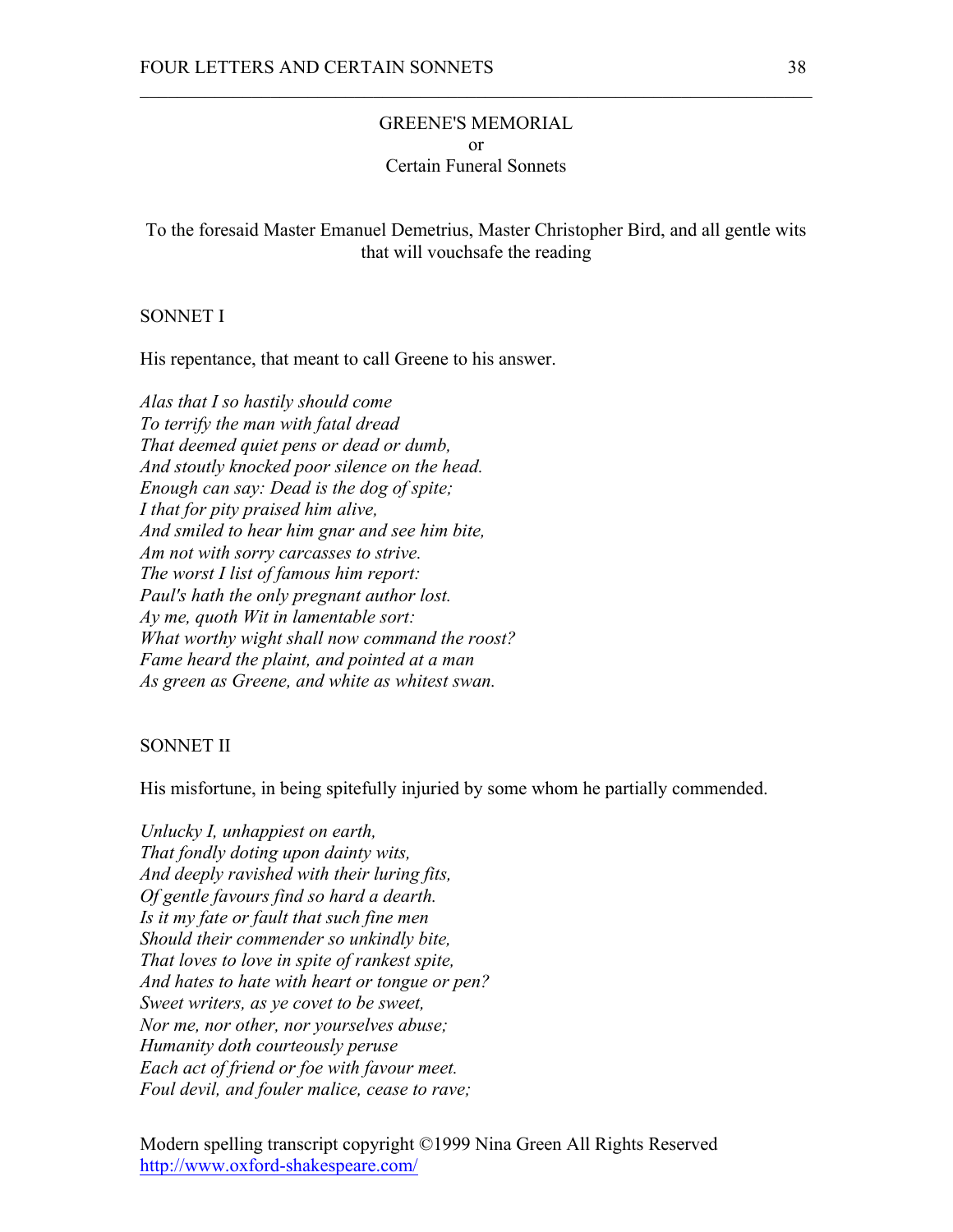# GREENE'S MEMORIAL or Certain Funeral Sonnets

 $\mathcal{L}_\text{max}$  , and the contribution of the contribution of the contribution of the contribution of the contribution of the contribution of the contribution of the contribution of the contribution of the contribution of t

To the foresaid Master Emanuel Demetrius, Master Christopher Bird, and all gentle wits that will vouchsafe the reading

# SONNET I

His repentance, that meant to call Greene to his answer.

*Alas that I so hastily should come To terrify the man with fatal dread That deemed quiet pens or dead or dumb, And stoutly knocked poor silence on the head. Enough can say: Dead is the dog of spite; I that for pity praised him alive, And smiled to hear him gnar and see him bite, Am not with sorry carcasses to strive. The worst I list of famous him report: Paul's hath the only pregnant author lost. Ay me, quoth Wit in lamentable sort: What worthy wight shall now command the roost? Fame heard the plaint, and pointed at a man As green as Greene, and white as whitest swan.*

### SONNET II

His misfortune, in being spitefully injuried by some whom he partially commended.

*Unlucky I, unhappiest on earth, That fondly doting upon dainty wits, And deeply ravished with their luring fits, Of gentle favours find so hard a dearth. Is it my fate or fault that such fine men Should their commender so unkindly bite, That loves to love in spite of rankest spite, And hates to hate with heart or tongue or pen? Sweet writers, as ye covet to be sweet, Nor me, nor other, nor yourselves abuse; Humanity doth courteously peruse Each act of friend or foe with favour meet. Foul devil, and fouler malice, cease to rave;*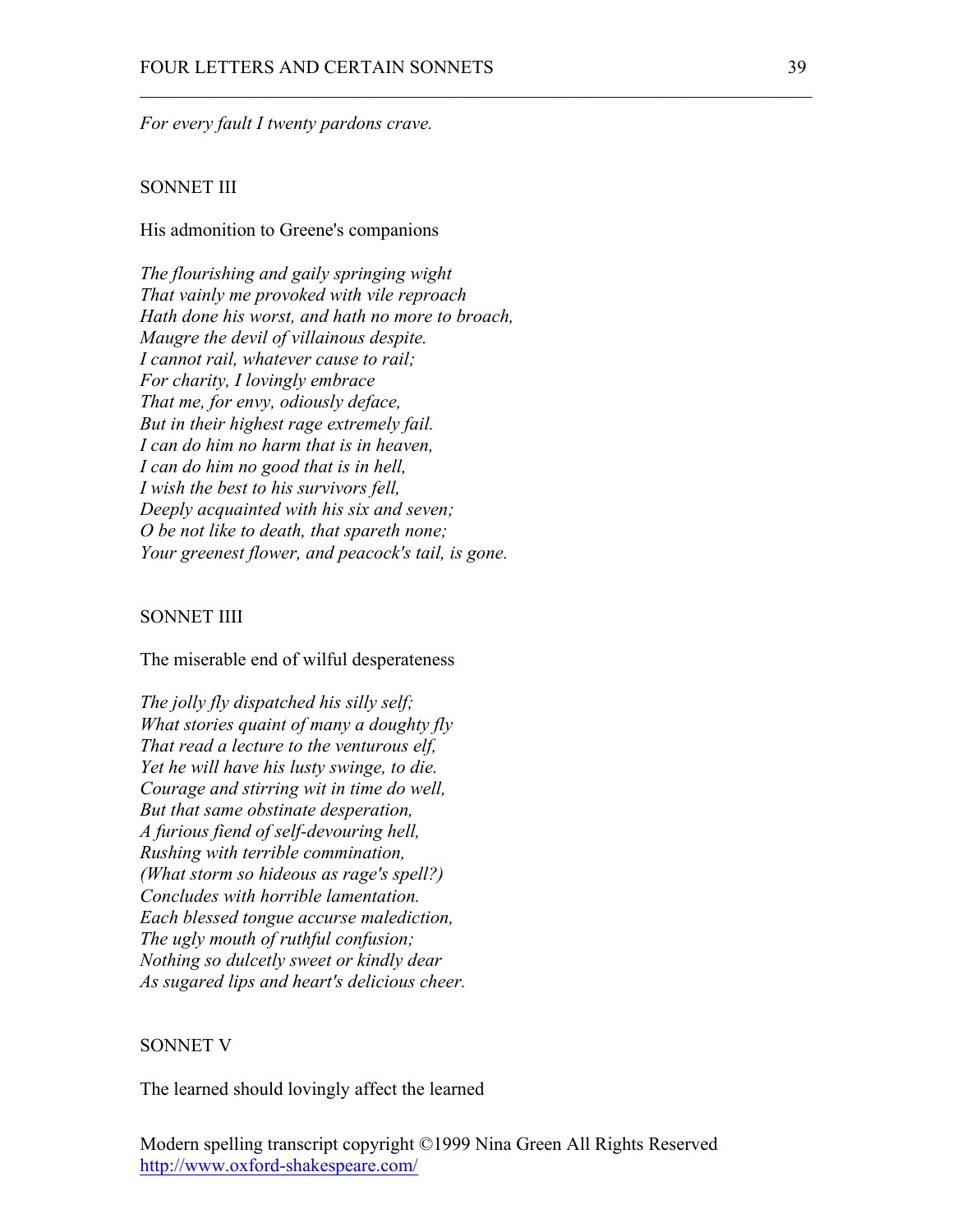# *For every fault I twenty pardons crave.*

# SONNET III

His admonition to Greene's companions

*The flourishing and gaily springing wight That vainly me provoked with vile reproach Hath done his worst, and hath no more to broach, Maugre the devil of villainous despite. I cannot rail, whatever cause to rail; For charity, I lovingly embrace That me, for envy, odiously deface, But in their highest rage extremely fail. I can do him no harm that is in heaven, I can do him no good that is in hell, I wish the best to his survivors fell, Deeply acquainted with his six and seven; O be not like to death, that spareth none; Your greenest flower, and peacock's tail, is gone.*

#### SONNET IIII

The miserable end of wilful desperateness

*The jolly fly dispatched his silly self; What stories quaint of many a doughty fly That read a lecture to the venturous elf, Yet he will have his lusty swinge, to die. Courage and stirring wit in time do well, But that same obstinate desperation, A furious fiend of self-devouring hell, Rushing with terrible commination, (What storm so hideous as rage's spell?) Concludes with horrible lamentation. Each blessed tongue accurse malediction, The ugly mouth of ruthful confusion; Nothing so dulcetly sweet or kindly dear As sugared lips and heart's delicious cheer.*

# SONNET V

The learned should lovingly affect the learned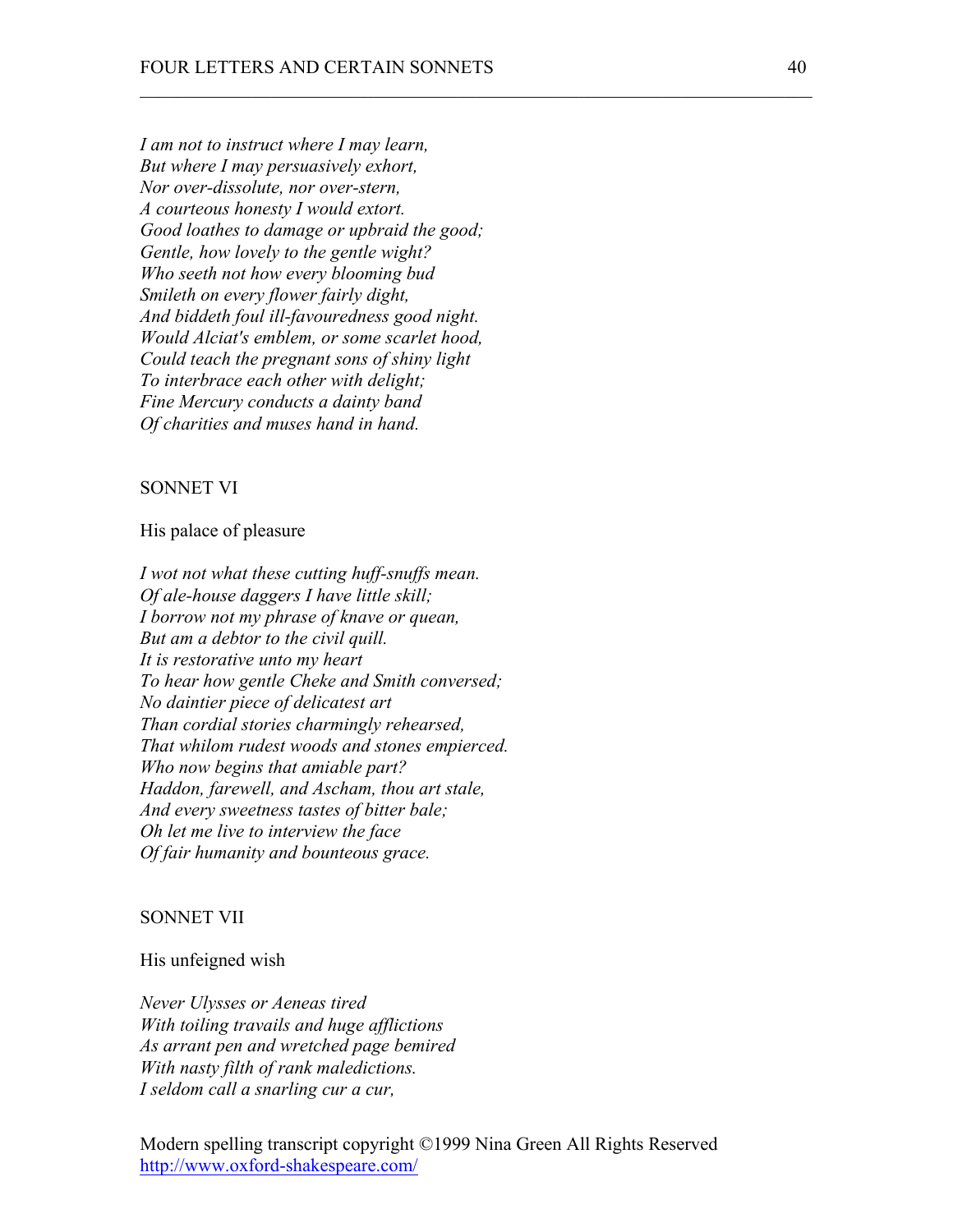*I am not to instruct where I may learn, But where I may persuasively exhort, Nor over-dissolute, nor over-stern, A courteous honesty I would extort. Good loathes to damage or upbraid the good; Gentle, how lovely to the gentle wight? Who seeth not how every blooming bud Smileth on every flower fairly dight, And biddeth foul ill-favouredness good night. Would Alciat's emblem, or some scarlet hood, Could teach the pregnant sons of shiny light To interbrace each other with delight; Fine Mercury conducts a dainty band Of charities and muses hand in hand.*

### SONNET VI

### His palace of pleasure

*I wot not what these cutting huff-snuffs mean. Of ale-house daggers I have little skill; I borrow not my phrase of knave or quean, But am a debtor to the civil quill. It is restorative unto my heart To hear how gentle Cheke and Smith conversed; No daintier piece of delicatest art Than cordial stories charmingly rehearsed, That whilom rudest woods and stones empierced. Who now begins that amiable part? Haddon, farewell, and Ascham, thou art stale, And every sweetness tastes of bitter bale; Oh let me live to interview the face Of fair humanity and bounteous grace.*

# SONNET VII

#### His unfeigned wish

*Never Ulysses or Aeneas tired With toiling travails and huge afflictions As arrant pen and wretched page bemired With nasty filth of rank maledictions. I seldom call a snarling cur a cur,*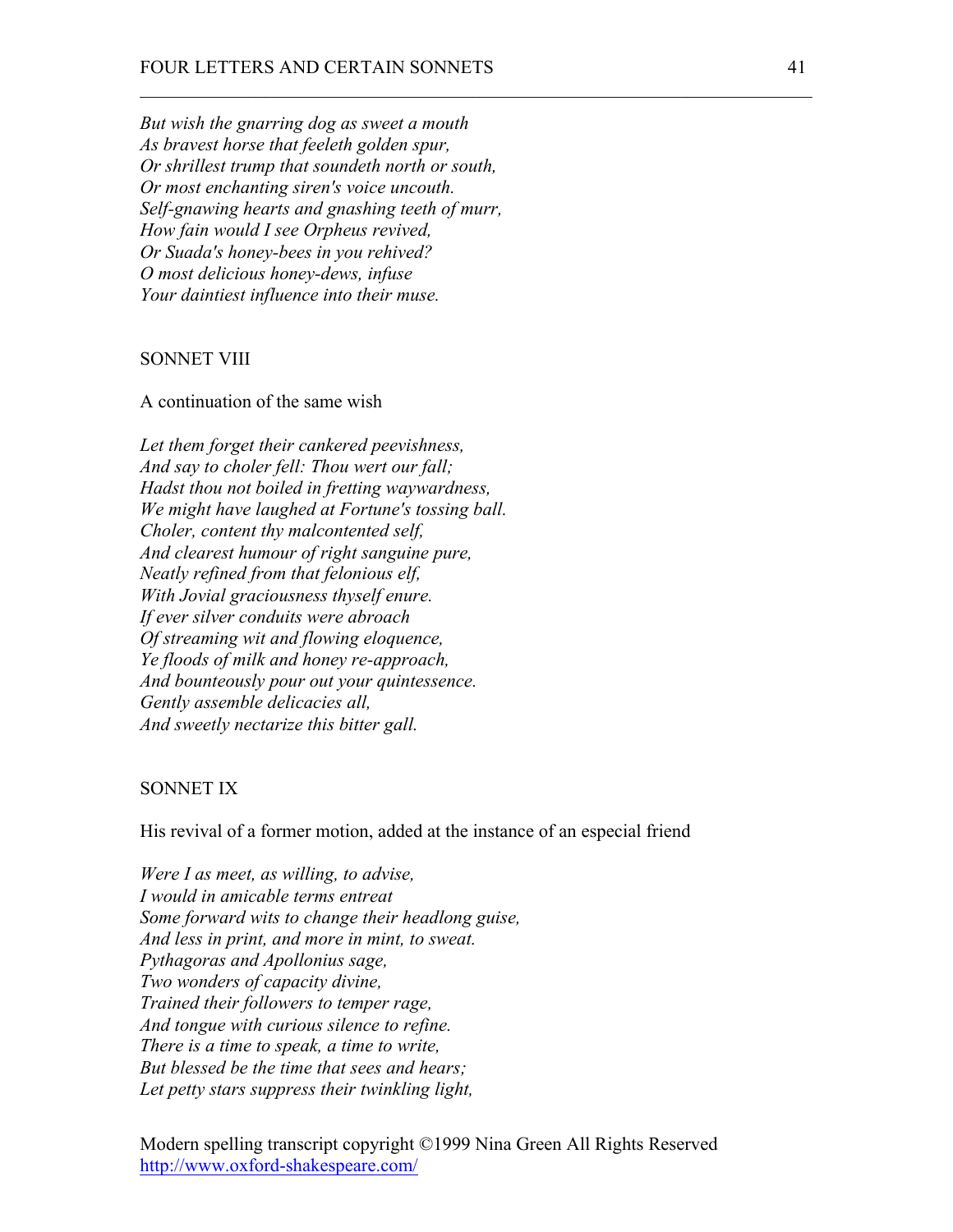*But wish the gnarring dog as sweet a mouth As bravest horse that feeleth golden spur, Or shrillest trump that soundeth north or south, Or most enchanting siren's voice uncouth. Self-gnawing hearts and gnashing teeth of murr, How fain would I see Orpheus revived, Or Suada's honey-bees in you rehived? O most delicious honey-dews, infuse Your daintiest influence into their muse.*

### SONNET VIII

# A continuation of the same wish

*Let them forget their cankered peevishness, And say to choler fell: Thou wert our fall; Hadst thou not boiled in fretting waywardness, We might have laughed at Fortune's tossing ball. Choler, content thy malcontented self, And clearest humour of right sanguine pure, Neatly refined from that felonious elf, With Jovial graciousness thyself enure. If ever silver conduits were abroach Of streaming wit and flowing eloquence, Ye floods of milk and honey re-approach, And bounteously pour out your quintessence. Gently assemble delicacies all, And sweetly nectarize this bitter gall.*

### SONNET IX

His revival of a former motion, added at the instance of an especial friend

*Were I as meet, as willing, to advise, I would in amicable terms entreat Some forward wits to change their headlong guise, And less in print, and more in mint, to sweat. Pythagoras and Apollonius sage, Two wonders of capacity divine, Trained their followers to temper rage, And tongue with curious silence to refine. There is a time to speak, a time to write, But blessed be the time that sees and hears; Let petty stars suppress their twinkling light,*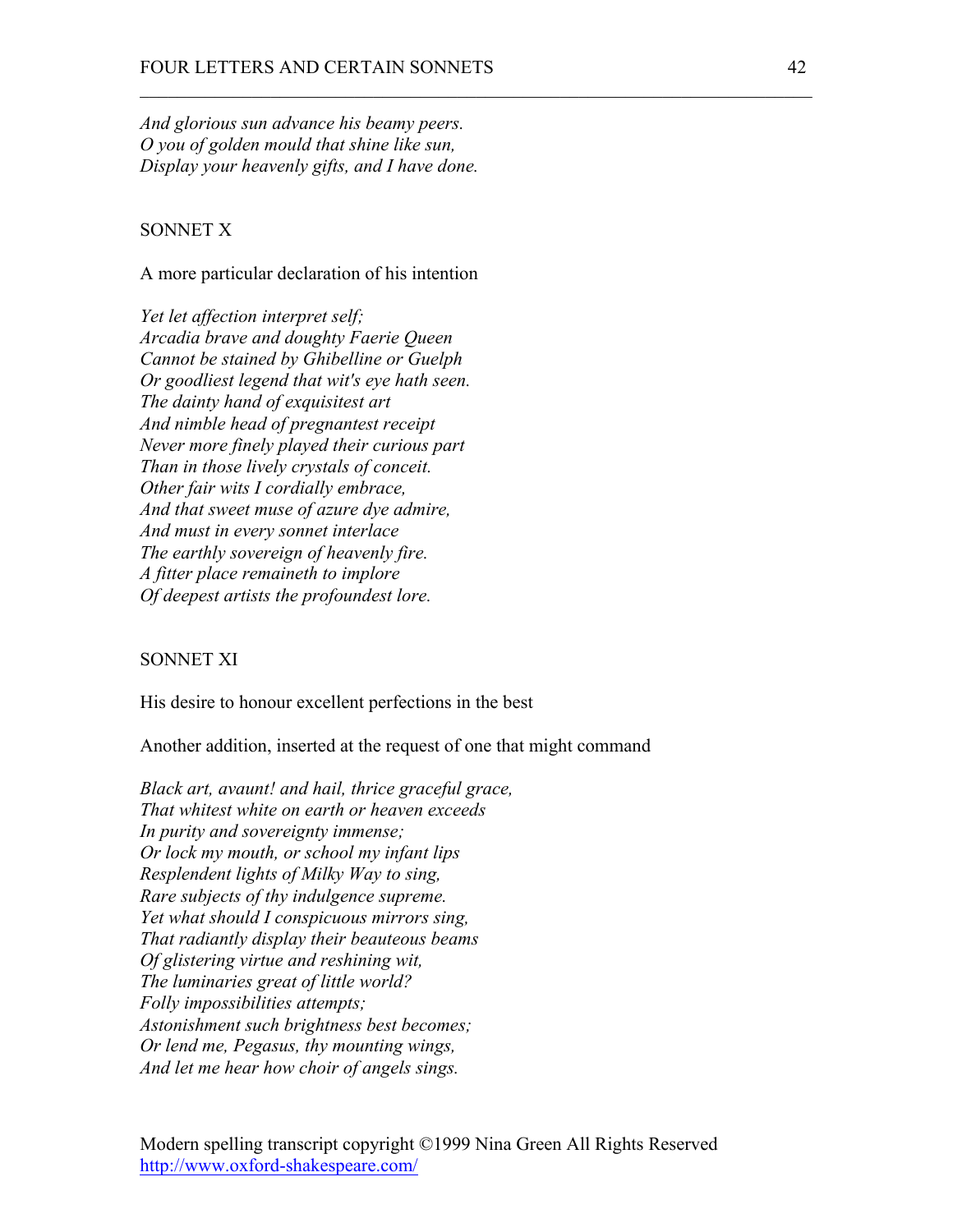*And glorious sun advance his beamy peers. O you of golden mould that shine like sun, Display your heavenly gifts, and I have done.*

# SONNET X

A more particular declaration of his intention

*Yet let affection interpret self; Arcadia brave and doughty Faerie Queen Cannot be stained by Ghibelline or Guelph Or goodliest legend that wit's eye hath seen. The dainty hand of exquisitest art And nimble head of pregnantest receipt Never more finely played their curious part Than in those lively crystals of conceit. Other fair wits I cordially embrace, And that sweet muse of azure dye admire, And must in every sonnet interlace The earthly sovereign of heavenly fire. A fitter place remaineth to implore Of deepest artists the profoundest lore.*

#### SONNET XI

His desire to honour excellent perfections in the best

Another addition, inserted at the request of one that might command

*Black art, avaunt! and hail, thrice graceful grace, That whitest white on earth or heaven exceeds In purity and sovereignty immense; Or lock my mouth, or school my infant lips Resplendent lights of Milky Way to sing, Rare subjects of thy indulgence supreme. Yet what should I conspicuous mirrors sing, That radiantly display their beauteous beams Of glistering virtue and reshining wit, The luminaries great of little world? Folly impossibilities attempts; Astonishment such brightness best becomes; Or lend me, Pegasus, thy mounting wings, And let me hear how choir of angels sings.*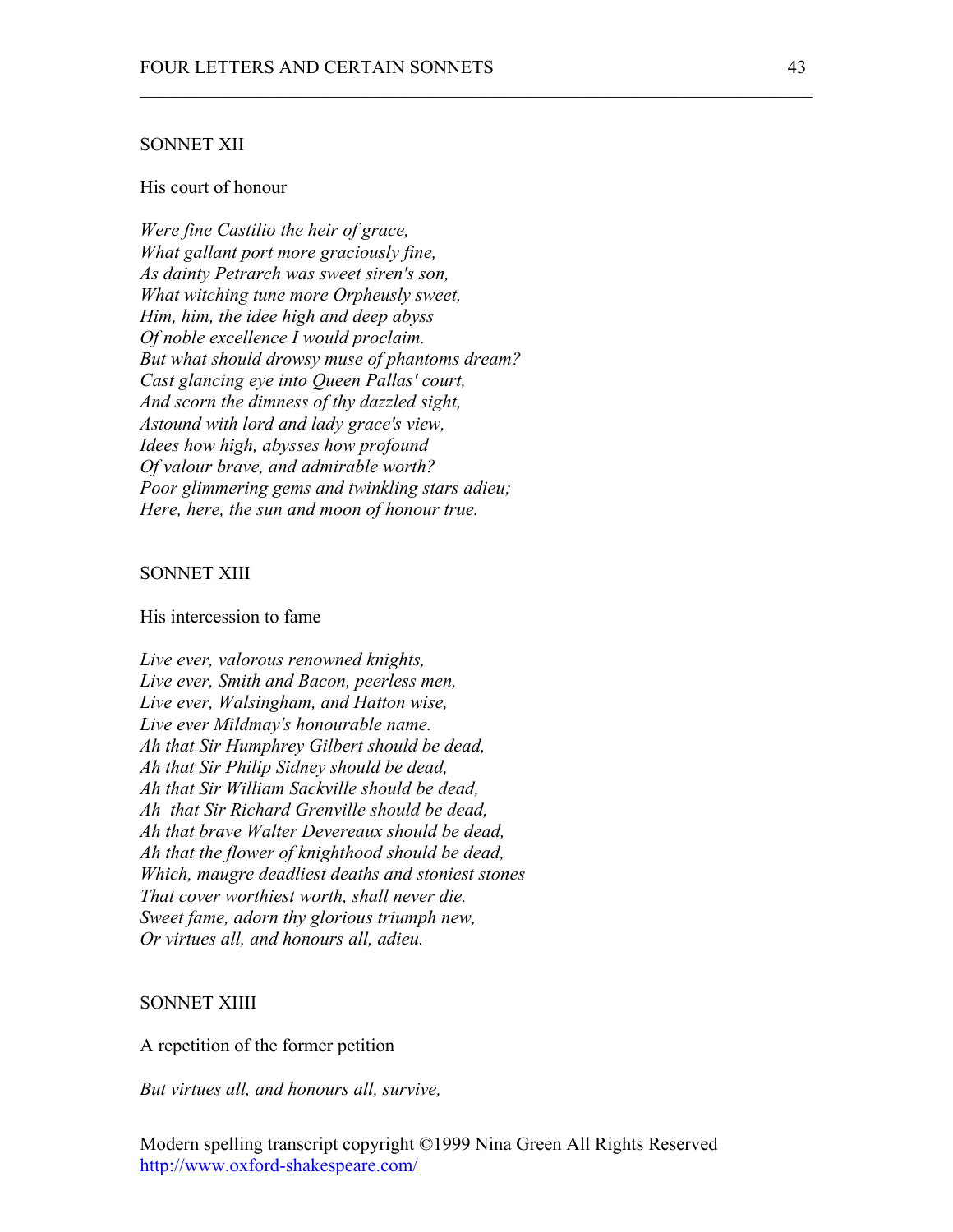### SONNET XII

### His court of honour

*Were fine Castilio the heir of grace, What gallant port more graciously fine, As dainty Petrarch was sweet siren's son, What witching tune more Orpheusly sweet, Him, him, the idee high and deep abyss Of noble excellence I would proclaim. But what should drowsy muse of phantoms dream? Cast glancing eye into Queen Pallas' court, And scorn the dimness of thy dazzled sight, Astound with lord and lady grace's view, Idees how high, abysses how profound Of valour brave, and admirable worth? Poor glimmering gems and twinkling stars adieu; Here, here, the sun and moon of honour true.*

# SONNET XIII

# His intercession to fame

*Live ever, valorous renowned knights, Live ever, Smith and Bacon, peerless men, Live ever, Walsingham, and Hatton wise, Live ever Mildmay's honourable name. Ah that Sir Humphrey Gilbert should be dead, Ah that Sir Philip Sidney should be dead, Ah that Sir William Sackville should be dead, Ah that Sir Richard Grenville should be dead, Ah that brave Walter Devereaux should be dead, Ah that the flower of knighthood should be dead, Which, maugre deadliest deaths and stoniest stones That cover worthiest worth, shall never die. Sweet fame, adorn thy glorious triumph new, Or virtues all, and honours all, adieu.*

### SONNET XIIII

# A repetition of the former petition

*But virtues all, and honours all, survive,*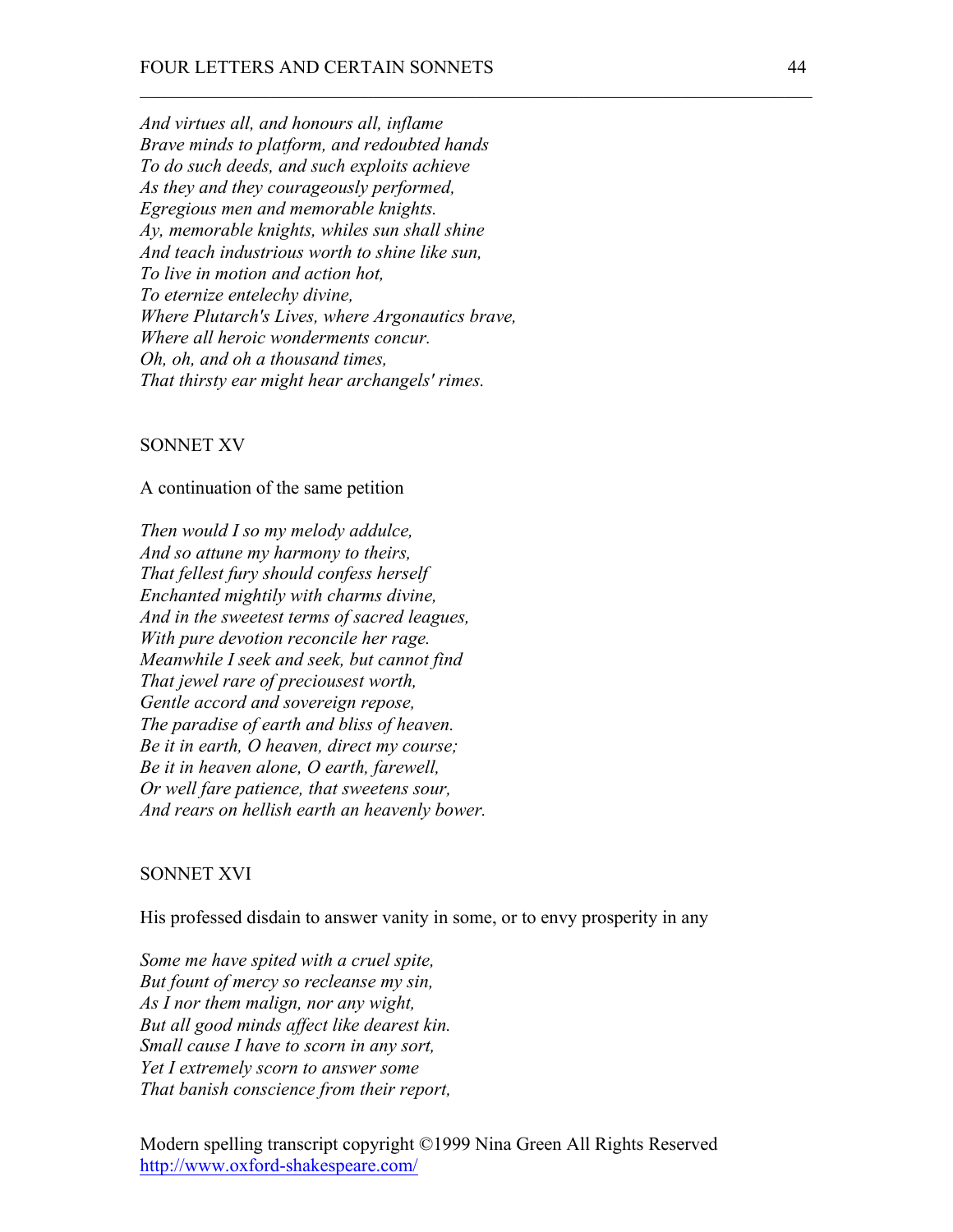*And virtues all, and honours all, inflame Brave minds to platform, and redoubted hands To do such deeds, and such exploits achieve As they and they courageously performed, Egregious men and memorable knights. Ay, memorable knights, whiles sun shall shine And teach industrious worth to shine like sun, To live in motion and action hot, To eternize entelechy divine, Where Plutarch's Lives, where Argonautics brave, Where all heroic wonderments concur. Oh, oh, and oh a thousand times, That thirsty ear might hear archangels' rimes.*

### SONNET XV

A continuation of the same petition

*Then would I so my melody addulce, And so attune my harmony to theirs, That fellest fury should confess herself Enchanted mightily with charms divine, And in the sweetest terms of sacred leagues, With pure devotion reconcile her rage. Meanwhile I seek and seek, but cannot find That jewel rare of preciousest worth, Gentle accord and sovereign repose, The paradise of earth and bliss of heaven. Be it in earth, O heaven, direct my course; Be it in heaven alone, O earth, farewell, Or well fare patience, that sweetens sour, And rears on hellish earth an heavenly bower.*

#### SONNET XVI

His professed disdain to answer vanity in some, or to envy prosperity in any

*Some me have spited with a cruel spite, But fount of mercy so recleanse my sin, As I nor them malign, nor any wight, But all good minds affect like dearest kin. Small cause I have to scorn in any sort, Yet I extremely scorn to answer some That banish conscience from their report,*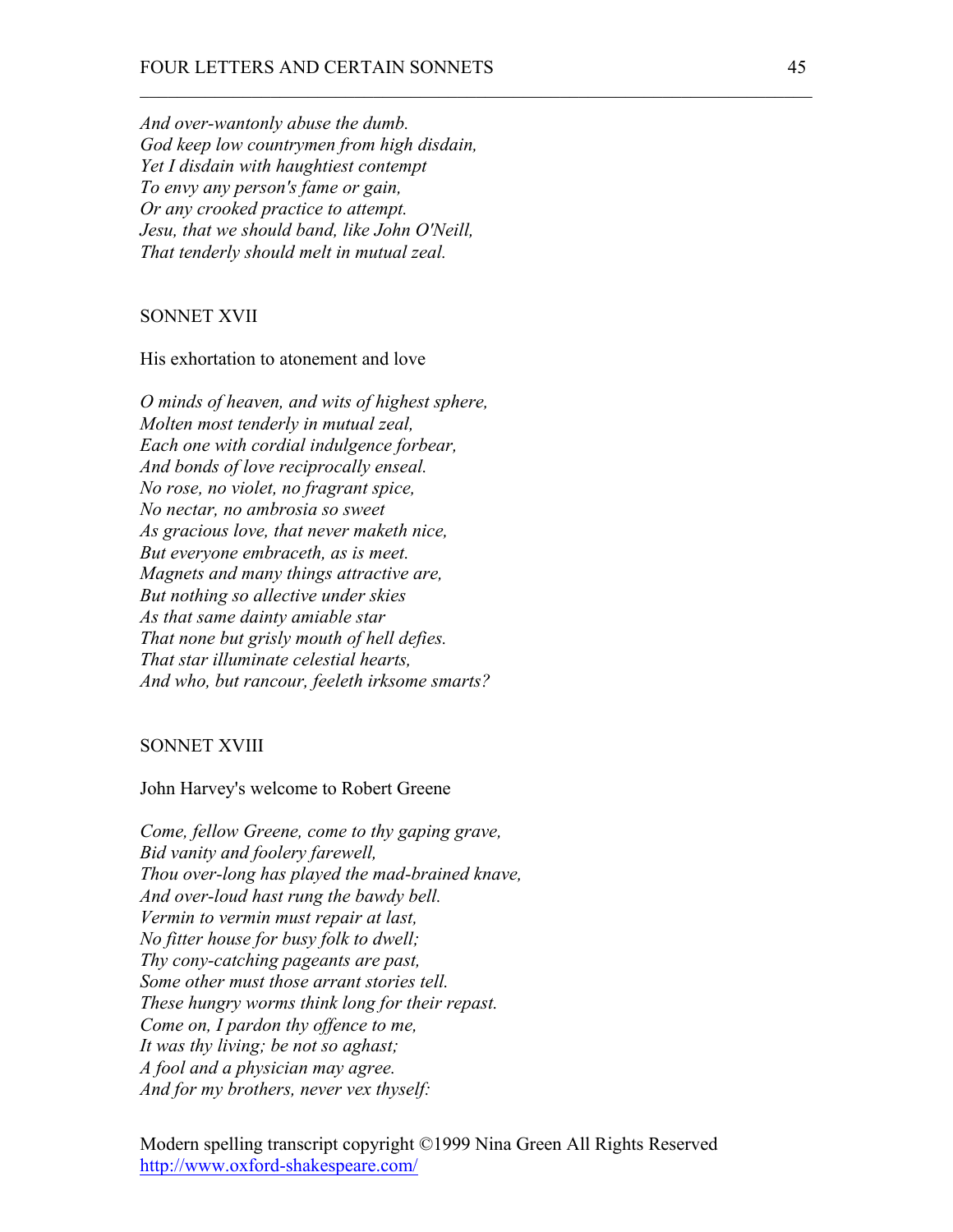*And over-wantonly abuse the dumb. God keep low countrymen from high disdain, Yet I disdain with haughtiest contempt To envy any person's fame or gain, Or any crooked practice to attempt. Jesu, that we should band, like John O'Neill, That tenderly should melt in mutual zeal.*

# SONNET XVII

His exhortation to atonement and love

*O minds of heaven, and wits of highest sphere, Molten most tenderly in mutual zeal, Each one with cordial indulgence forbear, And bonds of love reciprocally enseal. No rose, no violet, no fragrant spice, No nectar, no ambrosia so sweet As gracious love, that never maketh nice, But everyone embraceth, as is meet. Magnets and many things attractive are, But nothing so allective under skies As that same dainty amiable star That none but grisly mouth of hell defies. That star illuminate celestial hearts, And who, but rancour, feeleth irksome smarts?*

# SONNET XVIII

#### John Harvey's welcome to Robert Greene

*Come, fellow Greene, come to thy gaping grave, Bid vanity and foolery farewell, Thou over-long has played the mad-brained knave, And over-loud hast rung the bawdy bell. Vermin to vermin must repair at last, No fitter house for busy folk to dwell; Thy cony-catching pageants are past, Some other must those arrant stories tell. These hungry worms think long for their repast. Come on, I pardon thy offence to me, It was thy living; be not so aghast; A fool and a physician may agree. And for my brothers, never vex thyself:*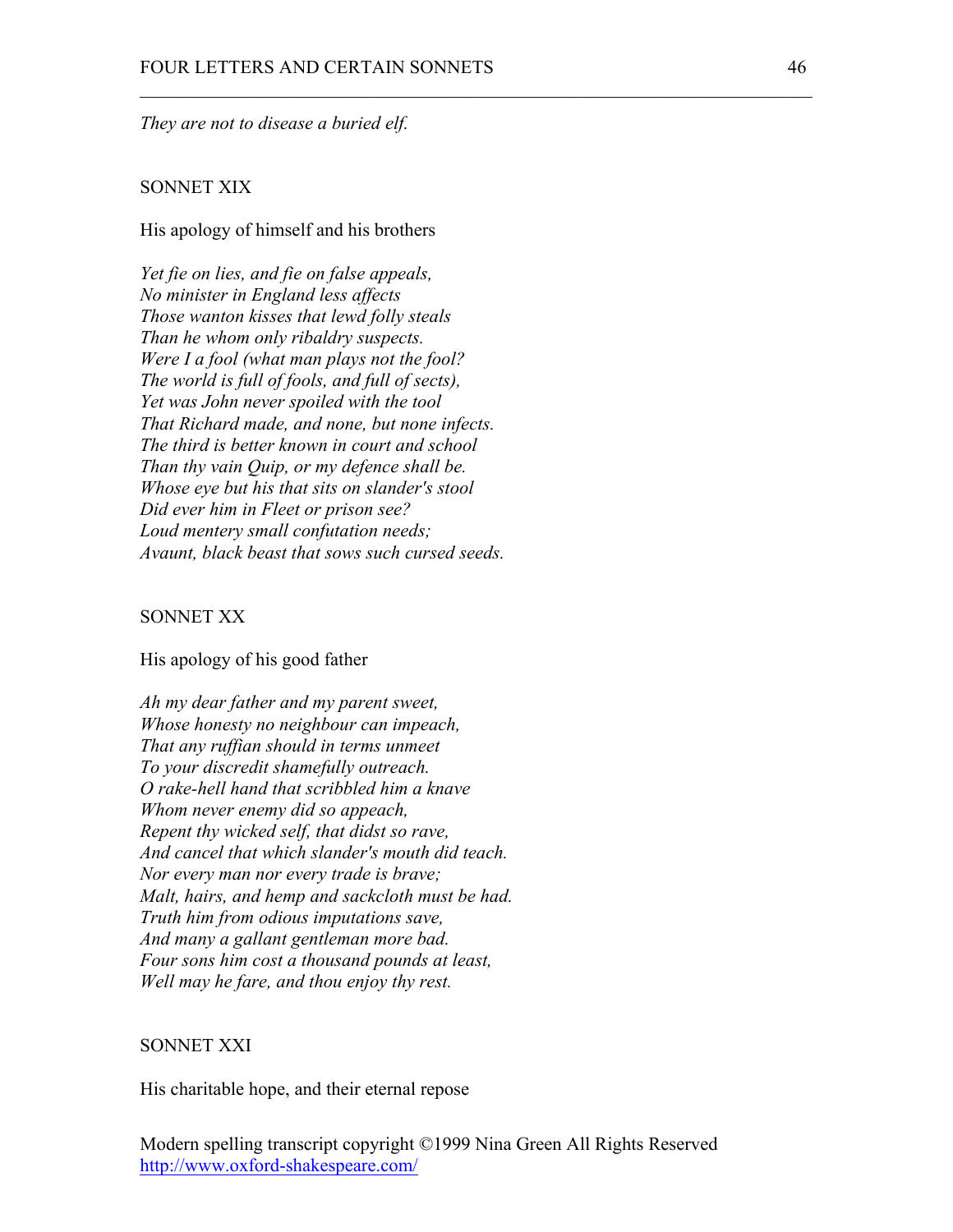#### *They are not to disease a buried elf.*

# SONNET XIX

His apology of himself and his brothers

*Yet fie on lies, and fie on false appeals, No minister in England less affects Those wanton kisses that lewd folly steals Than he whom only ribaldry suspects. Were I a fool (what man plays not the fool? The world is full of fools, and full of sects), Yet was John never spoiled with the tool That Richard made, and none, but none infects. The third is better known in court and school Than thy vain Quip, or my defence shall be. Whose eye but his that sits on slander's stool Did ever him in Fleet or prison see? Loud mentery small confutation needs; Avaunt, black beast that sows such cursed seeds.*

#### SONNET XX

#### His apology of his good father

*Ah my dear father and my parent sweet, Whose honesty no neighbour can impeach, That any ruffian should in terms unmeet To your discredit shamefully outreach. O rake-hell hand that scribbled him a knave Whom never enemy did so appeach, Repent thy wicked self, that didst so rave, And cancel that which slander's mouth did teach. Nor every man nor every trade is brave; Malt, hairs, and hemp and sackcloth must be had. Truth him from odious imputations save, And many a gallant gentleman more bad. Four sons him cost a thousand pounds at least, Well may he fare, and thou enjoy thy rest.*

# SONNET XXI

His charitable hope, and their eternal repose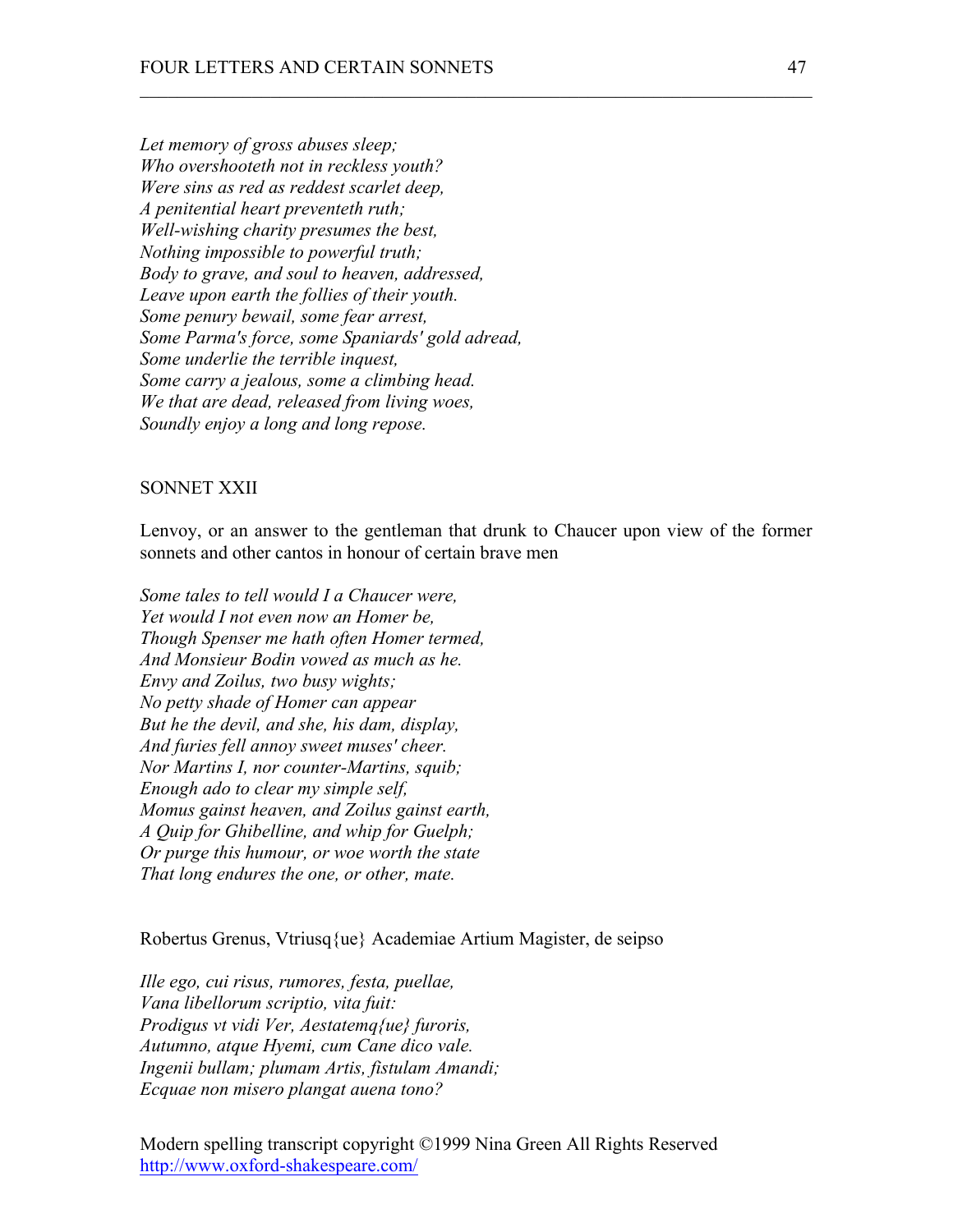*Let memory of gross abuses sleep; Who overshooteth not in reckless youth? Were sins as red as reddest scarlet deep, A penitential heart preventeth ruth; Well-wishing charity presumes the best, Nothing impossible to powerful truth; Body to grave, and soul to heaven, addressed, Leave upon earth the follies of their youth. Some penury bewail, some fear arrest, Some Parma's force, some Spaniards' gold adread, Some underlie the terrible inquest, Some carry a jealous, some a climbing head. We that are dead, released from living woes, Soundly enjoy a long and long repose.*

# SONNET XXII

Lenvoy, or an answer to the gentleman that drunk to Chaucer upon view of the former sonnets and other cantos in honour of certain brave men

 $\mathcal{L}_\text{max}$  , and the contribution of the contribution of the contribution of the contribution of the contribution of the contribution of the contribution of the contribution of the contribution of the contribution of t

*Some tales to tell would I a Chaucer were, Yet would I not even now an Homer be, Though Spenser me hath often Homer termed, And Monsieur Bodin vowed as much as he. Envy and Zoilus, two busy wights; No petty shade of Homer can appear But he the devil, and she, his dam, display, And furies fell annoy sweet muses' cheer. Nor Martins I, nor counter-Martins, squib; Enough ado to clear my simple self, Momus gainst heaven, and Zoilus gainst earth, A Quip for Ghibelline, and whip for Guelph; Or purge this humour, or woe worth the state That long endures the one, or other, mate.*

#### Robertus Grenus, Vtriusq{ue} Academiae Artium Magister, de seipso

*Ille ego, cui risus, rumores, festa, puellae, Vana libellorum scriptio, vita fuit: Prodigus vt vidi Ver, Aestatemq{ue} furoris, Autumno, atque Hyemi, cum Cane dico vale. Ingenii bullam; plumam Artis, fistulam Amandi; Ecquae non misero plangat auena tono?*